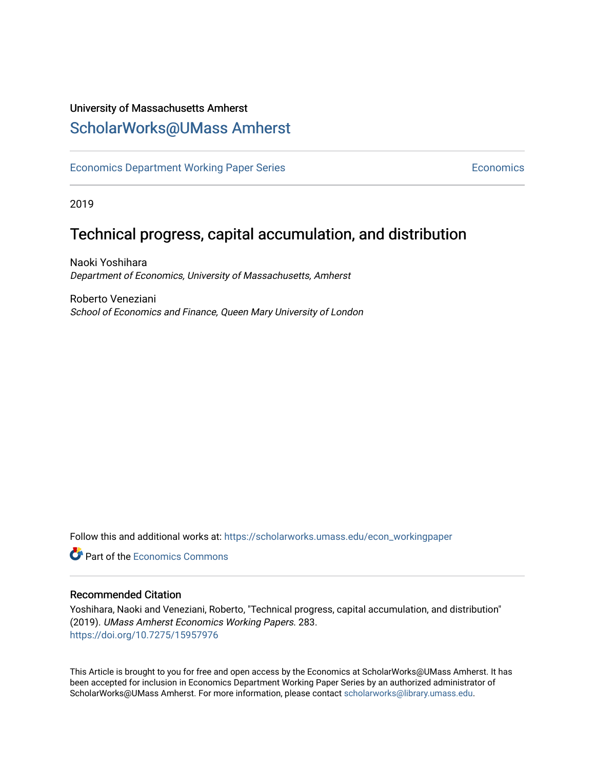# University of Massachusetts Amherst [ScholarWorks@UMass Amherst](https://scholarworks.umass.edu/)

[Economics Department Working Paper Series](https://scholarworks.umass.edu/econ_workingpaper) **Economics** [Economics](https://scholarworks.umass.edu/economics) Economics

2019

# Technical progress, capital accumulation, and distribution

Naoki Yoshihara Department of Economics, University of Massachusetts, Amherst

Roberto Veneziani School of Economics and Finance, Queen Mary University of London

Follow this and additional works at: [https://scholarworks.umass.edu/econ\\_workingpaper](https://scholarworks.umass.edu/econ_workingpaper?utm_source=scholarworks.umass.edu%2Fecon_workingpaper%2F283&utm_medium=PDF&utm_campaign=PDFCoverPages) 

**C** Part of the [Economics Commons](http://network.bepress.com/hgg/discipline/340?utm_source=scholarworks.umass.edu%2Fecon_workingpaper%2F283&utm_medium=PDF&utm_campaign=PDFCoverPages)

### Recommended Citation

Yoshihara, Naoki and Veneziani, Roberto, "Technical progress, capital accumulation, and distribution" (2019). UMass Amherst Economics Working Papers. 283. <https://doi.org/10.7275/15957976>

This Article is brought to you for free and open access by the Economics at ScholarWorks@UMass Amherst. It has been accepted for inclusion in Economics Department Working Paper Series by an authorized administrator of ScholarWorks@UMass Amherst. For more information, please contact [scholarworks@library.umass.edu.](mailto:scholarworks@library.umass.edu)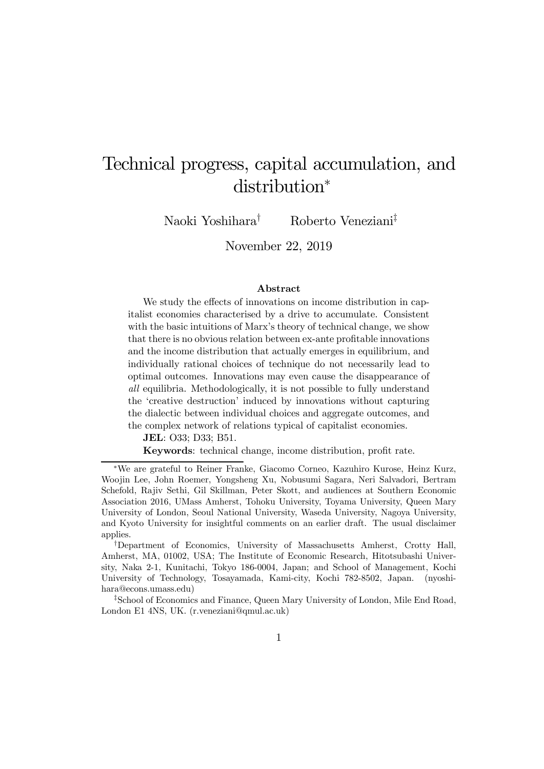# Technical progress, capital accumulation, and distribution<sup>∗</sup>

Naoki Yoshihara† Roberto Veneziani‡

November 22, 2019

#### Abstract

We study the effects of innovations on income distribution in capitalist economies characterised by a drive to accumulate. Consistent with the basic intuitions of Marx's theory of technical change, we show that there is no obvious relation between ex-ante profitable innovations and the income distribution that actually emerges in equilibrium, and individually rational choices of technique do not necessarily lead to optimal outcomes. Innovations may even cause the disappearance of all equilibria. Methodologically, it is not possible to fully understand the 'creative destruction' induced by innovations without capturing the dialectic between individual choices and aggregate outcomes, and the complex network of relations typical of capitalist economies.

JEL: O33; D33; B51.

Keywords: technical change, income distribution, profit rate.

<sup>∗</sup>We are grateful to Reiner Franke, Giacomo Corneo, Kazuhiro Kurose, Heinz Kurz, Woojin Lee, John Roemer, Yongsheng Xu, Nobusumi Sagara, Neri Salvadori, Bertram Schefold, Rajiv Sethi, Gil Skillman, Peter Skott, and audiences at Southern Economic Association 2016, UMass Amherst, Tohoku University, Toyama University, Queen Mary University of London, Seoul National University, Waseda University, Nagoya University, and Kyoto University for insightful comments on an earlier draft. The usual disclaimer applies.

<sup>†</sup>Department of Economics, University of Massachusetts Amherst, Crotty Hall, Amherst, MA, 01002, USA; The Institute of Economic Research, Hitotsubashi University, Naka 2-1, Kunitachi, Tokyo 186-0004, Japan; and School of Management, Kochi University of Technology, Tosayamada, Kami-city, Kochi 782-8502, Japan. (nyoshihara@econs.umass.edu)

<sup>‡</sup>School of Economics and Finance, Queen Mary University of London, Mile End Road, London E1 4NS, UK. (r.veneziani@qmul.ac.uk)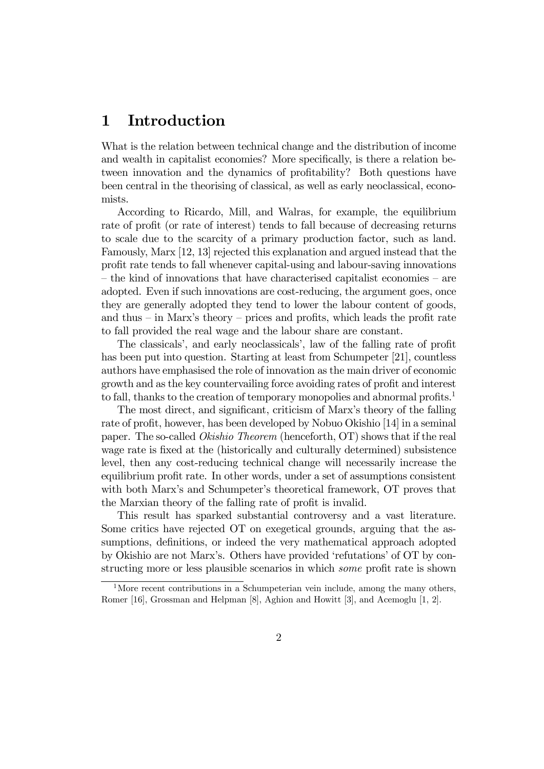# 1 Introduction

What is the relation between technical change and the distribution of income and wealth in capitalist economies? More specifically, is there a relation between innovation and the dynamics of profitability? Both questions have been central in the theorising of classical, as well as early neoclassical, economists.

According to Ricardo, Mill, and Walras, for example, the equilibrium rate of profit (or rate of interest) tends to fall because of decreasing returns to scale due to the scarcity of a primary production factor, such as land. Famously, Marx [12, 13] rejected this explanation and argued instead that the profit rate tends to fall whenever capital-using and labour-saving innovations — the kind of innovations that have characterised capitalist economies — are adopted. Even if such innovations are cost-reducing, the argument goes, once they are generally adopted they tend to lower the labour content of goods, and thus  $-$  in Marx's theory  $-$  prices and profits, which leads the profit rate to fall provided the real wage and the labour share are constant.

The classicals', and early neoclassicals', law of the falling rate of profit has been put into question. Starting at least from Schumpeter [21], countless authors have emphasised the role of innovation as the main driver of economic growth and as the key countervailing force avoiding rates of profit and interest to fall, thanks to the creation of temporary monopolies and abnormal profits.<sup>1</sup>

The most direct, and significant, criticism of Marx's theory of the falling rate of profit, however, has been developed by Nobuo Okishio [14] in a seminal paper. The so-called Okishio Theorem (henceforth, OT) shows that if the real wage rate is fixed at the (historically and culturally determined) subsistence level, then any cost-reducing technical change will necessarily increase the equilibrium profit rate. In other words, under a set of assumptions consistent with both Marx's and Schumpeter's theoretical framework, OT proves that the Marxian theory of the falling rate of profit is invalid.

This result has sparked substantial controversy and a vast literature. Some critics have rejected OT on exegetical grounds, arguing that the assumptions, definitions, or indeed the very mathematical approach adopted by Okishio are not Marx's. Others have provided 'refutations' of OT by constructing more or less plausible scenarios in which some profit rate is shown

<sup>&</sup>lt;sup>1</sup>More recent contributions in a Schumpeterian vein include, among the many others, Romer [16], Grossman and Helpman [8], Aghion and Howitt [3], and Acemoglu [1, 2].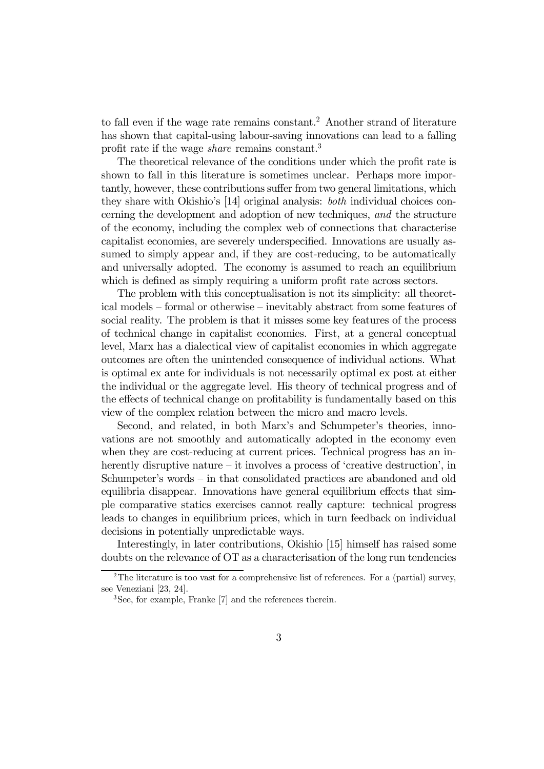to fall even if the wage rate remains constant.<sup>2</sup> Another strand of literature has shown that capital-using labour-saving innovations can lead to a falling profit rate if the wage share remains constant.3

The theoretical relevance of the conditions under which the profit rate is shown to fall in this literature is sometimes unclear. Perhaps more importantly, however, these contributions suffer from two general limitations, which they share with Okishio's [14] original analysis: both individual choices concerning the development and adoption of new techniques, and the structure of the economy, including the complex web of connections that characterise capitalist economies, are severely underspecified. Innovations are usually assumed to simply appear and, if they are cost-reducing, to be automatically and universally adopted. The economy is assumed to reach an equilibrium which is defined as simply requiring a uniform profit rate across sectors.

The problem with this conceptualisation is not its simplicity: all theoretical models — formal or otherwise — inevitably abstract from some features of social reality. The problem is that it misses some key features of the process of technical change in capitalist economies. First, at a general conceptual level, Marx has a dialectical view of capitalist economies in which aggregate outcomes are often the unintended consequence of individual actions. What is optimal ex ante for individuals is not necessarily optimal ex post at either the individual or the aggregate level. His theory of technical progress and of the effects of technical change on profitability is fundamentally based on this view of the complex relation between the micro and macro levels.

Second, and related, in both Marx's and Schumpeter's theories, innovations are not smoothly and automatically adopted in the economy even when they are cost-reducing at current prices. Technical progress has an inherently disruptive nature – it involves a process of 'creative destruction', in Schumpeter's words — in that consolidated practices are abandoned and old equilibria disappear. Innovations have general equilibrium effects that simple comparative statics exercises cannot really capture: technical progress leads to changes in equilibrium prices, which in turn feedback on individual decisions in potentially unpredictable ways.

Interestingly, in later contributions, Okishio [15] himself has raised some doubts on the relevance of OT as a characterisation of the long run tendencies

<sup>&</sup>lt;sup>2</sup>The literature is too vast for a comprehensive list of references. For a (partial) survey, see Veneziani [23, 24].

<sup>3</sup>See, for example, Franke [7] and the references therein.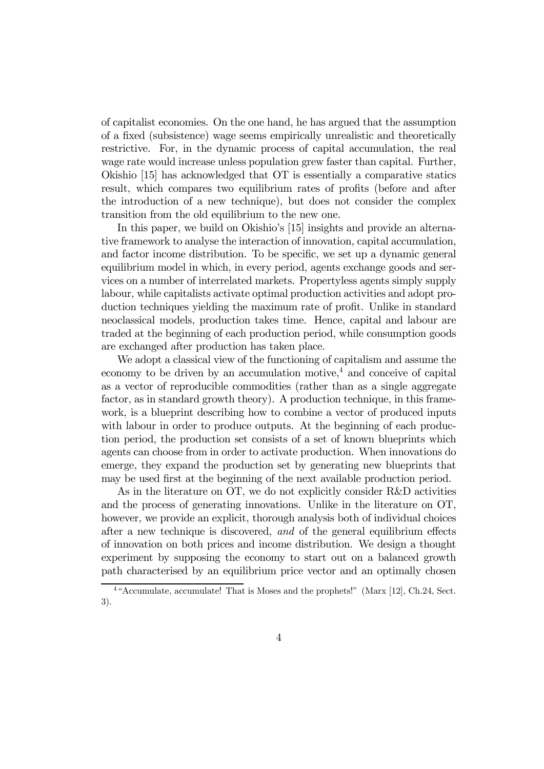of capitalist economies. On the one hand, he has argued that the assumption of a fixed (subsistence) wage seems empirically unrealistic and theoretically restrictive. For, in the dynamic process of capital accumulation, the real wage rate would increase unless population grew faster than capital. Further, Okishio [15] has acknowledged that OT is essentially a comparative statics result, which compares two equilibrium rates of profits (before and after the introduction of a new technique), but does not consider the complex transition from the old equilibrium to the new one.

In this paper, we build on Okishio's [15] insights and provide an alternative framework to analyse the interaction of innovation, capital accumulation, and factor income distribution. To be specific, we set up a dynamic general equilibrium model in which, in every period, agents exchange goods and services on a number of interrelated markets. Propertyless agents simply supply labour, while capitalists activate optimal production activities and adopt production techniques yielding the maximum rate of profit. Unlike in standard neoclassical models, production takes time. Hence, capital and labour are traded at the beginning of each production period, while consumption goods are exchanged after production has taken place.

We adopt a classical view of the functioning of capitalism and assume the economy to be driven by an accumulation motive,<sup>4</sup> and conceive of capital as a vector of reproducible commodities (rather than as a single aggregate factor, as in standard growth theory). A production technique, in this framework, is a blueprint describing how to combine a vector of produced inputs with labour in order to produce outputs. At the beginning of each production period, the production set consists of a set of known blueprints which agents can choose from in order to activate production. When innovations do emerge, they expand the production set by generating new blueprints that may be used first at the beginning of the next available production period.

As in the literature on OT, we do not explicitly consider R&D activities and the process of generating innovations. Unlike in the literature on OT, however, we provide an explicit, thorough analysis both of individual choices after a new technique is discovered, and of the general equilibrium effects of innovation on both prices and income distribution. We design a thought experiment by supposing the economy to start out on a balanced growth path characterised by an equilibrium price vector and an optimally chosen

<sup>4</sup> "Accumulate, accumulate! That is Moses and the prophets!" (Marx [12], Ch.24, Sect. 3).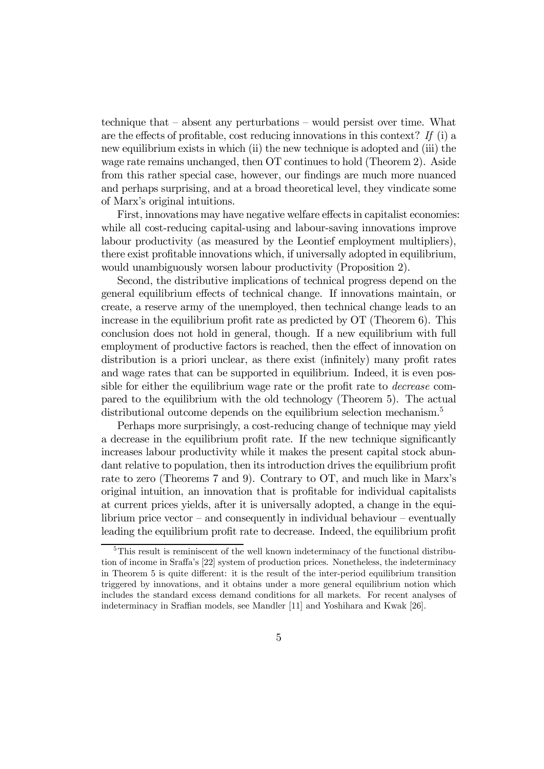technique that — absent any perturbations — would persist over time. What are the effects of profitable, cost reducing innovations in this context? If (i) a new equilibrium exists in which (ii) the new technique is adopted and (iii) the wage rate remains unchanged, then OT continues to hold (Theorem 2). Aside from this rather special case, however, our findings are much more nuanced and perhaps surprising, and at a broad theoretical level, they vindicate some of Marx's original intuitions.

First, innovations may have negative welfare effects in capitalist economies: while all cost-reducing capital-using and labour-saving innovations improve labour productivity (as measured by the Leontief employment multipliers), there exist profitable innovations which, if universally adopted in equilibrium, would unambiguously worsen labour productivity (Proposition 2).

Second, the distributive implications of technical progress depend on the general equilibrium effects of technical change. If innovations maintain, or create, a reserve army of the unemployed, then technical change leads to an increase in the equilibrium profit rate as predicted by OT (Theorem 6). This conclusion does not hold in general, though. If a new equilibrium with full employment of productive factors is reached, then the effect of innovation on distribution is a priori unclear, as there exist (infinitely) many profit rates and wage rates that can be supported in equilibrium. Indeed, it is even possible for either the equilibrium wage rate or the profit rate to decrease compared to the equilibrium with the old technology (Theorem 5). The actual distributional outcome depends on the equilibrium selection mechanism.<sup>5</sup>

Perhaps more surprisingly, a cost-reducing change of technique may yield a decrease in the equilibrium profit rate. If the new technique significantly increases labour productivity while it makes the present capital stock abundant relative to population, then its introduction drives the equilibrium profit rate to zero (Theorems 7 and 9). Contrary to OT, and much like in Marx's original intuition, an innovation that is profitable for individual capitalists at current prices yields, after it is universally adopted, a change in the equilibrium price vector – and consequently in individual behaviour – eventually leading the equilibrium profit rate to decrease. Indeed, the equilibrium profit

<sup>&</sup>lt;sup>5</sup>This result is reminiscent of the well known indeterminacy of the functional distribution of income in Sraffa's [22] system of production prices. Nonetheless, the indeterminacy in Theorem 5 is quite different: it is the result of the inter-period equilibrium transition triggered by innovations, and it obtains under a more general equilibrium notion which includes the standard excess demand conditions for all markets. For recent analyses of indeterminacy in Sraffian models, see Mandler [11] and Yoshihara and Kwak [26].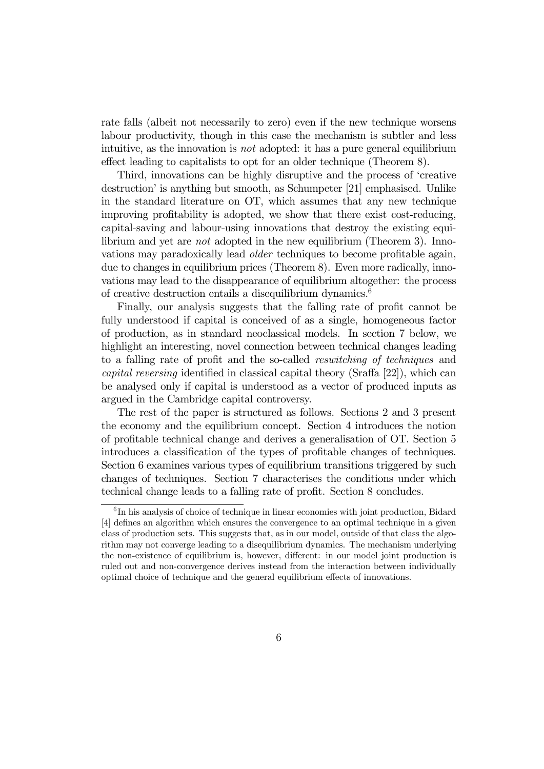rate falls (albeit not necessarily to zero) even if the new technique worsens labour productivity, though in this case the mechanism is subtler and less intuitive, as the innovation is not adopted: it has a pure general equilibrium effect leading to capitalists to opt for an older technique (Theorem 8).

Third, innovations can be highly disruptive and the process of 'creative destruction' is anything but smooth, as Schumpeter [21] emphasised. Unlike in the standard literature on OT, which assumes that any new technique improving profitability is adopted, we show that there exist cost-reducing, capital-saving and labour-using innovations that destroy the existing equilibrium and yet are not adopted in the new equilibrium (Theorem 3). Innovations may paradoxically lead older techniques to become profitable again, due to changes in equilibrium prices (Theorem 8). Even more radically, innovations may lead to the disappearance of equilibrium altogether: the process of creative destruction entails a disequilibrium dynamics.6

Finally, our analysis suggests that the falling rate of profit cannot be fully understood if capital is conceived of as a single, homogeneous factor of production, as in standard neoclassical models. In section 7 below, we highlight an interesting, novel connection between technical changes leading to a falling rate of profit and the so-called reswitching of techniques and capital reversing identified in classical capital theory (Sraffa [22]), which can be analysed only if capital is understood as a vector of produced inputs as argued in the Cambridge capital controversy.

The rest of the paper is structured as follows. Sections 2 and 3 present the economy and the equilibrium concept. Section 4 introduces the notion of profitable technical change and derives a generalisation of OT. Section 5 introduces a classification of the types of profitable changes of techniques. Section 6 examines various types of equilibrium transitions triggered by such changes of techniques. Section 7 characterises the conditions under which technical change leads to a falling rate of profit. Section 8 concludes.

 ${}^{6}$ In his analysis of choice of technique in linear economies with joint production, Bidard [4] defines an algorithm which ensures the convergence to an optimal technique in a given class of production sets. This suggests that, as in our model, outside of that class the algorithm may not converge leading to a disequilibrium dynamics. The mechanism underlying the non-existence of equilibrium is, however, different: in our model joint production is ruled out and non-convergence derives instead from the interaction between individually optimal choice of technique and the general equilibrium effects of innovations.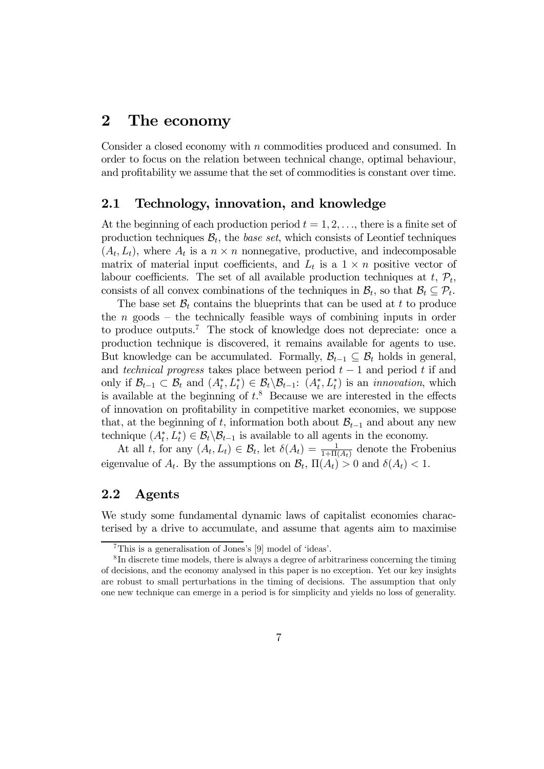# 2 The economy

Consider a closed economy with n commodities produced and consumed. In order to focus on the relation between technical change, optimal behaviour, and profitability we assume that the set of commodities is constant over time.

### 2.1 Technology, innovation, and knowledge

At the beginning of each production period  $t = 1, 2, \ldots$ , there is a finite set of production techniques  $B_t$ , the *base set*, which consists of Leontief techniques  $(A_t, L_t)$ , where  $A_t$  is a  $n \times n$  nonnegative, productive, and indecomposable matrix of material input coefficients, and  $L_t$  is a  $1 \times n$  positive vector of labour coefficients. The set of all available production techniques at  $t, \mathcal{P}_t$ , consists of all convex combinations of the techniques in  $\mathcal{B}_t$ , so that  $\mathcal{B}_t \subseteq \mathcal{P}_t$ .

The base set  $\mathcal{B}_t$  contains the blueprints that can be used at t to produce the  $n$  goods – the technically feasible ways of combining inputs in order to produce outputs.<sup>7</sup> The stock of knowledge does not depreciate: once a production technique is discovered, it remains available for agents to use. But knowledge can be accumulated. Formally,  $\mathcal{B}_{t-1} \subseteq \mathcal{B}_t$  holds in general, and technical progress takes place between period  $t-1$  and period t if and only if  $\mathcal{B}_{t-1} \subset \mathcal{B}_t$  and  $(A_t^*, L_t^*) \in \mathcal{B}_t \backslash \mathcal{B}_{t-1}$ :  $(A_t^*, L_t^*)$  is an *innovation*, which is available at the beginning of  $t$ <sup>8</sup>. Because we are interested in the effects of innovation on profitability in competitive market economies, we suppose that, at the beginning of t, information both about  $\mathcal{B}_{t-1}$  and about any new technique  $(A_t^*, L_t^*) \in \mathcal{B}_t \backslash \mathcal{B}_{t-1}$  is available to all agents in the economy.

At all t, for any  $(A_t, L_t) \in \mathcal{B}_t$ , let  $\delta(A_t) = \frac{1}{1 + \Pi(A_t)}$  denote the Frobenius eigenvalue of  $A_t$ . By the assumptions on  $\mathcal{B}_t$ ,  $\Pi(A_t) > 0$  and  $\delta(A_t) < 1$ .

## 2.2 Agents

We study some fundamental dynamic laws of capitalist economies characterised by a drive to accumulate, and assume that agents aim to maximise

<sup>7</sup>This is a generalisation of Jones's [9] model of 'ideas'.

<sup>8</sup> In discrete time models, there is always a degree of arbitrariness concerning the timing of decisions, and the economy analysed in this paper is no exception. Yet our key insights are robust to small perturbations in the timing of decisions. The assumption that only one new technique can emerge in a period is for simplicity and yields no loss of generality.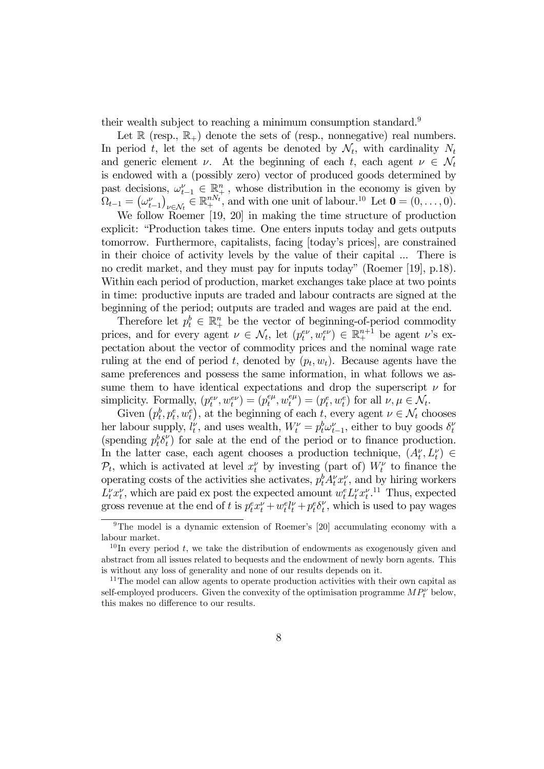their wealth subject to reaching a minimum consumption standard.<sup>9</sup>

Let  $\mathbb R$  (resp.,  $\mathbb R_+$ ) denote the sets of (resp., nonnegative) real numbers. In period t, let the set of agents be denoted by  $\mathcal{N}_t$ , with cardinality  $N_t$ and generic element  $\nu$ . At the beginning of each t, each agent  $\nu \in \mathcal{N}_t$ is endowed with a (possibly zero) vector of produced goods determined by past decisions,  $\omega_{t-1}^{\nu} \in \mathbb{R}_+^n$ , whose distribution in the economy is given by  $\Omega_{t-1} = (\omega_{t-1}^{\nu})_{\nu \in \mathcal{N}_t} \in \mathbb{R}_{+}^{nN_t}$ , and with one unit of labour.<sup>10</sup> Let  $\mathbf{0} = (0,\ldots,0)$ .

We follow Roemer [19, 20] in making the time structure of production explicit: "Production takes time. One enters inputs today and gets outputs tomorrow. Furthermore, capitalists, facing [today's prices], are constrained in their choice of activity levels by the value of their capital ... There is no credit market, and they must pay for inputs today" (Roemer [19], p.18). Within each period of production, market exchanges take place at two points in time: productive inputs are traded and labour contracts are signed at the beginning of the period; outputs are traded and wages are paid at the end.

Therefore let  $p_t^b \in \mathbb{R}_+^n$  be the vector of beginning-of-period commodity prices, and for every agent  $\nu \in \mathcal{N}_t$ , let  $(p_t^{ev}, w_t^{ev}) \in \mathbb{R}^{n+1}_+$  be agent  $\nu$ 's expectation about the vector of commodity prices and the nominal wage rate ruling at the end of period t, denoted by  $(p_t, w_t)$ . Because agents have the same preferences and possess the same information, in what follows we assume them to have identical expectations and drop the superscript  $\nu$  for simplicity. Formally,  $(p_t^{e\nu}, w_t^{e\nu}) = (p_t^{e\mu}, w_t^{e\mu}) = (p_t^e, w_t^e)$  for all  $\nu, \mu \in \mathcal{N}_t$ .

Given  $(p_t^b, p_t^e, w_t^e)$ , at the beginning of each t, every agent  $\nu \in \mathcal{N}_t$  chooses her labour supply,  $l_t^{\nu}$ , and uses wealth,  $W_t^{\nu} = p_t^b \omega_{t-1}^{\nu}$ , either to buy goods  $\delta_t^{\nu}$ (spending  $p_t^b \delta_t^{\nu}$ ) for sale at the end of the period or to finance production. In the latter case, each agent chooses a production technique,  $(A_t^{\nu}, L_t^{\nu}) \in$  $\mathcal{P}_t$ , which is activated at level  $x_t^{\nu}$  by investing (part of)  $W_t^{\nu}$  to finance the operating costs of the activities she activates,  $p_t^b A_t^{\nu} x_t^{\nu}$ , and by hiring workers  $L_t^{\nu} x_t^{\nu}$ , which are paid ex post the expected amount  $w_t^e L_t^{\nu} x_t^{\nu}$ .<sup>11</sup> Thus, expected gross revenue at the end of t is  $p_t^e x_t^{\nu} + w_t^e l_t^{\nu} + p_t^e \delta_t^{\nu}$ , which is used to pay wages

<sup>&</sup>lt;sup>9</sup>The model is a dynamic extension of Roemer's [20] accumulating economy with a labour market.

 $10$  In every period t, we take the distribution of endowments as exogenously given and abstract from all issues related to bequests and the endowment of newly born agents. This is without any loss of generality and none of our results depends on it.

<sup>&</sup>lt;sup>11</sup>The model can allow agents to operate production activities with their own capital as self-employed producers. Given the convexity of the optimisation programme  $MP_t^{\nu}$  below, this makes no difference to our results.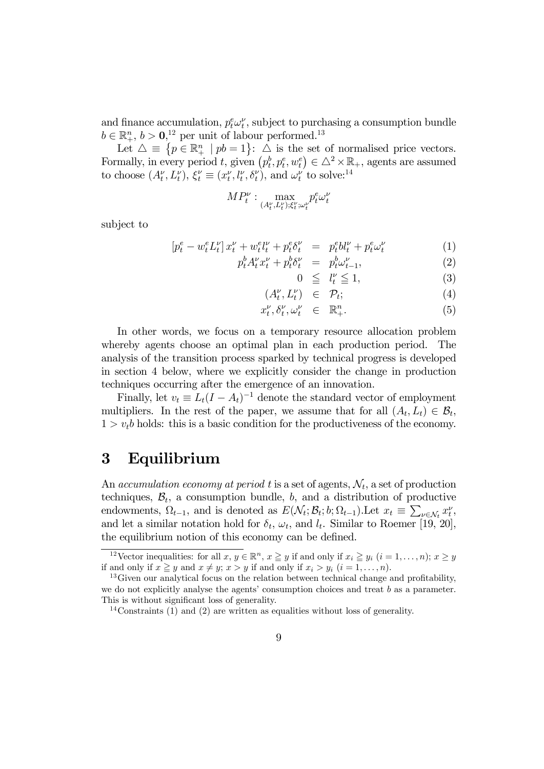and finance accumulation,  $p_t^e \omega_t^{\nu}$ , subject to purchasing a consumption bundle  $b \in \mathbb{R}^n_+$ ,  $b > 0$ , <sup>12</sup> per unit of labour performed.<sup>13</sup>

Let  $\triangle \equiv \{p \in \mathbb{R}^n_+ \mid pb = 1\}$ :  $\triangle$  is the set of normalised price vectors. Formally, in every period t, given  $(p_t^b, p_t^e, w_t^e) \in \triangle^2 \times \mathbb{R}_+$ , agents are assumed to choose  $(A_t^{\nu}, L_t^{\nu}), \xi_t^{\nu} \equiv (x_t^{\nu}, l_t^{\nu}, \delta_t^{\nu})$ , and  $\omega_t^{\nu}$  to solve:<sup>14</sup>

$$
MP_t^{\nu}: \max_{(A_t^{\nu}, L_t^{\nu}); \xi_t^{\nu}; \omega_t^{\nu}} p_t^e \omega_t^{\nu}
$$

subject to

$$
[p_t^e - w_t^e L_t^\nu] x_t^\nu + w_t^e l_t^\nu + p_t^e \delta_t^\nu = p_t^e b l_t^\nu + p_t^e \omega_t^\nu \tag{1}
$$

$$
p_t^b A_t^\nu x_t^\nu + p_t^b \delta_t^\nu = p_t^b \omega_{t-1}^\nu,\tag{2}
$$

$$
0 \leq l_t^{\nu} \leq 1,\tag{3}
$$

$$
(A_t^{\nu}, L_t^{\nu}) \in \mathcal{P}_t; \tag{4}
$$

$$
x_t^{\nu}, \delta_t^{\nu}, \omega_t^{\nu} \in \mathbb{R}_+^n. \tag{5}
$$

In other words, we focus on a temporary resource allocation problem whereby agents choose an optimal plan in each production period. The analysis of the transition process sparked by technical progress is developed in section 4 below, where we explicitly consider the change in production techniques occurring after the emergence of an innovation.

Finally, let  $v_t \equiv L_t (I - A_t)^{-1}$  denote the standard vector of employment multipliers. In the rest of the paper, we assume that for all  $(A_t, L_t) \in \mathcal{B}_t$ ,  $1 > v_t b$  holds: this is a basic condition for the productiveness of the economy.

# 3 Equilibrium

An accumulation economy at period t is a set of agents,  $\mathcal{N}_t$ , a set of production techniques,  $B_t$ , a consumption bundle, b, and a distribution of productive endowments,  $\Omega_{t-1}$ , and is denoted as  $E(\mathcal{N}_t; \mathcal{B}_t; b; \Omega_{t-1})$ . Let  $x_t \equiv \sum_{\nu \in \mathcal{N}_t} x_t^{\nu}$ and let a similar notation hold for  $\delta_t$ ,  $\omega_t$ , and  $l_t$ . Similar to Roemer [19, 20], the equilibrium notion of this economy can be defined.

<sup>&</sup>lt;sup>12</sup>Vector inequalities: for all  $x, y \in \mathbb{R}^n$ ,  $x \geq y$  if and only if  $x_i \geq y_i$   $(i = 1, ..., n)$ ;  $x \geq y$  if and only if  $x \geq y$  and  $x \neq y$ ;  $x > y$  if and only if  $x_i > y_i$   $(i = 1, ..., n)$ .

 $13$  Given our analytical focus on the relation between technical change and profitability, we do not explicitly analyse the agents' consumption choices and treat b as a parameter. This is without significant loss of generality.

<sup>14</sup>Constraints (1) and (2) are written as equalities without loss of generality.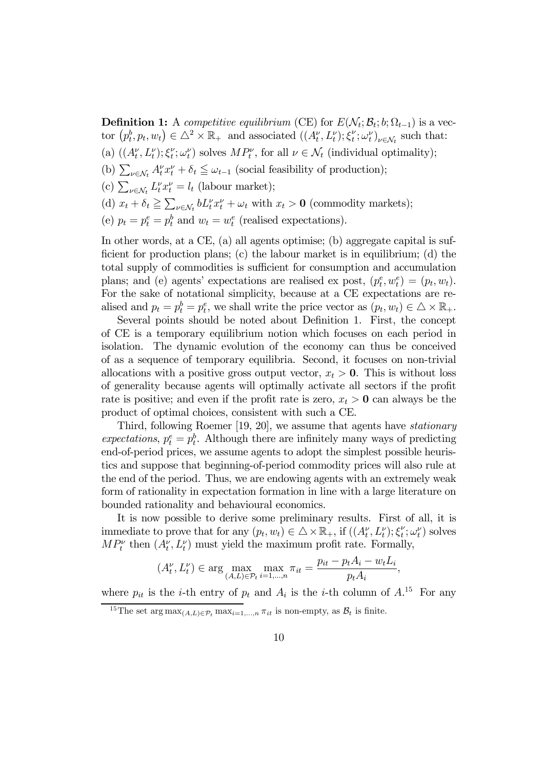**Definition 1:** A competitive equilibrium (CE) for  $E(\mathcal{N}_t; \mathcal{B}_t; b; \Omega_{t-1})$  is a vector  $(p_t^b, p_t, w_t) \in \Delta^2 \times \mathbb{R}_+$  and associated  $((A_t^{\nu}, L_t^{\nu}); \xi_t^{\nu}; \omega_t^{\nu})_{\nu \in \mathcal{N}_t}$  such that:

- (a)  $((A_t^{\nu}, L_t^{\nu}); \xi_t^{\nu}; \omega_t^{\nu})$  solves  $MP_t^{\nu}$ , for all  $\nu \in \mathcal{N}_t$  (individual optimality);
- (b)  $\sum_{\nu \in \mathcal{N}_t} A_t^{\nu} x_t^{\nu} + \delta_t \leq \omega_{t-1}$  (social feasibility of production);
- (c)  $\sum_{\nu \in \mathcal{N}_t} L_t^{\nu} x_t^{\nu} = l_t$  (labour market);
- (d)  $x_t + \delta_t \ge \sum_{\nu \in \mathcal{N}_t} b L_t^{\nu} x_t^{\nu} + \omega_t$  with  $x_t > 0$  (commodity markets);
- (e)  $p_t = p_t^e = p_t^b$  and  $w_t = w_t^e$  (realised expectations).

In other words, at a CE, (a) all agents optimise; (b) aggregate capital is sufficient for production plans; (c) the labour market is in equilibrium; (d) the total supply of commodities is sufficient for consumption and accumulation plans; and (e) agents' expectations are realised ex post,  $(p_t^e, w_t^e) = (p_t, w_t)$ . For the sake of notational simplicity, because at a CE expectations are realised and  $p_t = p_t^b = p_t^e$ , we shall write the price vector as  $(p_t, w_t) \in \Delta \times \mathbb{R}_+$ .

Several points should be noted about Definition 1. First, the concept of CE is a temporary equilibrium notion which focuses on each period in isolation. The dynamic evolution of the economy can thus be conceived of as a sequence of temporary equilibria. Second, it focuses on non-trivial allocations with a positive gross output vector,  $x_t > 0$ . This is without loss of generality because agents will optimally activate all sectors if the profit rate is positive; and even if the profit rate is zero,  $x_t > 0$  can always be the product of optimal choices, consistent with such a CE.

Third, following Roemer [19, 20], we assume that agents have stationary expectations,  $p_t^e = p_t^b$ . Although there are infinitely many ways of predicting end-of-period prices, we assume agents to adopt the simplest possible heuristics and suppose that beginning-of-period commodity prices will also rule at the end of the period. Thus, we are endowing agents with an extremely weak form of rationality in expectation formation in line with a large literature on bounded rationality and behavioural economics.

It is now possible to derive some preliminary results. First of all, it is immediate to prove that for any  $(p_t, w_t) \in \Delta \times \mathbb{R}_+$ , if  $((A_t^{\nu}, L_t^{\nu}); \xi_t^{\nu}; \omega_t^{\nu})$  solves  $MP_t^{\nu}$  then  $(A_t^{\nu}, L_t^{\nu})$  must yield the maximum profit rate. Formally,

$$
(A_t^{\nu}, L_t^{\nu}) \in \arg \max_{(A, L) \in \mathcal{P}_t} \max_{i=1,...,n} \pi_{it} = \frac{p_{it} - p_t A_i - w_t L_i}{p_t A_i},
$$

where  $p_{it}$  is the *i*-th entry of  $p_t$  and  $A_i$  is the *i*-th column of  $A^{15}$ . For any

<sup>&</sup>lt;sup>15</sup>The set arg max<sub> $(A,L) \in \mathcal{P}_t$ </sub> max $_{i=1,...,n}$   $\pi_{it}$  is non-empty, as  $\mathcal{B}_t$  is finite.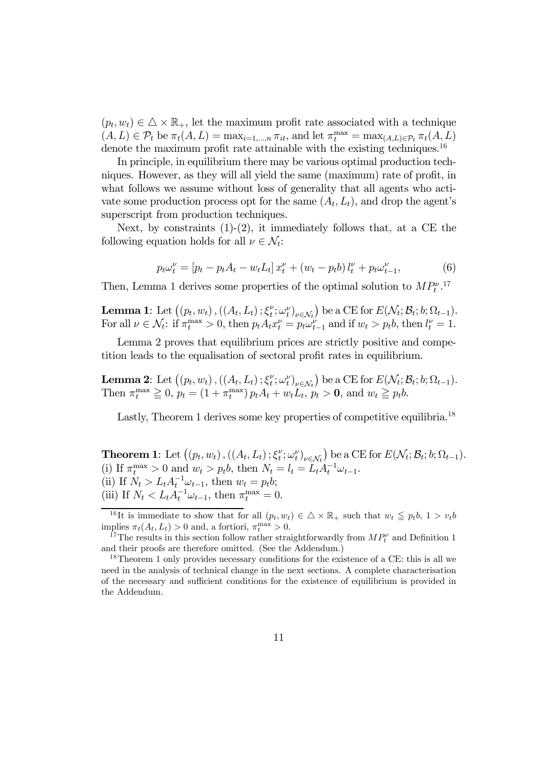$(p_t, w_t) \in \Delta \times \mathbb{R}_+$ , let the maximum profit rate associated with a technique  $(A, L) \in \mathcal{P}_t$  be  $\pi_t(A, L) = \max_{i=1,\dots,n} \pi_{it}$ , and let  $\pi_t^{\max} = \max_{(A, L) \in \mathcal{P}_t} \pi_t(A, L)$ denote the maximum profit rate attainable with the existing techniques.<sup>16</sup>

In principle, in equilibrium there may be various optimal production techniques. However, as they will all yield the same (maximum) rate of profit, in what follows we assume without loss of generality that all agents who activate some production process opt for the same  $(A_t, L_t)$ , and drop the agent's superscript from production techniques.

Next, by constraints  $(1)-(2)$ , it immediately follows that, at a CE the following equation holds for all  $\nu \in \mathcal{N}_t$ :

$$
p_t \omega_t^{\nu} = [p_t - p_t A_t - w_t L_t] x_t^{\nu} + (w_t - p_t b) l_t^{\nu} + p_t \omega_{t-1}^{\nu}, \tag{6}
$$

Then, Lemma 1 derives some properties of the optimal solution to  $MP_t^{\nu}$ .<sup>17</sup>

**Lemma 1:** Let  $((p_t, w_t), ((A_t, L_t); \xi_t^{\nu}; \omega_t^{\nu})_{\nu \in \mathcal{N}_t})$  be a CE for  $E(\mathcal{N}_t; \mathcal{B}_t; b; \Omega_{t-1})$ . For all  $\nu \in \mathcal{N}_t$ : if  $\pi_t^{\max} > 0$ , then  $p_t A_t x_t^{\nu} = p_t \omega_{t-1}^{\nu}$  and if  $w_t > p_t b$ , then  $l_t^{\nu} = 1$ .

Lemma 2 proves that equilibrium prices are strictly positive and competition leads to the equalisation of sectoral profit rates in equilibrium.

**Lemma 2:** Let  $((p_t, w_t), ((A_t, L_t); \xi_t^{\nu}; \omega_t^{\nu})_{\nu \in \mathcal{N}_t})$  be a CE for  $E(\mathcal{N}_t; \mathcal{B}_t; b; \Omega_{t-1})$ . Then  $\pi_t^{\max} \geq 0$ ,  $p_t = (1 + \pi_t^{\max}) p_t A_t + w_t L_t$ ,  $p_t > 0$ , and  $w_t \geq p_t b$ .

Lastly, Theorem 1 derives some key properties of competitive equilibria.<sup>18</sup>

**Theorem 1:** Let  $((p_t, w_t), ((A_t, L_t); \xi_t^{\nu}; \omega_t^{\nu})_{\nu \in \mathcal{N}_t})$  be a CE for  $E(\mathcal{N}_t; \mathcal{B}_t; b; \Omega_{t-1})$ . (i) If  $\pi_t^{\max} > 0$  and  $w_t > p_t b$ , then  $N_t = l_t = L_t A_t^{-1} \omega_{t-1}$ . (ii) If  $N_t > L_t A_t^{-1} \omega_{t-1}$ , then  $w_t = p_t b$ ; (iii) If  $N_t < L_t A_t^{-1} \omega_{t-1}$ , then  $\pi_t^{\max} = 0$ .

<sup>&</sup>lt;sup>16</sup>It is immediate to show that for all  $(p_t, w_t) \in \Delta \times \mathbb{R}_+$  such that  $w_t \leqq p_t b$ ,  $1 > v_t b$ implies  $\pi_t(A_t, L_t) > 0$  and, a fortiori,  $\pi_t^{\max} > 0$ .

policies  $\pi_t(A_t, L_t) > 0$  and, a fortiori,  $\pi_t^{\max} > 0$ .<br><sup>17</sup>The results in this section follow rather straightforwardly from  $MP_t^{\nu}$  and Definition 1 and their proofs are therefore omitted. (See the Addendum.)

<sup>&</sup>lt;sup>18</sup>Theorem 1 only provides necessary conditions for the existence of a CE: this is all we need in the analysis of technical change in the next sections. A complete characterisation of the necessary and sufficient conditions for the existence of equilibrium is provided in the Addendum.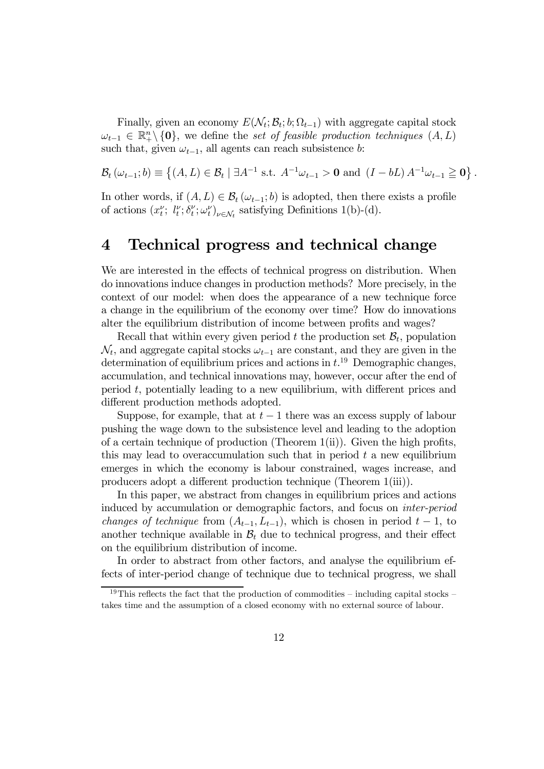Finally, given an economy  $E(\mathcal{N}_t; \mathcal{B}_t; b; \Omega_{t-1})$  with aggregate capital stock  $\omega_{t-1} \in \mathbb{R}^n_+\backslash \{0\}$ , we define the set of feasible production techniques  $(A, L)$ such that, given  $\omega_{t-1}$ , all agents can reach subsistence b:

 $\mathcal{B}_{t}(\omega_{t-1};b) \equiv \{(A,L) \in \mathcal{B}_{t} \mid \exists A^{-1} \text{ s.t. } A^{-1}\omega_{t-1} > \mathbf{0} \text{ and } (I-bL) A^{-1}\omega_{t-1} \geq \mathbf{0}\}\.$ 

In other words, if  $(A, L) \in \mathcal{B}_t(\omega_{t-1}; b)$  is adopted, then there exists a profile of actions  $(x_t^{\nu}; l_t^{\nu}; \delta_t^{\nu}; \omega_t^{\nu})_{\nu \in \mathcal{N}_t}$  satisfying Definitions 1(b)-(d).

# 4 Technical progress and technical change

We are interested in the effects of technical progress on distribution. When do innovations induce changes in production methods? More precisely, in the context of our model: when does the appearance of a new technique force a change in the equilibrium of the economy over time? How do innovations alter the equilibrium distribution of income between profits and wages?

Recall that within every given period t the production set  $\mathcal{B}_t$ , population  $\mathcal{N}_t$ , and aggregate capital stocks  $\omega_{t-1}$  are constant, and they are given in the determination of equilibrium prices and actions in  $t^{19}$  Demographic changes, accumulation, and technical innovations may, however, occur after the end of period t, potentially leading to a new equilibrium, with different prices and different production methods adopted.

Suppose, for example, that at  $t-1$  there was an excess supply of labour pushing the wage down to the subsistence level and leading to the adoption of a certain technique of production (Theorem  $1(ii)$ ). Given the high profits, this may lead to overaccumulation such that in period  $t$  a new equilibrium emerges in which the economy is labour constrained, wages increase, and producers adopt a different production technique (Theorem 1(iii)).

In this paper, we abstract from changes in equilibrium prices and actions induced by accumulation or demographic factors, and focus on inter-period changes of technique from  $(A_{t-1}, L_{t-1})$ , which is chosen in period  $t-1$ , to another technique available in  $B_t$  due to technical progress, and their effect on the equilibrium distribution of income.

In order to abstract from other factors, and analyse the equilibrium effects of inter-period change of technique due to technical progress, we shall

<sup>&</sup>lt;sup>19</sup>This reflects the fact that the production of commodities – including capital stocks – takes time and the assumption of a closed economy with no external source of labour.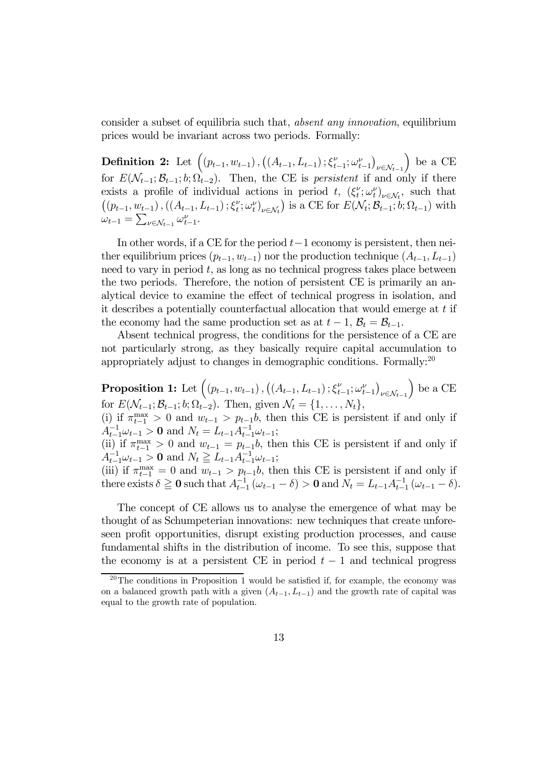consider a subset of equilibria such that, absent any innovation, equilibrium prices would be invariant across two periods. Formally:

Definition 2: Let  $((p_{t-1}, w_{t-1}), ((A_{t-1}, L_{t-1}); \xi_{t-1}^{\nu}; \omega_{t-1}^{\nu})$  $\nu \in \mathcal{N}_{t-1}$ ) be a CE for  $E(\mathcal{N}_{t-1}; \mathcal{B}_{t-1}; b; \Omega_{t-2})$ . Then, the CE is *persistent* if and only if there exists a profile of individual actions in period t,  $(\xi_t^{\nu}; \omega_t^{\nu})_{\nu \in \mathcal{N}_t}$ , such that  $((p_{t-1}, w_{t-1}), ((A_{t-1}, L_{t-1}); \xi_t^{\nu}; \omega_t^{\nu})_{\nu \in \mathcal{N}_t})$  is a CE for  $E(\mathcal{N}_t; \mathcal{B}_{t-1}; b; \Omega_{t-1})$  with  $\omega_{t-1} = \sum_{\nu \in \mathcal{N}_{t-1}} \omega_{t-1}^{\nu}.$ 

In other words, if a CE for the period  $t-1$  economy is persistent, then neither equilibrium prices  $(p_{t-1}, w_{t-1})$  nor the production technique  $(A_{t-1}, L_{t-1})$ need to vary in period  $t$ , as long as no technical progress takes place between the two periods. Therefore, the notion of persistent CE is primarily an analytical device to examine the effect of technical progress in isolation, and it describes a potentially counterfactual allocation that would emerge at t if the economy had the same production set as at  $t-1$ ,  $B_t = B_{t-1}$ .

Absent technical progress, the conditions for the persistence of a CE are not particularly strong, as they basically require capital accumulation to appropriately adjust to changes in demographic conditions. Formally: $^{20}$ 

Proposition 1: Let  $((p_{t-1}, w_{t-1}), ((A_{t-1}, L_{t-1}); \xi_{t-1}^{\nu}; \omega_{t-1}^{\nu})$  $\nu \in \mathcal{N}_{t-1}$ ) be a CE for  $E(\mathcal{N}_{t-1}; \mathcal{B}_{t-1}; b; \hat{\Omega}_{t-2})$ . Then, given  $\mathcal{N}_t = \{1, \ldots, N_t\},$ (i) if  $\pi_{t-1}^{\max} > 0$  and  $w_{t-1} > p_{t-1}b$ , then this CE is persistent if and only if  $A_{t-1}^{-1}\omega_{t-1} > 0$  and  $N_t = L_{t-1}A_{t-1}^{-1}\omega_{t-1};$ (ii) if  $\pi_{t-1}^{\max} > 0$  and  $w_{t-1} = p_{t-1}b$ , then this CE is persistent if and only if  $A_{t-1}^{-1}\omega_{t-1} > 0$  and  $N_t \geq L_{t-1}A_{t-1}^{-1}\omega_{t-1};$ (iii) if  $\pi_{t-1}^{\max} = 0$  and  $w_{t-1} > p_{t-1}b$ , then this CE is persistent if and only if there exists  $\delta \ge 0$  such that  $A_{t-1}^{-1}(\omega_{t-1} - \delta) > 0$  and  $N_t = L_{t-1}A_{t-1}^{-1}(\omega_{t-1} - \delta)$ .

The concept of CE allows us to analyse the emergence of what may be thought of as Schumpeterian innovations: new techniques that create unforeseen profit opportunities, disrupt existing production processes, and cause fundamental shifts in the distribution of income. To see this, suppose that the economy is at a persistent CE in period  $t-1$  and technical progress

<sup>&</sup>lt;sup>20</sup>The conditions in Proposition 1 would be satisfied if, for example, the economy was on a balanced growth path with a given  $(A_{t-1}, L_{t-1})$  and the growth rate of capital was equal to the growth rate of population.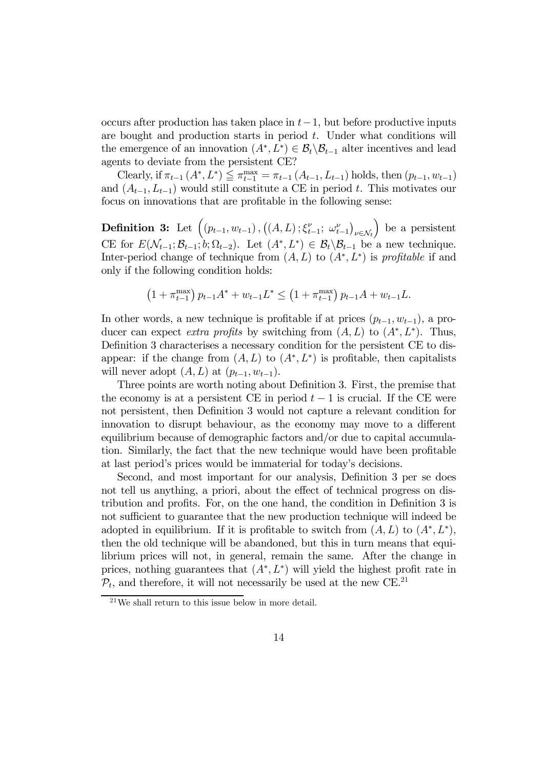occurs after production has taken place in  $t-1$ , but before productive inputs are bought and production starts in period  $t$ . Under what conditions will the emergence of an innovation  $(A^*, L^*) \in \mathcal{B}_t \backslash \mathcal{B}_{t-1}$  alter incentives and lead agents to deviate from the persistent CE?

Clearly, if  $\pi_{t-1}(A^*, L^*) \leq \pi_{t-1}^{\max} = \pi_{t-1}(A_{t-1}, L_{t-1})$  holds, then  $(p_{t-1}, w_{t-1})$ and  $(A_{t-1}, L_{t-1})$  would still constitute a CE in period t. This motivates our focus on innovations that are profitable in the following sense:

Definition 3: Let  $((p_{t-1}, w_{t-1}), ((A, L); \xi_{t-1}^{\nu}; \omega_{t-1}^{\nu}))$  $\nu \in \mathcal{N}_t$ ) be a persistent CE for  $E(\mathcal{N}_{t-1}; \mathcal{B}_{t-1}; b; \Omega_{t-2})$ . Let  $(A^*, L^*) \in \mathcal{B}_t \backslash \mathcal{B}_{t-1}$  be a new technique. Inter-period change of technique from  $(A, L)$  to  $(A^*, L^*)$  is profitable if and only if the following condition holds:

$$
\left(1+\pi_{t-1}^{\max}\right)p_{t-1}A^* + w_{t-1}L^* \leq \left(1+\pi_{t-1}^{\max}\right)p_{t-1}A + w_{t-1}L.
$$

In other words, a new technique is profitable if at prices  $(p_{t-1}, w_{t-1})$ , a producer can expect *extra profits* by switching from  $(A, L)$  to  $(A^*, L^*)$ . Thus, Definition 3 characterises a necessary condition for the persistent CE to disappear: if the change from  $(A, L)$  to  $(A^*, L^*)$  is profitable, then capitalists will never adopt  $(A, L)$  at  $(p_{t-1}, w_{t-1})$ .

Three points are worth noting about Definition 3. First, the premise that the economy is at a persistent CE in period  $t-1$  is crucial. If the CE were not persistent, then Definition 3 would not capture a relevant condition for innovation to disrupt behaviour, as the economy may move to a different equilibrium because of demographic factors and/or due to capital accumulation. Similarly, the fact that the new technique would have been profitable at last period's prices would be immaterial for today's decisions.

Second, and most important for our analysis, Definition 3 per se does not tell us anything, a priori, about the effect of technical progress on distribution and profits. For, on the one hand, the condition in Definition 3 is not sufficient to guarantee that the new production technique will indeed be adopted in equilibrium. If it is profitable to switch from  $(A, L)$  to  $(A^*, L^*)$ , then the old technique will be abandoned, but this in turn means that equilibrium prices will not, in general, remain the same. After the change in prices, nothing guarantees that  $(A^*, L^*)$  will yield the highest profit rate in  $\mathcal{P}_t$ , and therefore, it will not necessarily be used at the new CE.<sup>21</sup>

<sup>21</sup>We shall return to this issue below in more detail.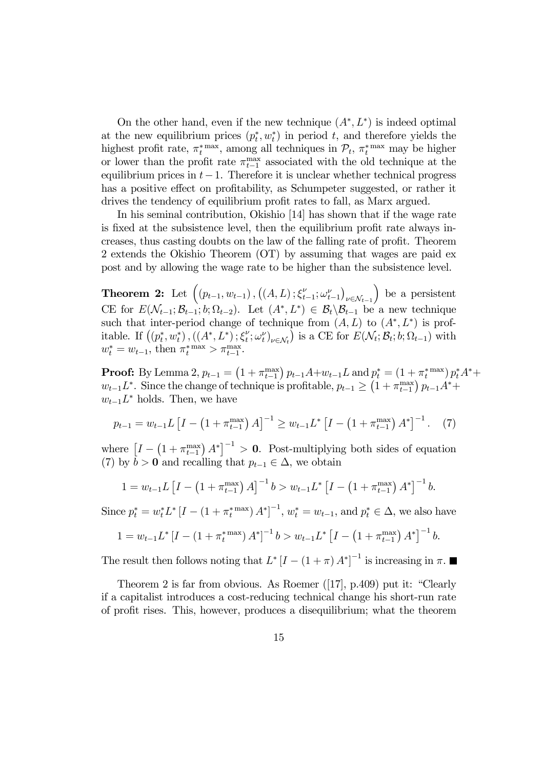On the other hand, even if the new technique  $(A^*, L^*)$  is indeed optimal at the new equilibrium prices  $(p_t^*, w_t^*)$  in period t, and therefore yields the highest profit rate,  $\pi_t^*$ <sup>max</sup>, among all techniques in  $\mathcal{P}_t$ ,  $\pi_t^*$ <sup>max</sup> may be higher or lower than the profit rate  $\pi_{t-1}^{\max}$  associated with the old technique at the equilibrium prices in  $t-1$ . Therefore it is unclear whether technical progress has a positive effect on profitability, as Schumpeter suggested, or rather it drives the tendency of equilibrium profit rates to fall, as Marx argued.

In his seminal contribution, Okishio [14] has shown that if the wage rate is fixed at the subsistence level, then the equilibrium profit rate always increases, thus casting doubts on the law of the falling rate of profit. Theorem 2 extends the Okishio Theorem (OT) by assuming that wages are paid ex post and by allowing the wage rate to be higher than the subsistence level.

**Theorem 2:** Let  $((p_{t-1}, w_{t-1}), ((A, L); \xi_{t-1}^{\nu}; \omega_{t-1}^{\nu}))$  $\nu \in \mathcal{N}_{t-1}$ ) be a persistent CE for  $E(\mathcal{N}_{t-1}; \mathcal{B}_{t-1}; b; \Omega_{t-2})$ . Let  $(A^*, L^*) \in \mathcal{B}_t \backslash \mathcal{B}_{t-1}$  be a new technique such that inter-period change of technique from  $(A, L)$  to  $(A^*, L^*)$  is profitable. If  $((p_t^*, w_t^*), ((A^*, L^*), \xi_t^{\nu}; \omega_t^{\nu})_{\nu \in \mathcal{N}_t})$  is a CE for  $E(\mathcal{N}_t; \mathcal{B}_t; b; \Omega_{t-1})$  with  $w_t^* = w_{t-1}$ , then  $\pi_t^{*} \geq \pi_{t-1}^{\max}$ .

**Proof:** By Lemma 2,  $p_{t-1} = (1 + \pi_{t-1}^{\max}) p_{t-1} A + w_{t-1} L$  and  $p_t^* = (1 + \pi_t^*^{\max}) p_t^* A^* +$  $w_{t-1}L^*$ . Since the change of technique is profitable,  $p_{t-1} \geq (1 + \pi_{t-1}^{\max}) p_{t-1}A^* +$  $w_{t-1}L^*$  holds. Then, we have

$$
p_{t-1} = w_{t-1} L \left[ I - \left( 1 + \pi_{t-1}^{\max} \right) A \right]^{-1} \ge w_{t-1} L^* \left[ I - \left( 1 + \pi_{t-1}^{\max} \right) A^* \right]^{-1} . \tag{7}
$$

where  $[I - (1 + \pi_{t-1}^{\text{max}}) A^*]^{-1} > 0$ . Post-multiplying both sides of equation (7) by  $b > 0$  and recalling that  $p_{t-1} \in \Delta$ , we obtain

$$
1 = w_{t-1}L \left[ I - \left( 1 + \pi_{t-1}^{\max} \right) A \right]^{-1} b > w_{t-1}L^* \left[ I - \left( 1 + \pi_{t-1}^{\max} \right) A^* \right]^{-1} b.
$$

Since  $p_t^* = w_t^* L^* [I - (1 + \pi_t^*^{\max}) A^*]^{-1}, w_t^* = w_{t-1}$ , and  $p_t^* \in \Delta$ , we also have

$$
1 = w_{t-1}L^* \left[ I - \left( 1 + \pi_t^{*} \right) A^* \right]^{-1} b > w_{t-1}L^* \left[ I - \left( 1 + \pi_{t-1}^{\max} \right) A^* \right]^{-1} b.
$$

The result then follows noting that  $L^* [I - (1 + \pi) A^*]^{-1}$  is increasing in  $\pi$ .

Theorem 2 is far from obvious. As Roemer ([17], p.409) put it: "Clearly if a capitalist introduces a cost-reducing technical change his short-run rate of profit rises. This, however, produces a disequilibrium; what the theorem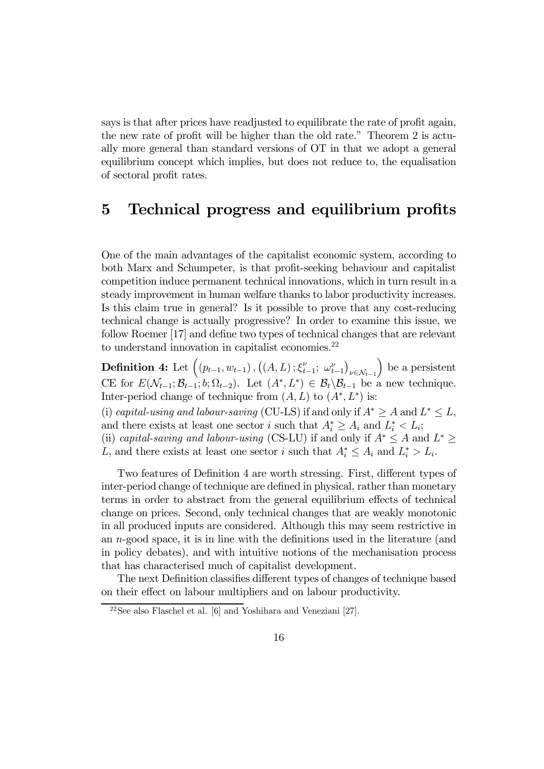says is that after prices have readjusted to equilibrate the rate of profit again, the new rate of profit will be higher than the old rate." Theorem 2 is actually more general than standard versions of OT in that we adopt a general equilibrium concept which implies, but does not reduce to, the equalisation of sectoral profit rates.

# 5 Technical progress and equilibrium profits

One of the main advantages of the capitalist economic system, according to both Marx and Schumpeter, is that profit-seeking behaviour and capitalist competition induce permanent technical innovations, which in turn result in a steady improvement in human welfare thanks to labor productivity increases. Is this claim true in general? Is it possible to prove that any cost-reducing technical change is actually progressive? In order to examine this issue, we follow Roemer [17] and define two types of technical changes that are relevant to understand innovation in capitalist economies. $^{22}$ 

Definition 4: Let  $((p_{t-1}, w_{t-1}), ((A, L); \xi_{t-1}^{\nu}; \omega_{t-1}^{\nu}))$  $\nu \in \mathcal{N}_{t-1}$ ) be a persistent CE for  $E(\mathcal{N}_{t-1}; \mathcal{B}_{t-1}; b; \Omega_{t-2})$ . Let  $(A^*, L^*) \in \mathcal{B}_t \backslash \mathcal{B}_{t-1}$  be a new technique. Inter-period change of technique from  $(A, L)$  to  $(A^*, L^*)$  is:

(i) capital-using and labour-saving (CU-LS) if and only if  $A^* \geq A$  and  $L^* \leq L$ , and there exists at least one sector i such that  $A_i^* \geq A_i$  and  $L_i^* < L_i$ ; (ii) capital-saving and labour-using (CS-LU) if and only if  $A^* \leq A$  and  $L^* \geq$ 

L, and there exists at least one sector i such that  $A_i^* \leq A_i$  and  $L_i^* > L_i$ .

Two features of Definition 4 are worth stressing. First, different types of inter-period change of technique are defined in physical, rather than monetary terms in order to abstract from the general equilibrium effects of technical change on prices. Second, only technical changes that are weakly monotonic in all produced inputs are considered. Although this may seem restrictive in an n-good space, it is in line with the definitions used in the literature (and in policy debates), and with intuitive notions of the mechanisation process that has characterised much of capitalist development.

The next Definition classifies different types of changes of technique based on their effect on labour multipliers and on labour productivity.

 $22$ See also Flaschel et al. [6] and Yoshihara and Veneziani [27].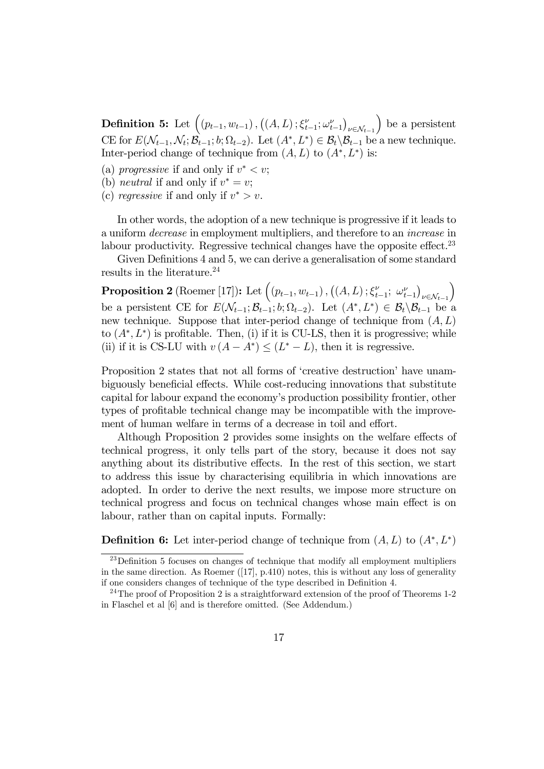Definition 5: Let  $((p_{t-1}, w_{t-1}), ((A, L); \xi_{t-1}^{\nu}; \omega_{t-1}^{\nu}))$  $\nu \in \mathcal{N}_{t-1}$ ) be a persistent CE for  $E(\mathcal{N}_{t-1}, \mathcal{N}_t; \mathcal{B}_{t-1}; b; \Omega_{t-2})$ . Let  $(A^*, L^*) \in \mathcal{B}_t \backslash \mathcal{B}_{t-1}$  be a new technique. Inter-period change of technique from  $(A, L)$  to  $(A^*, L^*)$  is:

(a) *progressive* if and only if  $v^* < v$ ;

- (b) *neutral* if and only if  $v^* = v$ ;
- (c) regressive if and only if  $v^* > v$ .

In other words, the adoption of a new technique is progressive if it leads to a uniform decrease in employment multipliers, and therefore to an increase in labour productivity. Regressive technical changes have the opposite effect.<sup>23</sup>

Given Definitions 4 and 5, we can derive a generalisation of some standard results in the literature.<sup>24</sup>

**Proposition 2** (Roemer [17]): Let  $((p_{t-1}, w_{t-1}), ((A, L); \xi_{t-1}^{\nu}; \omega_{t-1}^{\nu}))$  $\nu \in \mathcal{N}_{t-1}$ ´ be a persistent CE for  $E(\mathcal{N}_{t-1}; \mathcal{B}_{t-1}; b; \Omega_{t-2})$ . Let  $(A^*, L^*) \in \mathcal{B}_t \backslash \mathcal{B}_{t-1}$  be a new technique. Suppose that inter-period change of technique from  $(A, L)$ to  $(A^*, L^*)$  is profitable. Then, (i) if it is CU-LS, then it is progressive; while (ii) if it is CS-LU with  $v(A - A^*) \leq (L^* - L)$ , then it is regressive.

Proposition 2 states that not all forms of 'creative destruction' have unambiguously beneficial effects. While cost-reducing innovations that substitute capital for labour expand the economy's production possibility frontier, other types of profitable technical change may be incompatible with the improvement of human welfare in terms of a decrease in toil and effort.

Although Proposition 2 provides some insights on the welfare effects of technical progress, it only tells part of the story, because it does not say anything about its distributive effects. In the rest of this section, we start to address this issue by characterising equilibria in which innovations are adopted. In order to derive the next results, we impose more structure on technical progress and focus on technical changes whose main effect is on labour, rather than on capital inputs. Formally:

**Definition 6:** Let inter-period change of technique from  $(A, L)$  to  $(A^*, L^*)$ 

<sup>&</sup>lt;sup>23</sup>Definition 5 focuses on changes of technique that modify all employment multipliers in the same direction. As Roemer  $([17], p.410)$  notes, this is without any loss of generality if one considers changes of technique of the type described in Definition 4.

<sup>&</sup>lt;sup>24</sup>The proof of Proposition 2 is a straightforward extension of the proof of Theorems  $1-2$ in Flaschel et al [6] and is therefore omitted. (See Addendum.)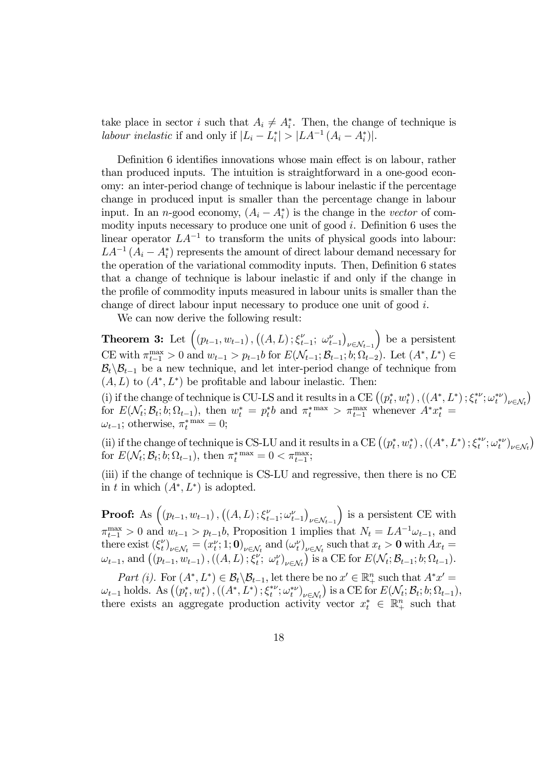take place in sector *i* such that  $A_i \neq A_i^*$ . Then, the change of technique is labour inelastic if and only if  $|L_i - L_i^*| > |LA^{-1}(A_i - A_i^*)|$ .

Definition 6 identifies innovations whose main effect is on labour, rather than produced inputs. The intuition is straightforward in a one-good economy: an inter-period change of technique is labour inelastic if the percentage change in produced input is smaller than the percentage change in labour input. In an *n*-good economy,  $(A_i - A_i^*)$  is the change in the vector of commodity inputs necessary to produce one unit of good  $i$ . Definition 6 uses the linear operator  $LA^{-1}$  to transform the units of physical goods into labour:  $LA^{-1}(A_i - A_i^*)$  represents the amount of direct labour demand necessary for the operation of the variational commodity inputs. Then, Definition 6 states that a change of technique is labour inelastic if and only if the change in the profile of commodity inputs measured in labour units is smaller than the change of direct labour input necessary to produce one unit of good i.

We can now derive the following result:

**Theorem 3:** Let  $((p_{t-1}, w_{t-1}), ((A, L); \xi_{t-1}^{\nu}; \omega_{t-1}^{\nu}))$  $\nu \in \mathcal{N}_{t-1}$ ) be a persistent  $\text{CE with } \pi_{t-1}^{\max} > 0 \text{ and } w_{t-1} > p_{t-1}b \text{ for } E(\mathcal{N}_{t-1}; \mathcal{B}_{t-1}; b; \Omega_{t-2})$ . Let  $(A^*, L^*) \in$  $B_t\setminus B_{t-1}$  be a new technique, and let inter-period change of technique from  $(A, L)$  to  $(A^*, L^*)$  be profitable and labour inelastic. Then:

(i) if the change of technique is CU-LS and it results in a CE  $((p_t^*, w_t^*), ((A^*, L^*); \xi_t^{* \nu}; \omega_t^{* \nu})_{\nu \in \mathcal{N}_t})$ for  $E(\mathcal{N}_t; \mathcal{B}_t; b; \Omega_{t-1}),$  then  $w_t^* = p_t^*b$  and  $\pi_t^{* \max} > \pi_{t-1}^{\max}$  whenever  $A^*x_t^* =$  $\omega_{t-1}$ ; otherwise,  $\pi_t^*$ <sup>max</sup> = 0;

(ii) if the change of technique is CS-LU and it results in a CE  $((p_t^*, w_t^*), ((A^*, L^*); \xi_t^{*\nu}; \omega_t^{*\nu})_{\nu \in \mathcal{N}_t})$ for  $E(\mathcal{N}_t; \mathcal{B}_t; b; \Omega_{t-1})$ , then  $\pi_t^{*}$ <sup>max</sup> = 0 <  $\pi_{t-1}^{\max}$ ;

(iii) if the change of technique is CS-LU and regressive, then there is no CE in t in which  $(A^*, L^*)$  is adopted.

**Proof:** As  $((p_{t-1}, w_{t-1}), ((A, L); \xi_{t-1}^{\nu}; \omega_{t-1}^{\nu}))$  $\nu \in \mathcal{N}_{t-1}$ ) is a persistent CE with  $\pi_{t-1}^{\max} > 0$  and  $w_{t-1} > p_{t-1}b$ , Proposition 1 implies that  $N_t = LA^{-1}\omega_{t-1}$ , and there exist  $(\xi_t^{\nu})_{\nu \in \mathcal{N}_t} = (x_t^{\nu}; 1; 0)_{\nu \in \mathcal{N}_t}$  and  $(\omega_t^{\nu})_{\nu \in \mathcal{N}_t}$  such that  $x_t > 0$  with  $Ax_t =$  $\omega_{t-1}$ , and  $((p_{t-1}, w_{t-1}), ((A, L); \xi_t^{\nu}; \omega_t^{\nu})_{\nu \in \mathcal{N}_t})$  is a CE for  $E(\mathcal{N}_t; \mathcal{B}_{t-1}; b; \Omega_{t-1})$ .

Part (i). For  $(A^*, L^*) \in \mathcal{B}_t \setminus \mathcal{B}_{t-1}$ , let there be no  $x' \in \mathbb{R}_+^n$  such that  $A^*x' =$  $\omega_{t-1}$  holds. As  $((p_t^*, w_t^*), ((A^*, L^*); \xi_t^{*\nu}; \omega_t^{*\nu})_{\nu \in \mathcal{N}_t})$  is a CE for  $E(\mathcal{N}_t; \mathcal{B}_t; b; \Omega_{t-1}),$ there exists an aggregate production activity vector  $x_t^* \in \mathbb{R}_+^n$  such that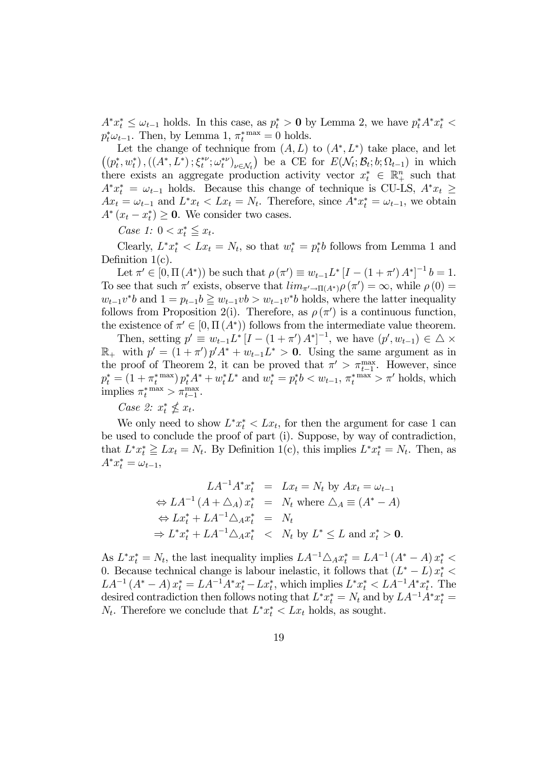$A^*x_t^* \leq \omega_{t-1}$  holds. In this case, as  $p_t^* > 0$  by Lemma 2, we have  $p_t^*A^*x_t^* <$  $p_t^* \omega_{t-1}$ . Then, by Lemma 1,  $\pi_t^*^{\max} = 0$  holds.

Let the change of technique from  $(A, L)$  to  $(A^*, L^*)$  take place, and let  $((p_t^*, w_t^*), ((A^*, L^*); \xi_t^{*\nu}; \omega_t^{*\nu})_{\nu \in \mathcal{N}_t})$  be a CE for  $E(\mathcal{N}_t; \mathcal{B}_t; b; \Omega_{t-1})$  in which there exists an aggregate production activity vector  $x_t^* \in \mathbb{R}_+^n$  such that  $A^*x_t^* = \omega_{t-1}$  holds. Because this change of technique is CU-LS,  $A^*x_t \geq$  $Ax_t = \omega_{t-1}$  and  $L^*x_t < Lx_t = N_t$ . Therefore, since  $A^*x_t^* = \omega_{t-1}$ , we obtain  $A^*(x_t - x_t^*) \geq 0$ . We consider two cases.

Case 1:  $0 < x_t^* \leqq x_t$ .

Clearly,  $L^*x_t^* < Lx_t = N_t$ , so that  $w_t^* = p_t^*b$  follows from Lemma 1 and Definition  $1(c)$ .

Let  $\pi' \in [0, \Pi(A^*))$  be such that  $\rho(\pi') \equiv w_{t-1}L^* [I - (1 + \pi')A^*]^{-1} b = 1$ . To see that such  $\pi'$  exists, observe that  $\lim_{\pi'\to\Pi(A^*)}\rho(\pi') = \infty$ , while  $\rho(0) =$  $w_{t-1}v^*b$  and  $1 = p_{t-1}b \geq w_{t-1}vb > w_{t-1}v^*b$  holds, where the latter inequality follows from Proposition 2(i). Therefore, as  $\rho(\pi')$  is a continuous function, the existence of  $\pi' \in [0, \Pi(A^*))$  follows from the intermediate value theorem.

Then, setting  $p' \equiv w_{t-1}L^*[I-(1+\pi')A^*]^{-1}$ , we have  $(p', w_{t-1}) \in \triangle \times$  $\mathbb{R}_+$  with  $p' = (1 + \pi') p' A^* + w_{t-1} L^* > 0$ . Using the same argument as in the proof of Theorem 2, it can be proved that  $\pi' > \pi_{t-1}^{\max}$ . However, since  $p_t^* = (1 + \pi_t^{*} \max) p_t^* A^* + w_t^* L^*$  and  $w_t^* = p_t^* b < w_{t-1}, \pi_t^{*} \max > \pi'$  holds, which implies  $\pi_t^*$ <sup>max</sup> >  $\pi_{t-1}^{\max}$ .

## Case 2:  $x_t^* \nleq x_t$ .

We only need to show  $L^*x_t^* < Lx_t$ , for then the argument for case 1 can be used to conclude the proof of part (i). Suppose, by way of contradiction, that  $L^*x_t^* \geq Lx_t = N_t$ . By Definition 1(c), this implies  $L^*x_t^* = N_t$ . Then, as  $A^* x_t^* = \omega_{t-1},$ 

$$
LA^{-1}A^*x_t^* = Lx_t = N_t \text{ by } Ax_t = \omega_{t-1}
$$
  
\n
$$
\Leftrightarrow LA^{-1}(A + \Delta_A) x_t^* = N_t \text{ where } \Delta_A \equiv (A^* - A)
$$
  
\n
$$
\Leftrightarrow Lx_t^* + LA^{-1}\Delta_A x_t^* = N_t
$$
  
\n
$$
\Rightarrow L^*x_t^* + LA^{-1}\Delta_A x_t^* < N_t \text{ by } L^* \le L \text{ and } x_t^* > 0.
$$

As  $L^*x_t^* = N_t$ , the last inequality implies  $LA^{-1}\triangle_A x_t^* = LA^{-1}(A^* - A)x_t^* <$ 0. Because technical change is labour inelastic, it follows that  $(L^* - L) x_t^* <$  $LA^{-1}(A^* - A)x_t^* = LA^{-1}A^*x_t^* - Lx_t^*$ , which implies  $L^*x_t^* < LA^{-1}A^*x_t^*$ . The desired contradiction then follows noting that  $L^* x_t^* = N_t$  and by  $LA^{-1} A^* x_t^* =$  $N_t$ . Therefore we conclude that  $L^*x_t^* < Lx_t$  holds, as sought.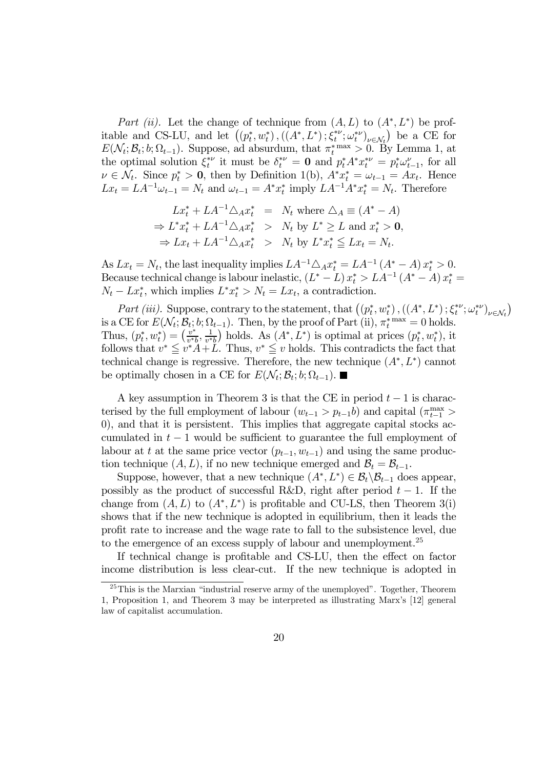Part (ii). Let the change of technique from  $(A, L)$  to  $(A^*, L^*)$  be profitable and CS-LU, and let  $((p_t^*, w_t^*), ((A^*, L^*); \xi_t^{*\nu}; \omega_t^{*\nu})_{\nu \in \mathcal{N}_t})$  be a CE for  $E(\mathcal{N}_t; \mathcal{B}_t; b; \Omega_{t-1})$ . Suppose, ad absurdum, that  $\pi_t^{*}$ <sup>max</sup> > 0. By Lemma 1, at the optimal solution  $\xi_t^{*\nu}$  it must be  $\delta_t^{*\nu} = \mathbf{0}$  and  $p_t^* A^* x_t^{*\nu} = p_t^* \omega_{t-1}^{\nu}$ , for all  $\nu \in \mathcal{N}_t$ . Since  $p_t^* > 0$ , then by Definition 1(b),  $A^* x_t^* = \omega_{t-1} = Ax_t$ . Hence  $Lx_t = LA^{-1}\omega_{t-1} = N_t$  and  $\omega_{t-1} = A^*x_t^*$  imply  $LA^{-1}A^*x_t^* = N_t$ . Therefore

$$
Lx_t^* + LA^{-1}\triangle_A x_t^* = N_t \text{ where } \triangle_A \equiv (A^* - A)
$$
  
\n
$$
\Rightarrow L^*x_t^* + LA^{-1}\triangle_A x_t^* > N_t \text{ by } L^* \ge L \text{ and } x_t^* > 0,
$$
  
\n
$$
\Rightarrow Lx_t + LA^{-1}\triangle_A x_t^* > N_t \text{ by } L^*x_t^* \le Lx_t = N_t.
$$

As  $Lx_t = N_t$ , the last inequality implies  $LA^{-1}\triangle_A x_t^* = LA^{-1}(A^* - A)x_t^* > 0$ . Because technical change is labour inelastic,  $(L^* - L)x_t^* > LA^{-1}(A^* - A)x_t^* =$  $N_t - Lx_t^*$ , which implies  $L^*x_t^* > N_t = Lx_t$ , a contradiction.

Part (iii). Suppose, contrary to the statement, that  $((p_t^*, w_t^*), ((A^*, L^*); \xi_t^{* \nu}; \omega_t^{* \nu})_{\nu \in \mathcal{N}_t})$ is a CE for  $E(\mathcal{N}_t; \mathcal{B}_t; b; \Omega_{t-1})$ . Then, by the proof of Part (ii),  $\pi_t^{*}$ <sup>max</sup> = 0 holds. Thus,  $(p_t^*, w_t^*) = \left(\frac{v^*}{v^*b}, \frac{1}{v^*b}\right)$  holds. As  $(A^*, L^*)$  is optimal at prices  $(p_t^*, w_t^*)$ , it follows that  $v^* \leq v^*A+L$ . Thus,  $v^* \leq v$  holds. This contradicts the fact that technical change is regressive. Therefore, the new technique  $(A^*, L^*)$  cannot be optimally chosen in a CE for  $E(\mathcal{N}_t; \mathcal{B}_t; b; \Omega_{t-1})$ .

A key assumption in Theorem 3 is that the CE in period  $t-1$  is characterised by the full employment of labour  $(w_{t-1} > p_{t-1}b)$  and capital  $(\pi_{t-1}^{\max} >$ 0), and that it is persistent. This implies that aggregate capital stocks accumulated in  $t-1$  would be sufficient to guarantee the full employment of labour at t at the same price vector  $(p_{t-1}, w_{t-1})$  and using the same production technique  $(A, L)$ , if no new technique emerged and  $\mathcal{B}_t = \mathcal{B}_{t-1}$ .

Suppose, however, that a new technique  $(A^*, L^*) \in \mathcal{B}_t \backslash \mathcal{B}_{t-1}$  does appear, possibly as the product of successful R&D, right after period  $t - 1$ . If the change from  $(A, L)$  to  $(A^*, L^*)$  is profitable and CU-LS, then Theorem 3(i) shows that if the new technique is adopted in equilibrium, then it leads the profit rate to increase and the wage rate to fall to the subsistence level, due to the emergence of an excess supply of labour and unemployment.<sup>25</sup>

If technical change is profitable and CS-LU, then the effect on factor income distribution is less clear-cut. If the new technique is adopted in

<sup>25</sup>This is the Marxian "industrial reserve army of the unemployed". Together, Theorem 1, Proposition 1, and Theorem 3 may be interpreted as illustrating Marx's [12] general law of capitalist accumulation.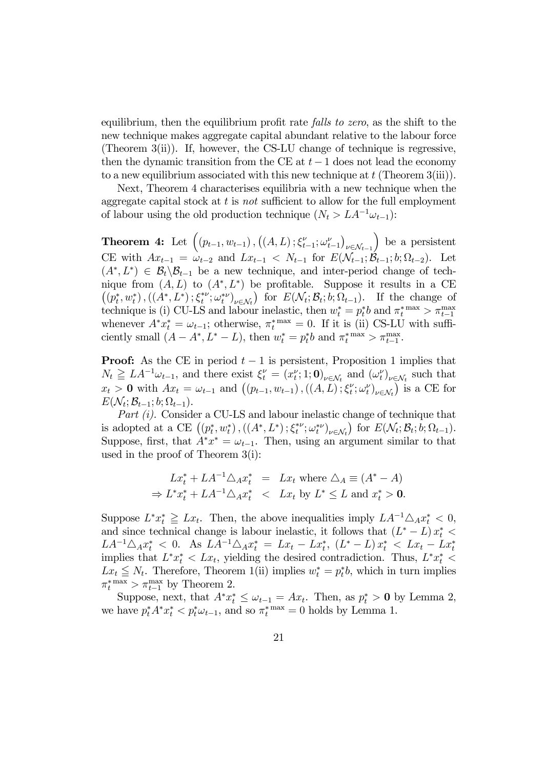equilibrium, then the equilibrium profit rate falls to zero, as the shift to the new technique makes aggregate capital abundant relative to the labour force (Theorem 3(ii)). If, however, the CS-LU change of technique is regressive, then the dynamic transition from the CE at  $t-1$  does not lead the economy to a new equilibrium associated with this new technique at  $t$  (Theorem 3(iii)).

Next, Theorem 4 characterises equilibria with a new technique when the aggregate capital stock at  $t$  is not sufficient to allow for the full employment of labour using the old production technique  $(N_t > LA^{-1}\omega_{t-1})$ :

Theorem 4: Let  $((p_{t-1}, w_{t-1}), ((A, L); \xi_{t-1}^{\nu}; \omega_{t-1}^{\nu}))$  $\nu \in \mathcal{N}_{t-1}$ ) be a persistent CE with  $Ax_{t-1} = \hat{\omega}_{t-2}$  and  $Lx_{t-1} < N_{t-1}$  for  $E(\mathcal{N}_{t-1}; \mathcal{B}_{t-1}; b; \Omega_{t-2})$ . Let  $(A^*, L^*) \in \mathcal{B}_t \backslash \mathcal{B}_{t-1}$  be a new technique, and inter-period change of technique from  $(A, L)$  to  $(A^*, L^*)$  be profitable. Suppose it results in a CE  $((p_t^*, w_t^*), ((A^*, L^*); \xi_t^{*\nu}; \omega_t^{*\nu})_{\nu \in \mathcal{N}_t})$  for  $E(\mathcal{N}_t; \mathcal{B}_t; b; \Omega_{t-1})$ . If the change of technique is (i) CU-LS and labour inelastic, then  $w_t^* = p_t^* b$  and  $\pi_t^{* \max} > \pi_{t-1}^{\max}$ whenever  $A^*x_t^* = \omega_{t-1}$ ; otherwise,  $\pi_t^*$ <sup>max</sup> = 0. If it is (ii) CS-LU with sufficiently small  $(A - A^*, L^* - L)$ , then  $w_t^* = p_t^* b$  and  $\pi_t^{* \max} > \pi_{t-1}^{\max}$ .

**Proof:** As the CE in period  $t - 1$  is persistent, Proposition 1 implies that  $N_t \geq LA^{-1}\omega_{t-1}$ , and there exist  $\xi_t^{\nu} = (x_t^{\nu}; 1; \mathbf{0})_{\nu \in \mathcal{N}_t}$  and  $(\omega_t^{\nu})_{\nu \in \mathcal{N}_t}$  such that  $x_t > 0$  with  $Ax_t = \omega_{t-1}$  and  $((p_{t-1}, w_{t-1}), ((A, L); \xi_t^{\nu}; \omega_t^{\nu})_{\nu \in \mathcal{N}_t})$  is a CE for  $E(\mathcal{N}_t; \mathcal{B}_{t-1}; b; \Omega_{t-1}).$ 

Part (i). Consider a CU-LS and labour inelastic change of technique that is adopted at a CE  $((p_t^*, w_t^*), ((A^*, L^*); \xi_t^{*\nu}; \omega_t^{*\nu})_{\nu \in \mathcal{N}_t})$  for  $E(\mathcal{N}_t; \mathcal{B}_t; b; \Omega_{t-1}).$ Suppose, first, that  $A^*x^* = \omega_{t-1}$ . Then, using an argument similar to that used in the proof of Theorem 3(i):

$$
Lx_t^* + LA^{-1}\triangle_A x_t^* = Lx_t \text{ where } \triangle_A \equiv (A^* - A)
$$
  
\n
$$
\Rightarrow L^*x_t^* + LA^{-1}\triangle_A x_t^* < Lx_t \text{ by } L^* \leq L \text{ and } x_t^* > 0.
$$

Suppose  $L^*x_t^* \geqq Lx_t$ . Then, the above inequalities imply  $LA^{-1}\Delta_A x_t^* < 0$ , and since technical change is labour inelastic, it follows that  $(L^* - L)x_t^* <$  $LA^{-1}\triangle_A x_t^* \leq 0.$  As  $LA^{-1}\triangle_A x_t^* = Lx_t - Lx_t^*$ ,  $(L^* - L)x_t^* \leq Lx_t - Lx_t^*$ implies that  $L^*x_t^* < Lx_t$ , yielding the desired contradiction. Thus,  $L^*x_t^* <$  $Lx_t \leq N_t$ . Therefore, Theorem 1(ii) implies  $w_t^* = p_t^*b$ , which in turn implies  $\pi_t^*$ <sup>max</sup> >  $\pi_{t-1}^{\max}$  by Theorem 2.

Suppose, next, that  $A^*x_t^* \leq \omega_{t-1} = Ax_t$ . Then, as  $p_t^* > 0$  by Lemma 2, we have  $p_t^* A^* x_t^* < p_t^* \omega_{t-1}$ , and so  $\pi_t^{*} \text{max} = 0$  holds by Lemma 1.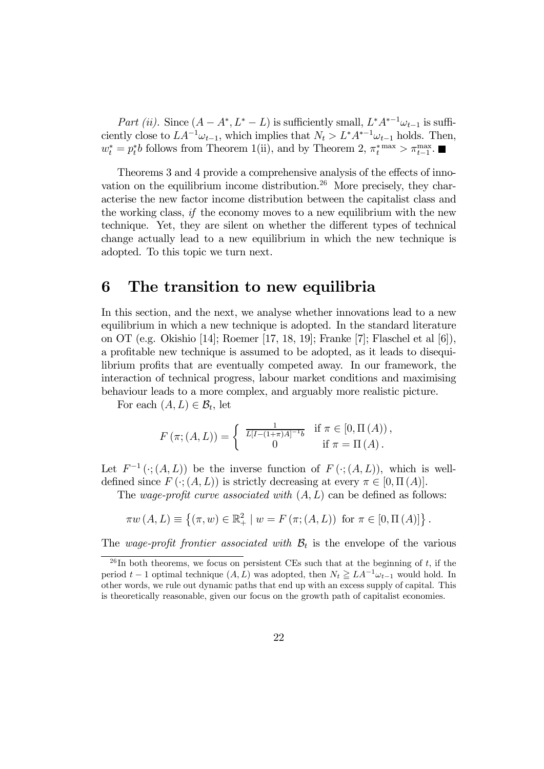Part (ii). Since  $(A - A^*, L^* - L)$  is sufficiently small,  $L^* A^{*-1} \omega_{t-1}$  is sufficiently close to  $LA^{-1}\omega_{t-1}$ , which implies that  $N_t > L^*A^{*-1}\omega_{t-1}$  holds. Then,  $w_t^* = p_t^*b$  follows from Theorem 1(ii), and by Theorem 2,  $\pi_t^{*} \geq \pi_{t-1}^{\max}$ .

Theorems 3 and 4 provide a comprehensive analysis of the effects of innovation on the equilibrium income distribution.<sup>26</sup> More precisely, they characterise the new factor income distribution between the capitalist class and the working class, if the economy moves to a new equilibrium with the new technique. Yet, they are silent on whether the different types of technical change actually lead to a new equilibrium in which the new technique is adopted. To this topic we turn next.

# 6 The transition to new equilibria

In this section, and the next, we analyse whether innovations lead to a new equilibrium in which a new technique is adopted. In the standard literature on OT (e.g. Okishio [14]; Roemer [17, 18, 19]; Franke [7]; Flaschel et al [6]), a profitable new technique is assumed to be adopted, as it leads to disequilibrium profits that are eventually competed away. In our framework, the interaction of technical progress, labour market conditions and maximising behaviour leads to a more complex, and arguably more realistic picture.

For each  $(A, L) \in \mathcal{B}_t$ , let

$$
F(\pi; (A, L)) = \begin{cases} \frac{1}{L[I - (1 + \pi)A]^{-1}b} & \text{if } \pi \in [0, \Pi(A)), \\ 0 & \text{if } \pi = \Pi(A). \end{cases}
$$

Let  $F^{-1}(\cdot; (A, L))$  be the inverse function of  $F(\cdot; (A, L))$ , which is welldefined since  $F(\cdot; (A, L))$  is strictly decreasing at every  $\pi \in [0, \Pi(A)]$ .

The wage-profit curve associated with  $(A, L)$  can be defined as follows:

$$
\pi w(A, L) \equiv \{ (\pi, w) \in \mathbb{R}^2_+ \mid w = F(\pi; (A, L)) \text{ for } \pi \in [0, \Pi(A)] \}.
$$

The wage-profit frontier associated with  $B_t$  is the envelope of the various

<sup>&</sup>lt;sup>26</sup>In both theorems, we focus on persistent CEs such that at the beginning of t, if the period  $t-1$  optimal technique  $(A, L)$  was adopted, then  $N_t \geq L A^{-1} \omega_{t-1}$  would hold. In other words, we rule out dynamic paths that end up with an excess supply of capital. This is theoretically reasonable, given our focus on the growth path of capitalist economies.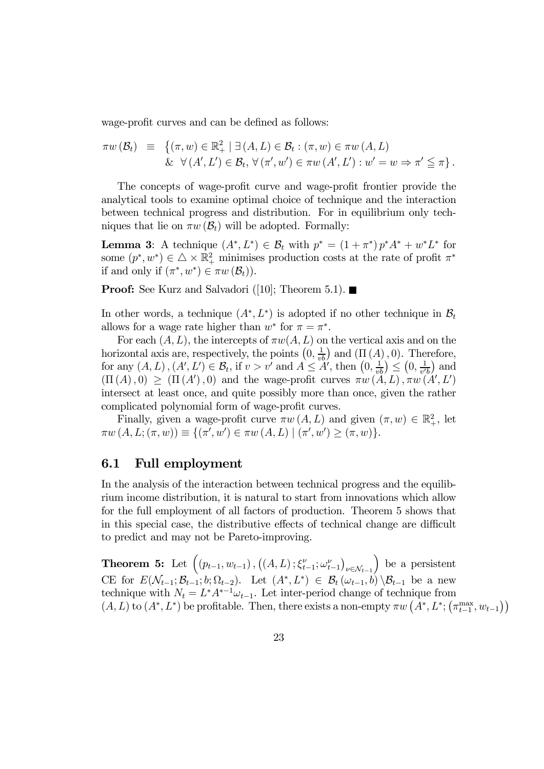wage-profit curves and can be defined as follows:

$$
\pi w\left(\mathcal{B}_{t}\right) \equiv \left\{ \left(\pi, w\right) \in \mathbb{R}_{+}^{2} \mid \exists \left(A, L\right) \in \mathcal{B}_{t} : \left(\pi, w\right) \in \pi w\left(A, L\right) \right\} \& \forall \left(A', L'\right) \in \mathcal{B}_{t}, \forall \left(\pi', w'\right) \in \pi w\left(A', L'\right) : w' = w \Rightarrow \pi' \leq \pi \right\}.
$$

The concepts of wage-profit curve and wage-profit frontier provide the analytical tools to examine optimal choice of technique and the interaction between technical progress and distribution. For in equilibrium only techniques that lie on  $\pi w(\mathcal{B}_t)$  will be adopted. Formally:

**Lemma 3:** A technique  $(A^*, L^*) \in \mathcal{B}_t$  with  $p^* = (1 + \pi^*) p^* A^* + w^* L^*$  for some  $(p^*, w^*) \in \Delta \times \mathbb{R}^2_+$  minimises production costs at the rate of profit  $\pi^*$ if and only if  $(\pi^*, w^*) \in \pi w(\mathcal{B}_t)$ .

**Proof:** See Kurz and Salvadori ([10]; Theorem 5.1).

In other words, a technique  $(A^*, L^*)$  is adopted if no other technique in  $\mathcal{B}_t$ allows for a wage rate higher than  $w^*$  for  $\pi = \pi^*$ .

For each  $(A, L)$ , the intercepts of  $\pi w(A, L)$  on the vertical axis and on the horizontal axis are, respectively, the points  $(0, \frac{1}{vb})$  and  $(\Pi(A), 0)$ . Therefore, for any  $(A, L), (A', L') \in \mathcal{B}_t$ , if  $v > v'$  and  $A \leq A'$ , then  $(0, \frac{1}{vb}) \leq (0, \frac{1}{v'b})$  and  $(\Pi(A), 0) \geq (\Pi(A'), 0)$  and the wage-profit curves  $\pi w(A, L), \pi w(A', L')$ intersect at least once, and quite possibly more than once, given the rather complicated polynomial form of wage-profit curves.

Finally, given a wage-profit curve  $\pi w(A, L)$  and given  $(\pi, w) \in \mathbb{R}^2_+$ , let  $\pi w(A, L; (\pi, w)) \equiv \{ (\pi', w') \in \pi w(A, L) \mid (\pi', w') \ge (\pi, w) \}.$ 

## 6.1 Full employment

In the analysis of the interaction between technical progress and the equilibrium income distribution, it is natural to start from innovations which allow for the full employment of all factors of production. Theorem 5 shows that in this special case, the distributive effects of technical change are difficult to predict and may not be Pareto-improving.

Theorem 5: Let  $((p_{t-1}, w_{t-1}), ((A, L); \xi_{t-1}^{\nu}; \omega_{t-1}^{\nu}))$  $\nu \in \mathcal{N}_{t-1}$ ) be a persistent CE for  $E(\mathcal{N}_{t-1}; \mathcal{B}_{t-1}; b; \Omega_{t-2})$ . Let  $(A^*, L^*) \in \mathcal{B}_t(\omega_{t-1}, b) \setminus \mathcal{B}_{t-1}$  be a new technique with  $N_t = L^* A^{*-1} \omega_{t-1}$ . Let inter-period change of technique from  $(A, L)$  to  $(A^*, L^*)$  be profitable. Then, there exists a non-empty  $\pi w\left(A^*, L^*; \left(\pi_{t-1}^{\max}, w_{t-1}\right)\right)$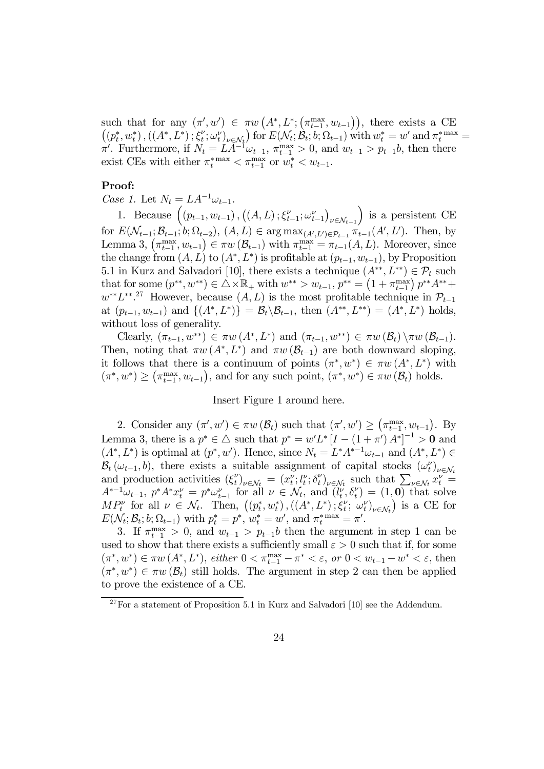such that for any  $(\pi', w') \in \pi w(A^*, L^*; (\pi_{t-1}^{\max}, w_{t-1})),$  there exists a CE  $((p_t^*, w_t^*), ((A^*, L^*); \xi_t^{\nu}; \omega_t^{\nu})_{\nu \in \mathcal{N}_t})$  for  $E(\mathcal{N}_t; \mathcal{B}_t; b; \Omega_{t-1})$  with  $w_t^* = w'$  and  $\pi_t^*$  max  $=$  $\pi'$ . Furthermore, if  $N_t = LA^{-1}\omega_{t-1}$ ,  $\pi_{t-1}^{\max} > 0$ , and  $w_{t-1} > p_{t-1}b$ , then there exist CEs with either  $\pi_t^*$ <sup>max</sup>  $\lt \pi_{t-1}^{\max}$  or  $w_t^* \lt w_{t-1}$ .

### Proof:

Case 1. Let  $N_t = LA^{-1}\omega_{t-1}$ .

1. Because  $((p_{t-1}, w_{t-1}), ((A, L); \xi_{t-1}^{\nu}; \omega_{t-1}^{\nu})$  $\nu \in \mathcal{N}_{t-1}$ ) is a persistent CE for  $E(\mathcal{N}_{t-1}; \mathcal{B}_{t-1}; b; \Omega_{t-2}), (A, L) \in \arg \max_{(A', L') \in \mathcal{P}_{t-1}} \pi_{t-1}(A', L')$ . Then, by Lemma 3,  $(\pi_{t-1}^{\max}, w_{t-1}) \in \pi w(\mathcal{B}_{t-1})$  with  $\pi_{t-1}^{\max} = \pi_{t-1}(A, L)$ . Moreover, since the change from  $(A, L)$  to  $(A^*, L^*)$  is profitable at  $(p_{t-1}, w_{t-1})$ , by Proposition 5.1 in Kurz and Salvadori [10], there exists a technique  $(A^{**}, L^{**}) \in \mathcal{P}_t$  such that for some  $(p^{**}, w^{**}) \in \triangle \times \mathbb{R}_+$  with  $w^{**} > w_{t-1}, p^{**} = (1 + \pi_{t-1}^{\max}) p^{**} A^{**} +$  $w^{**}L^{**}$ <sup>27</sup> However, because  $(A, L)$  is the most profitable technique in  $\mathcal{P}_{t-1}$ at  $(p_{t-1}, w_{t-1})$  and  $\{(A^*, L^*)\} = \mathcal{B}_t \setminus \mathcal{B}_{t-1}$ , then  $(A^{**}, L^{**}) = (A^*, L^*)$  holds, without loss of generality.

Clearly,  $(\pi_{t-1}, w^{**}) \in \pi w(A^*, L^*)$  and  $(\pi_{t-1}, w^{**}) \in \pi w(\mathcal{B}_t) \setminus \pi w(\mathcal{B}_{t-1}).$ Then, noting that  $\pi w(A^*, L^*)$  and  $\pi w(\mathcal{B}_{t-1})$  are both downward sloping, it follows that there is a continuum of points  $(\pi^*, w^*) \in \pi w(A^*, L^*)$  with  $(\pi^*, w^*) \geq (\pi_{t-1}^{\max}, w_{t-1}),$  and for any such point,  $(\pi^*, w^*) \in \pi w(\mathcal{B}_t)$  holds.

#### Insert Figure 1 around here.

2. Consider any  $(\pi', w') \in \pi w(\mathcal{B}_t)$  such that  $(\pi', w') \geq (\pi_{t-1}^{\max}, w_{t-1})$ . By Lemma 3, there is a  $p^* \in \triangle$  such that  $p^* = w'L^* [I - (1 + \pi') A^*]^{-1} > 0$  and  $(A^*, L^*)$  is optimal at  $(p^*, w')$ . Hence, since  $N_t = L^* A^{*-1} \omega_{t-1}$  and  $(A^*, L^*) \in$  $\mathcal{B}_t(\omega_{t-1},b)$ , there exists a suitable assignment of capital stocks  $(\omega_t^{\nu})_{\nu \in \mathcal{N}_t}$ and production activities  $(\xi_t^{\nu})_{\nu \in \mathcal{N}_t} = (x_t^{\nu}; l_t^{\nu}; \delta_t^{\nu})_{\nu \in \mathcal{N}_t}$  such that  $\sum_{\nu \in \mathcal{N}_t} x_t^{\nu} =$  $A^{*-1}\omega_{t-1}, p^*A^*x_t^{\nu} = p^*\omega_{t-1}^{\nu}$  for all  $\nu \in \mathcal{N}_t$ , and  $(\tilde{l}_t^{\nu}, \delta_t^{\nu}) = (1, 0)$  that solve  $MP_t^{\nu}$  for all  $\nu \in \mathcal{N}_t$ . Then,  $((p_t^*, w_t^*), ((A^*, L^*); \xi_t^{\nu}; \omega_t^{\nu})_{\nu \in \mathcal{N}_t})$  is a CE for  $E(\mathcal{N}_t; \mathcal{B}_t; b; \Omega_{t-1})$  with  $p_t^* = p^*$ ,  $w_t^* = w'$ , and  $\pi_t^{*}$ <sup>max</sup> =  $\pi'$ .

3. If  $\pi_{t-1}^{\max} > 0$ , and  $w_{t-1} > p_{t-1}b$  then the argument in step 1 can be used to show that there exists a sufficiently small  $\varepsilon > 0$  such that if, for some  $(\pi^*, w^*) \in \pi w(A^*, L^*),$  either  $0 < \pi_{t-1}^{\max} - \pi^* < \varepsilon$ , or  $0 < w_{t-1} - w^* < \varepsilon$ , then  $(\pi^*, w^*) \in \pi w(\mathcal{B}_t)$  still holds. The argument in step 2 can then be applied to prove the existence of a CE.

 $27$  For a statement of Proposition 5.1 in Kurz and Salvadori [10] see the Addendum.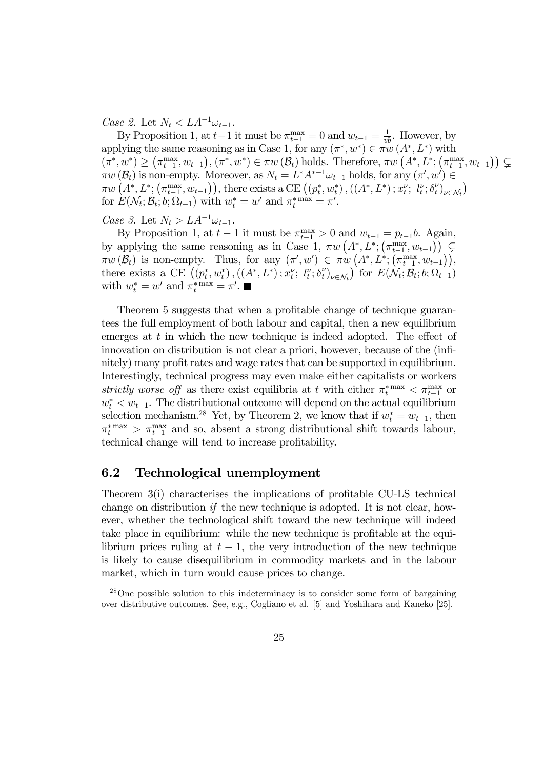Case 2. Let  $N_t < LA^{-1}\omega_{t-1}$ .

By Proposition 1, at  $t-1$  it must be  $\pi_{t-1}^{\max} = 0$  and  $w_{t-1} = \frac{1}{vb}$ . However, by applying the same reasoning as in Case 1, for any  $(\pi^*, w^*) \in \pi w(A^*, L^*)$  with  $(\pi^*, w^*) \geq (\pi_{t-1}^{\max}, w_{t-1}), (\pi^*, w^*) \in \pi w(B_t) \text{ holds. Therefore, } \pi w(A^*, L^*; (\pi_{t-1}^{\max}, w_{t-1})) \subsetneq$  $\pi w(\mathcal{B}_t)$  is non-empty. Moreover, as  $N_t = L^* A^{*-1} \omega_{t-1}$  holds, for any  $(\pi', w') \in$  $\pi w\left(A^*, L^*; (\pi_{t-1}^{\max}, w_{t-1})\right),$  there exists a CE  $((p_t^*, w_t^*), ((A^*, L^*); x_t^{\nu}; \, l_t^{\nu}; \delta_t^{\nu})_{\nu \in \mathcal{N}_t})$ for  $E(\mathcal{N}_t; \mathcal{B}_t; b; \Omega_{t-1})$  with  $w_t^* = w'$  and  $\pi_t^{*} = \pi'.$ 

Case 3. Let  $N_t > LA^{-1}\omega_{t-1}$ .

By Proposition 1, at  $t-1$  it must be  $\pi_{t-1}^{\max} > 0$  and  $w_{t-1} = p_{t-1}b$ . Again, by applying the same reasoning as in Case 1,  $\pi w\left(A^*, L^*; \left(\pi_{t-1}^{\max}, w_{t-1}\right)\right) \subset \mathbb{R}$  $\pi w(\mathcal{B}_t)$  is non-empty. Thus, for any  $(\pi', w') \in \pi w(A^*, L^*, (\pi^{\max}_{t-1}, w_{t-1})),$ there exists a CE  $((p_t^*, w_t^*), ((A^*, L^*); x_t^{\nu}; \, l_t^{\nu}; \delta_t^{\nu})_{\nu \in \mathcal{N}_t})$  for  $E(\mathcal{N}_t; \mathcal{B}_t; b; \Omega_{t-1})$ with  $w_t^* = w'$  and  $\pi_t^*^{\max} = \pi'.$ 

Theorem 5 suggests that when a profitable change of technique guarantees the full employment of both labour and capital, then a new equilibrium emerges at  $t$  in which the new technique is indeed adopted. The effect of innovation on distribution is not clear a priori, however, because of the (infinitely) many profit rates and wage rates that can be supported in equilibrium. Interestingly, technical progress may even make either capitalists or workers strictly worse off as there exist equilibria at t with either  $\pi_t^{* \max} < \pi_{t-1}^{\max}$  or  $w_t^*$  <  $w_{t-1}$ . The distributional outcome will depend on the actual equilibrium selection mechanism.<sup>28</sup> Yet, by Theorem 2, we know that if  $w_t^* = w_{t-1}$ , then  $\pi_t^{*}$ <sup>max</sup> >  $\pi_{t-1}^{\text{max}}$  and so, absent a strong distributional shift towards labour, technical change will tend to increase profitability.

### 6.2 Technological unemployment

Theorem 3(i) characterises the implications of profitable CU-LS technical change on distribution if the new technique is adopted. It is not clear, however, whether the technological shift toward the new technique will indeed take place in equilibrium: while the new technique is profitable at the equilibrium prices ruling at  $t - 1$ , the very introduction of the new technique is likely to cause disequilibrium in commodity markets and in the labour market, which in turn would cause prices to change.

<sup>28</sup>One possible solution to this indeterminacy is to consider some form of bargaining over distributive outcomes. See, e.g., Cogliano et al. [5] and Yoshihara and Kaneko [25].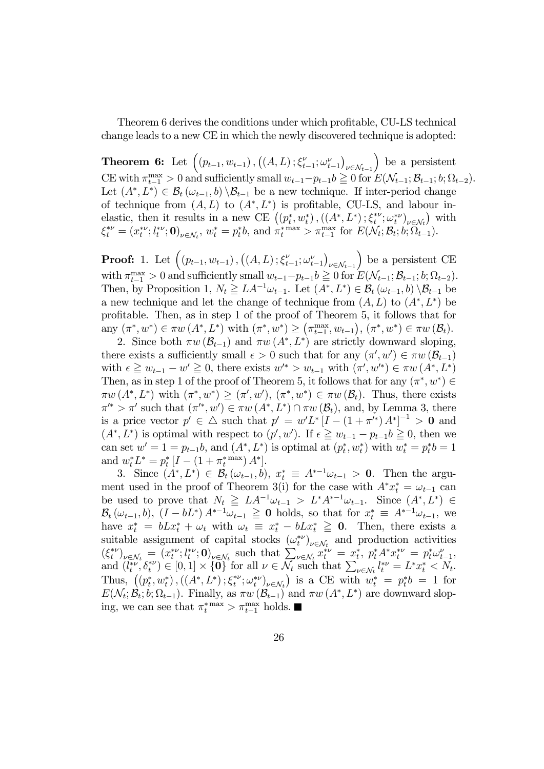Theorem 6 derives the conditions under which profitable, CU-LS technical change leads to a new CE in which the newly discovered technique is adopted:

**Theorem 6:** Let  $((p_{t-1}, w_{t-1}), ((A, L); \xi_{t-1}^{\nu}; \omega_{t-1}^{\nu}))$  $\nu \in \mathcal{N}_{t-1}$ ) be a persistent CE with  $\pi_{t-1}^{\max} > 0$  and sufficiently small  $w_{t-1} - p_{t-1}b \geq 0$  for  $E(\mathcal{N}_{t-1}; \mathcal{B}_{t-1}; b; \Omega_{t-2})$ . Let  $(A^*, L^*) \in \mathcal{B}_t(\omega_{t-1}, b) \setminus \mathcal{B}_{t-1}$  be a new technique. If inter-period change of technique from  $(A, L)$  to  $(A^*, L^*)$  is profitable, CU-LS, and labour inelastic, then it results in a new CE  $((p_t^*, w_t^*), ((A^*, L^*); \xi_t^{*\nu}; \omega_t^{*\nu})_{\nu \in \mathcal{N}_t})$  with  $\xi_t^{*\nu} = (x_t^{*\nu}; l_t^{*\nu}; \mathbf{0})_{\nu \in \mathcal{N}_t}, w_t^* = p_t^* b$ , and  $\pi_t^{*\max} > \pi_{t-1}^{\max}$  for  $E(\mathcal{N}_t; \mathcal{B}_t; b; \Omega_{t-1}^{\text{max}})$ .

**Proof:** 1. Let  $((p_{t-1}, w_{t-1}), ((A, L); \xi_{t-1}^{\nu}; \omega_{t-1}^{\nu}))$  $\nu \in \mathcal{N}_{t-1}$ ) be a persistent CE with  $\pi_{t-1}^{\max} > 0$  and sufficiently small  $w_{t-1} - p_{t-1}b \geq 0$  for  $E(\mathcal{N}_{t-1}; \mathcal{B}_{t-1}; b; \Omega_{t-2})$ . Then, by Proposition 1,  $N_t \geq LA^{-1}\omega_{t-1}$ . Let  $(A^*, L^*) \in \mathcal{B}_t(\omega_{t-1}, b) \setminus \mathcal{B}_{t-1}$  be a new technique and let the change of technique from  $(A, L)$  to  $(A^*, L^*)$  be profitable. Then, as in step 1 of the proof of Theorem 5, it follows that for  $\text{any } (\pi^*, w^*) \in \pi w \ (A^*, L^*) \text{ with } (\pi^*, w^*) \geq (\pi^{\max}_{t-1}, w_{t-1}), (\pi^*, w^*) \in \pi w \ (\mathcal{B}_t).$ 

2. Since both  $\pi w(\mathcal{B}_{t-1})$  and  $\pi w(A^*, L^*)$  are strictly downward sloping, there exists a sufficiently small  $\epsilon > 0$  such that for any  $(\pi', w') \in \pi w(\mathcal{B}_{t-1})$ with  $\epsilon \geq w_{t-1} - w' \geq 0$ , there exists  $w'^* > w_{t-1}$  with  $(\pi', w'^*) \in \pi w(A^*, L^*)$ Then, as in step 1 of the proof of Theorem 5, it follows that for any  $(\pi^*, w^*) \in$  $\pi w(A^*, L^*)$  with  $(\pi^*, w^*) \geq (\pi', w')$ ,  $(\pi^*, w^*) \in \pi w(\mathcal{B}_t)$ . Thus, there exists  $\pi'^* > \pi'$  such that  $(\pi'^*, w') \in \pi w(A^*, L^*) \cap \pi w(B_t)$ , and, by Lemma 3, there is a price vector  $p' \in \triangle$  such that  $p' = w'L^* [I - (1 + \pi'^*) A^*]^{-1} > 0$  and  $(A^*, L^*)$  is optimal with respect to  $(p', w')$ . If  $\epsilon \geq w_{t-1} - p_{t-1}b \geq 0$ , then we can set  $w' = 1 = p_{t-1}b$ , and  $(A^*, L^*)$  is optimal at  $(p_t^*, w_t^*)$  with  $w_t^* = p_t^*b = 1$ and  $w_t^* L^* = p_t^* [I - (1 + \pi_t^{*} \max) A^*].$ 

3. Since  $(A^*, L^*) \in \mathcal{B}_t(\omega_{t-1}, b), x_t^* \equiv A^{*-1}\omega_{t-1} > 0$ . Then the argument used in the proof of Theorem 3(i) for the case with  $A^* x_t^* = \omega_{t-1}$  can be used to prove that  $N_t \geq LA^{-1}\omega_{t-1} > L^*A^{*-1}\omega_{t-1}$ . Since  $(A^*, L^*) \in$  $\mathcal{B}_t(\omega_{t-1}, b)$ ,  $(I - bL^*) A^{*-1} \omega_{t-1} \geq 0$  holds, so that for  $x_t^* \equiv A^{*-1} \omega_{t-1}$ , we have  $x_t^* = bLx_t^* + \omega_t$  with  $\omega_t \equiv x_t^* - bLx_t^* \geq 0$ . Then, there exists a suitable assignment of capital stocks  $(\omega_t^{*\nu})_{\nu \in \mathcal{N}_t}$  and production activities  $(\xi_t^{*\nu})_{\nu \in \mathcal{N}_t} = (x_t^{*\nu}; l_t^{*\nu}; \mathbf{0})_{\nu \in \mathcal{N}_t}$  such that  $\sum_{\nu \in \mathcal{N}_t} x_t^{*\nu} = x_t^*$ ,  $p_t^* A^* x_t^{*\nu} = p_t^* \omega_{t-1}^{\nu}$ and  $(l_t^{*\nu}, \delta_t^{*\nu}) \in [0, 1] \times \{0\}$  for all  $\nu \in \overline{\mathcal{N}_t}$  such that  $\sum_{\nu \in \mathcal{N}_t} l_t^{*\nu} = L^* x_t^* \le \overline{\mathcal{N}_t}$ . Thus,  $((p_t^*, w_t^*), ((A^*, L^*); \xi_t^{*\nu}; \omega_t^{*\nu})_{\nu \in \mathcal{N}_t})$  is a CE with  $w_t^* = p_t^* b = 1$  for  $E(\mathcal{N}_t; \mathcal{B}_t; b; \Omega_{t-1})$ . Finally, as  $\pi w(\mathcal{B}_{t-1})$  and  $\pi w(A^*, L^*)$  are downward sloping, we can see that  $\pi_t^{*} \to \pi_{t-1}^{\max}$  holds.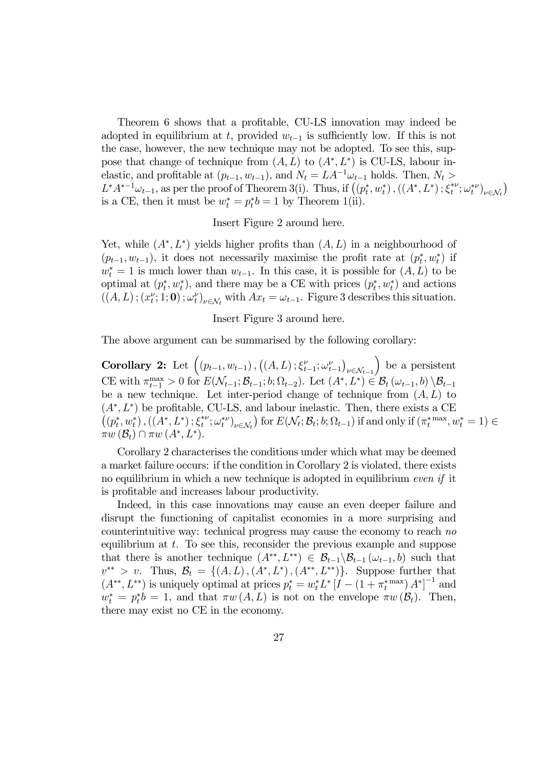Theorem 6 shows that a profitable, CU-LS innovation may indeed be adopted in equilibrium at t, provided  $w_{t-1}$  is sufficiently low. If this is not the case, however, the new technique may not be adopted. To see this, suppose that change of technique from  $(A, L)$  to  $(A^*, L^*)$  is CU-LS, labour inelastic, and profitable at  $(p_{t-1}, w_{t-1})$ , and  $N_t = LA^{-1}\omega_{t-1}$  holds. Then,  $N_t >$  $L^*A^{*-1}\omega_{t-1}$ , as per the proof of Theorem 3(i). Thus, if  $((p_t^*, w_t^*), ((A^*, L^*); \xi_t^{*\nu}; \omega_t^{*\nu})_{\nu \in \mathcal{N}_t})$ is a CE, then it must be  $w_t^* = p_t^* b = 1$  by Theorem 1(ii).

#### Insert Figure 2 around here.

Yet, while  $(A^*, L^*)$  yields higher profits than  $(A, L)$  in a neighbourhood of  $(p_{t-1}, w_{t-1})$ , it does not necessarily maximise the profit rate at  $(p_t^*, w_t^*)$  if  $w_t^* = 1$  is much lower than  $w_{t-1}$ . In this case, it is possible for  $(A, L)$  to be optimal at  $(p_t^*, w_t^*)$ , and there may be a CE with prices  $(p_t^*, w_t^*)$  and actions  $((A, L); (x_t^{\nu}; 1; 0); \omega_t^{\nu})_{\nu \in \mathcal{N}_t}$  with  $Ax_t = \omega_{t-1}$ . Figure 3 describes this situation.

#### Insert Figure 3 around here.

The above argument can be summarised by the following corollary:

Corollary 2: Let  $((p_{t-1}, w_{t-1}), ((A, L); \xi_{t-1}^{\nu}; \omega_{t-1}^{\nu})$  $\nu \in \mathcal{N}_{t-1}$ ) be a persistent CE with  $\pi_{t-1}^{\max} > 0$  for  $E(\mathcal{N}_{t-1}; \mathcal{B}_{t-1}; b; \Omega_{t-2})$ . Let  $(A^*, L^*) \in \mathcal{B}_t(\omega_{t-1}, b) \setminus \mathcal{B}_{t-1}$ be a new technique. Let inter-period change of technique from  $(A, L)$  to  $(A^*, L^*)$  be profitable, CU-LS, and labour inelastic. Then, there exists a CE  $((p_t^*, w_t^*), ((A^*, L^*); \xi_t^{*\nu}; \omega_t^{*\nu})_{\nu \in \mathcal{N}_t})$  for  $E(\mathcal{N}_t; \mathcal{B}_t; b; \Omega_{t-1})$  if and only if  $(\pi_t^{*} \text{max}, w_t^* = 1) \in$  $\pi w\left(\mathcal{B}_{t}\right) \cap \pi w\left(A^{*},L^{*}\right).$ 

Corollary 2 characterises the conditions under which what may be deemed a market failure occurs: if the condition in Corollary 2 is violated, there exists no equilibrium in which a new technique is adopted in equilibrium even if it is profitable and increases labour productivity.

Indeed, in this case innovations may cause an even deeper failure and disrupt the functioning of capitalist economies in a more surprising and counterintuitive way: technical progress may cause the economy to reach no equilibrium at t. To see this, reconsider the previous example and suppose that there is another technique  $(A^{**}, L^{**}) \in \mathcal{B}_{t-1} \setminus \mathcal{B}_{t-1} (\omega_{t-1}, b)$  such that  $v^{**} > v$ . Thus,  $\mathcal{B}_t = \{(A, L), (A^*, L^*), (A^{**}, L^{**})\}$ . Suppose further that  $(A^{**}, L^{**})$  is uniquely optimal at prices  $p_t^* = w_t^* L^* [I - (1 + \pi_t^{*} \max) A^*]^{-1}$  and  $w_t^* = p_t^*b = 1$ , and that  $\pi w(A, L)$  is not on the envelope  $\pi w(\mathcal{B}_t)$ . Then, there may exist no CE in the economy.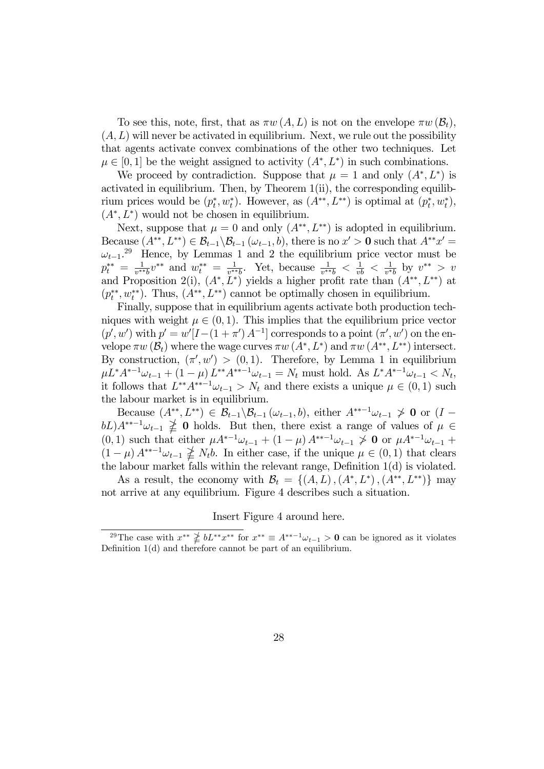To see this, note, first, that as  $\pi w(A, L)$  is not on the envelope  $\pi w(\mathcal{B}_t)$ ,  $(A, L)$  will never be activated in equilibrium. Next, we rule out the possibility that agents activate convex combinations of the other two techniques. Let  $\mu \in [0, 1]$  be the weight assigned to activity  $(A^*, L^*)$  in such combinations.

We proceed by contradiction. Suppose that  $\mu = 1$  and only  $(A^*, L^*)$  is activated in equilibrium. Then, by Theorem 1(ii), the corresponding equilibrium prices would be  $(p_t^*, w_t^*)$ . However, as  $(A^{**}, L^{**})$  is optimal at  $(p_t^*, w_t^*)$ ,  $(A^*, L^*)$  would not be chosen in equilibrium.

Next, suppose that  $\mu = 0$  and only  $(A^{**}, L^{**})$  is adopted in equilibrium. Because  $(A^{**}, L^{**}) \in \mathcal{B}_{t-1} \backslash \mathcal{B}_{t-1} (\omega_{t-1}, b)$ , there is no  $x' > 0$  such that  $A^{**}x' =$  $\omega_{t-1}$ <sup>29</sup> Hence, by Lemmas 1 and 2 the equilibrium price vector must be  $p_t^{**} = \frac{1}{v^{**}b}v^{**}$  and  $w_t^{**} = \frac{1}{v^{**}b}$ . Yet, because  $\frac{1}{v^{**}b} < \frac{1}{vb} < \frac{1}{v^{*}b}$  by  $v^{**} > v$ and Proposition 2(i),  $(A^*, L^*)$  yields a higher profit rate than  $(A^{**}, L^{**})$  at  $(p_t^{**}, w_t^{**})$ . Thus,  $(A^{**}, L^{**})$  cannot be optimally chosen in equilibrium.

Finally, suppose that in equilibrium agents activate both production techniques with weight  $\mu \in (0, 1)$ . This implies that the equilibrium price vector  $(p', w')$  with  $p' = w'[I-(1+\pi') A^{-1}]$  corresponds to a point  $(\pi', w')$  on the envelope  $\pi w (\mathcal{B}_t)$  where the wage curves  $\pi w (A^*, L^*)$  and  $\pi w (A^{**}, L^{**})$  intersect. By construction,  $(\pi', w') > (0, 1)$ . Therefore, by Lemma 1 in equilibrium  $\mu L^* A^{*-1} \omega_{t-1} + (1 - \mu) L^{**} A^{**-1} \omega_{t-1} = N_t$  must hold. As  $L^* A^{*-1} \omega_{t-1} < N_t$ , it follows that  $\hat{L}^{**}A^{**-1}\omega_{t-1} > N_t$  and there exists a unique  $\mu \in (0,1)$  such the labour market is in equilibrium.

Because  $(A^{**}, L^{**}) \in \mathcal{B}_{t-1} \backslash \mathcal{B}_{t-1} (\omega_{t-1}, b)$ , either  $A^{**-1} \omega_{t-1} \not> 0$  or  $(I$  $bL)A^{**-1}\omega_{t-1} \nleq 0$  holds. But then, there exist a range of values of  $\mu \in$ (0, 1) such that either  $\mu A^{*-1} \omega_{t-1} + (1 - \mu) A^{**-1} \omega_{t-1} \neq 0$  or  $\mu A^{*-1} \omega_{t-1} +$  $(1 - \mu) A^{**-1} \omega_{t-1} \nleq N_t b$ . In either case, if the unique  $\mu \in (0, 1)$  that clears the labour market falls within the relevant range, Definition 1(d) is violated.

As a result, the economy with  $\mathcal{B}_t = \{(A, L), (A^*, L^*), (A^{**}, L^{**})\}$  may not arrive at any equilibrium. Figure 4 describes such a situation.

#### Insert Figure 4 around here.

<sup>&</sup>lt;sup>29</sup>The case with  $x^{**} \not\geq bL^{**}x^{**}$  for  $x^{**} \equiv A^{**-1}\omega_{t-1} > 0$  can be ignored as it violates Definition 1(d) and therefore cannot be part of an equilibrium.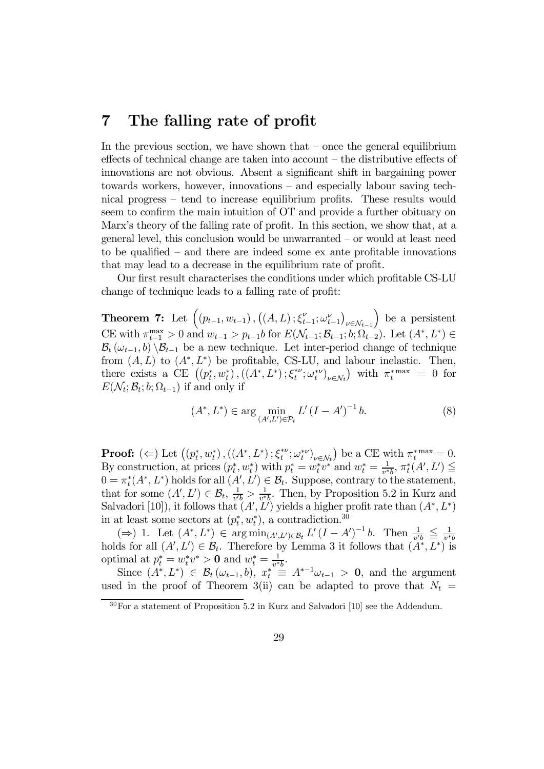# 7 The falling rate of profit

In the previous section, we have shown that  $-$  once the general equilibrium effects of technical change are taken into account — the distributive effects of innovations are not obvious. Absent a significant shift in bargaining power towards workers, however, innovations — and especially labour saving technical progress — tend to increase equilibrium profits. These results would seem to confirm the main intuition of OT and provide a further obituary on Marx's theory of the falling rate of profit. In this section, we show that, at a general level, this conclusion would be unwarranted — or would at least need to be qualified — and there are indeed some ex ante profitable innovations that may lead to a decrease in the equilibrium rate of profit.

Our first result characterises the conditions under which profitable CS-LU change of technique leads to a falling rate of profit:

Theorem 7: Let  $((p_{t-1}, w_{t-1}), ((A, L); \xi_{t-1}^{\nu}; \omega_{t-1}^{\nu}))$  $\nu \in \mathcal{N}_{t-1}$ ) be a persistent CE with  $\pi_{t-1}^{\max} > 0$  and  $w_{t-1} > p_{t-1}$ *b* for  $E(\mathcal{N}_{t-1}; \mathcal{B}_{t-1}; b; \Omega_{t-2})$ . Let  $(A^*, L^*)$  ∈  $B_t(\omega_{t-1}, b) \setminus B_{t-1}$  be a new technique. Let inter-period change of technique from  $(A, L)$  to  $(A^*, L^*)$  be profitable, CS-LU, and labour inelastic. Then, there exists a CE  $((p_t^*, w_t^*), ((A^*, L^*); \xi_t^{*\nu}; \omega_t^{*\nu})_{\nu \in \mathcal{N}_t})$  with  $\pi_t^{*\max} = 0$  for  $E(\mathcal{N}_t; \mathcal{B}_t; b; \Omega_{t-1})$  if and only if

$$
(A^*, L^*) \in \arg\min_{(A', L') \in \mathcal{P}_t} L'(I - A')^{-1} b. \tag{8}
$$

**Proof:**  $(\Leftarrow)$  Let  $((p_t^*, w_t^*), ((A^*, L^*); \xi_t^{*\nu}; \omega_t^{*\nu})_{\nu \in \mathcal{N}_t})$  be a CE with  $\pi_t^{*\max} = 0$ . By construction, at prices  $(p_t^*, w_t^*)$  with  $p_t^* = w_t^* v^*$  and  $w_t^* = \frac{1}{v^*b}$ ,  $\pi_t^*(A', L') \leq$  $0 = \pi_t^*(A^*, L^*)$  holds for all  $(A', L') \in \mathcal{B}_t$ . Suppose, contrary to the statement, that for some  $(A', L') \in \mathcal{B}_t$ ,  $\frac{1}{v'b} > \frac{1}{v * b}$ . Then, by Proposition 5.2 in Kurz and Salvadori [10]), it follows that  $(A', L')$  yields a higher profit rate than  $(A^*, L^*)$ in at least some sectors at  $(p_t^*, w_t^*)$ , a contradiction.<sup>30</sup>

(⇒) 1. Let  $(A^*, L^*)$  ∈ arg min<sub> $(A', L') \in \mathcal{B}_t$ </sub>  $L'(I - A')^{-1}$  *b*. Then  $\frac{1}{v'b} \leqq \frac{1}{v^*b}$  holds for all  $(A', L') \in \mathcal{B}_t$ . Therefore by Lemma 3 it follows that  $(A^*, L^*)$  is optimal at  $p_t^* = w_t^* v^* > 0$  and  $w_t^* = \frac{1}{v^* b}$ .

Since  $(A^*, L^*) \in \mathcal{B}_t(\omega_{t-1}, b)$ ,  $x_t^* \equiv A^{*-1}\omega_{t-1} > 0$ , and the argument used in the proof of Theorem 3(ii) can be adapted to prove that  $N_t =$ 

 $30$ For a statement of Proposition 5.2 in Kurz and Salvadori [10] see the Addendum.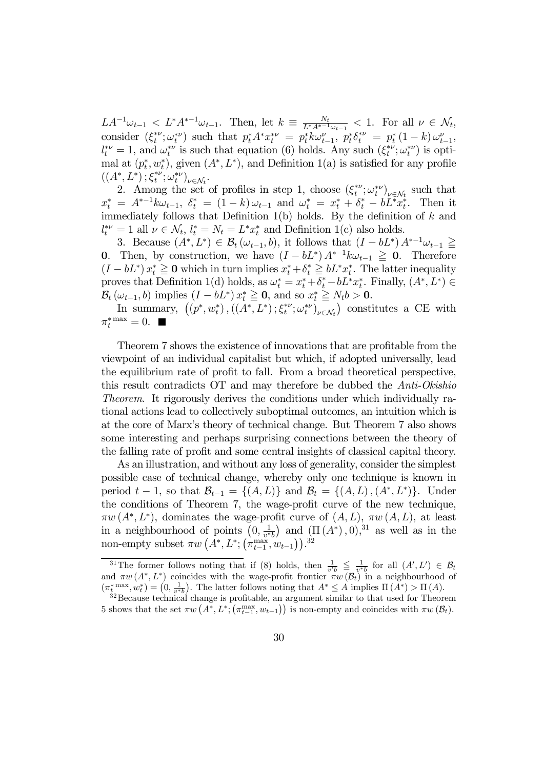$LA^{-1}\omega_{t-1} \leq L^*A^{*-1}\omega_{t-1}$ . Then, let  $k \equiv \frac{N_t}{L^*A^{*-1}\omega_{t-1}} \leq 1$ . For all  $\nu \in \mathcal{N}_t$ , consider  $(\xi_t^{*\nu}; \omega_t^{*\nu})$  such that  $p_t^* A^* x_t^{*\nu} = p_t^* k \omega_{t-1}^{\nu}, p_t^* \delta_t^{*\nu} = p_t^* (1 - k) \omega_{t-1}^{\nu},$  $l_t^{*\nu} = 1$ , and  $\omega_t^{*\nu}$  is such that equation (6) holds. Any such  $(\xi_t^{*\nu}; \omega_t^{*\nu})$  is optimal at  $(p_t^*, w_t^*)$ , given  $(A^*, L^*)$ , and Definition 1(a) is satisfied for any profile  $((A^*,L^*); \xi_t^{*\nu}; \omega_t^{*\nu})_{\nu \in \mathcal{N}_t}.$ 

2. Among the set of profiles in step 1, choose  $(\xi_t^{*\nu}; \omega_t^{*\nu})_{\nu \in \mathcal{N}_t}$  such that  $x_t^* = A^{*-1} k \omega_{t-1}, \ \delta_t^* = (1-k) \omega_{t-1} \text{ and } \omega_t^* = x_t^* + \delta_t^* - b L^* x_t^*.$  Then it immediately follows that Definition 1(b) holds. By the definition of  $k$  and  $l_t^{*\nu} = 1$  all  $\nu \in \mathcal{N}_t$ ,  $l_t^* = N_t = L^* x_t^*$  and Definition 1(c) also holds.

3. Because  $(A^*, L^*) \in \mathcal{B}_t(\omega_{t-1}, b)$ , it follows that  $(I - bL^*) A^{*-1} \omega_{t-1} \geq$ 0. Then, by construction, we have  $(I - bL^*) A^{*-1} k \omega_{t-1} \geq 0$ . Therefore  $(I - bL^*) x_t^* \geq 0$  which in turn implies  $x_t^* + \delta_t^* \geq bL^* x_t^*$ . The latter inequality proves that Definition 1(d) holds, as  $\omega_t^* = x_t^* + \delta_t^* - bL^*x_t^*$ . Finally,  $(A^*, L^*) \in$  $\mathcal{B}_t(\omega_{t-1},b)$  implies  $(I-bL^*)x_t^* \geq 0$ , and so  $x_t^* \geq N_t b > 0$ .

In summary,  $((p^*, w_t^*), ((A^*, L^*); \xi_t^{*\nu}; \omega_t^{*\nu})_{\nu \in \mathcal{N}_t})$  constitutes a CE with  $\pi_t^*$ <sup>max</sup> = 0.

Theorem 7 shows the existence of innovations that are profitable from the viewpoint of an individual capitalist but which, if adopted universally, lead the equilibrium rate of profit to fall. From a broad theoretical perspective, this result contradicts OT and may therefore be dubbed the Anti-Okishio Theorem. It rigorously derives the conditions under which individually rational actions lead to collectively suboptimal outcomes, an intuition which is at the core of Marx's theory of technical change. But Theorem 7 also shows some interesting and perhaps surprising connections between the theory of the falling rate of profit and some central insights of classical capital theory.

As an illustration, and without any loss of generality, consider the simplest possible case of technical change, whereby only one technique is known in period  $t-1$ , so that  $\mathcal{B}_{t-1} = \{(A, L)\}\$ and  $\mathcal{B}_t = \{(A, L), (A^*, L^*)\}\$ . Under the conditions of Theorem 7, the wage-profit curve of the new technique,  $\pi w(A^*, L^*)$ , dominates the wage-profit curve of  $(A, L)$ ,  $\pi w(A, L)$ , at least in a neighbourhood of points  $(0, \frac{1}{v^*b})$  and  $(\Pi(A^*), 0),^{31}$  as well as in the non-empty subset  $\pi w\left(\overline{A^*}, L^*; \left(\pi_{t-1}^{\text{max}}, w_{t-1}\right)\right)$ .<sup>32</sup>

<sup>&</sup>lt;sup>31</sup>The former follows noting that if (8) holds, then  $\frac{1}{v'b} \leq \frac{1}{v^*b}$  for all  $(A', L') \in \mathcal{B}_t$ and  $\pi w(A^*, L^*)$  coincides with the wage-profit frontier  $\pi w(\mathcal{B}_t)$  in a neighbourhood of  $(\pi_t^{*} \max, w_t^{*}) = (0, \frac{1}{v^{*}b})$ . The latter follows noting that  $A^{*} \leq A$  implies  $\Pi(A^{*}) > \Pi(A)$ .<br><sup>32</sup>Because technical change is profitable, an argument similar to that used for Theorem

<sup>5</sup> shows that the set  $\pi w\left(\overline{A^*}, L^*, \left(\pi_{t-1}^{\max}, w_{t-1}\right)\right)$  is non-empty and coincides with  $\pi w\left(\mathcal{B}_t\right)$ .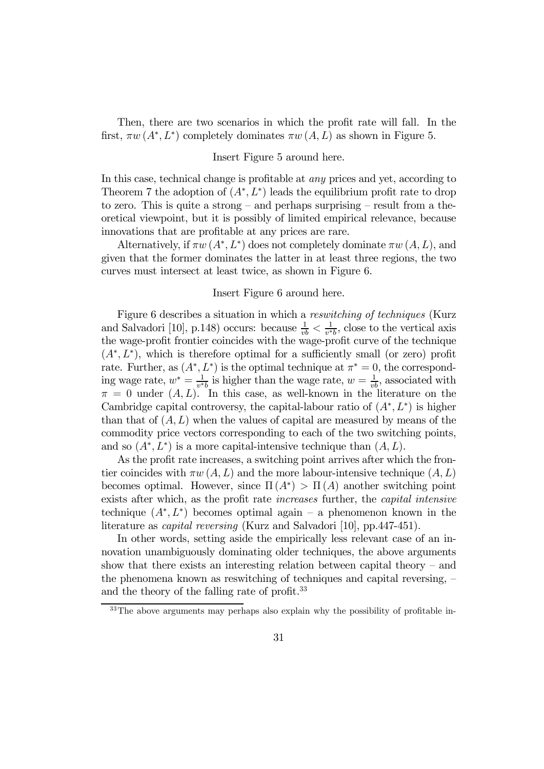Then, there are two scenarios in which the profit rate will fall. In the first,  $\pi w(A^*, L^*)$  completely dominates  $\pi w(A, L)$  as shown in Figure 5.

### Insert Figure 5 around here.

In this case, technical change is profitable at any prices and yet, according to Theorem 7 the adoption of  $(A^*, L^*)$  leads the equilibrium profit rate to drop to zero. This is quite a strong  $-$  and perhaps surprising  $-$  result from a theoretical viewpoint, but it is possibly of limited empirical relevance, because innovations that are profitable at any prices are rare.

Alternatively, if  $\pi w(A^*, L^*)$  does not completely dominate  $\pi w(A, L)$ , and given that the former dominates the latter in at least three regions, the two curves must intersect at least twice, as shown in Figure 6.

#### Insert Figure 6 around here.

Figure 6 describes a situation in which a reswitching of techniques (Kurz and Salvadori [10], p.148) occurs: because  $\frac{1}{vb} < \frac{1}{v*b}$ , close to the vertical axis the wage-profit frontier coincides with the wage-profit curve of the technique  $(A^*, L^*)$ , which is therefore optimal for a sufficiently small (or zero) profit rate. Further, as  $(A^*, L^*)$  is the optimal technique at  $\pi^* = 0$ , the corresponding wage rate,  $w^* = \frac{1}{v^*b}$  is higher than the wage rate,  $w = \frac{1}{vb}$ , associated with  $\pi = 0$  under  $(A, L)$ . In this case, as well-known in the literature on the Cambridge capital controversy, the capital-labour ratio of  $(A^*, L^*)$  is higher than that of  $(A, L)$  when the values of capital are measured by means of the commodity price vectors corresponding to each of the two switching points, and so  $(A^*, L^*)$  is a more capital-intensive technique than  $(A, L)$ .

As the profit rate increases, a switching point arrives after which the frontier coincides with  $\pi w(A, L)$  and the more labour-intensive technique  $(A, L)$ becomes optimal. However, since  $\Pi(A^*) > \Pi(A)$  another switching point exists after which, as the profit rate increases further, the capital intensive technique  $(A^*, L^*)$  becomes optimal again – a phenomenon known in the literature as capital reversing (Kurz and Salvadori [10], pp.447-451).

In other words, setting aside the empirically less relevant case of an innovation unambiguously dominating older techniques, the above arguments show that there exists an interesting relation between capital theory — and the phenomena known as reswitching of techniques and capital reversing,  $$ and the theory of the falling rate of profit.<sup>33</sup>

<sup>&</sup>lt;sup>33</sup>The above arguments may perhaps also explain why the possibility of profitable in-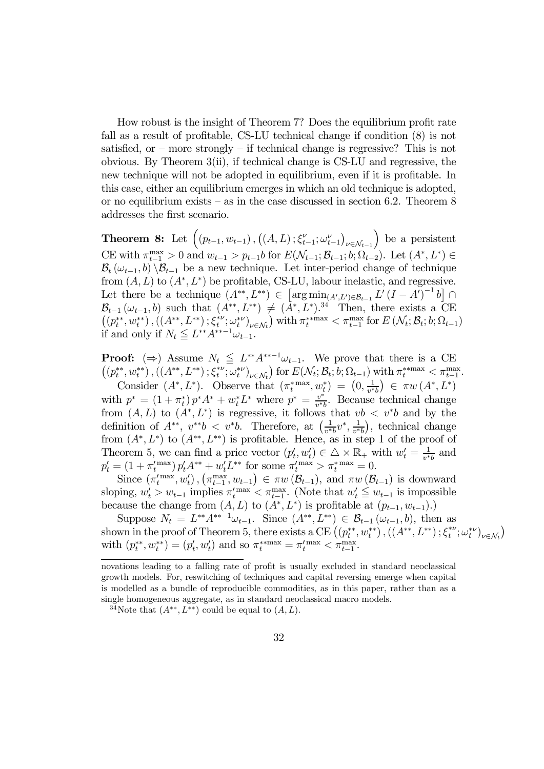How robust is the insight of Theorem 7? Does the equilibrium profit rate fall as a result of profitable, CS-LU technical change if condition (8) is not satisfied, or – more strongly – if technical change is regressive? This is not obvious. By Theorem 3(ii), if technical change is CS-LU and regressive, the new technique will not be adopted in equilibrium, even if it is profitable. In this case, either an equilibrium emerges in which an old technique is adopted, or no equilibrium exists  $-$  as in the case discussed in section 6.2. Theorem 8 addresses the first scenario.

**Theorem 8:** Let  $((p_{t-1}, w_{t-1}), ((A, L); \xi_{t-1}^{\nu}; \omega_{t-1}^{\nu}))$  $\nu \in \mathcal{N}_{t-1}$ ) be a persistent CE with  $\pi_{t-1}^{\max} > 0$  and  $w_{t-1} > p_{t-1}$ *b* for  $E(\mathcal{N}_{t-1}; \mathcal{B}_{t-1}; b; \Omega_{t-2})$ . Let  $(A^*, L^*)$  ∈  $B_t(\omega_{t-1}, b) \setminus B_{t-1}$  be a new technique. Let inter-period change of technique from  $(A, L)$  to  $(A^*, L^*)$  be profitable, CS-LU, labour inelastic, and regressive. Let there be a technique  $(A^{**}, L^{**}) \in \left[ \arg \min_{(A',L') \in \mathcal{B}_{t-1}} L'(I - A')^{-1} b \right] \cap$  $\mathcal{B}_{t-1}(\omega_{t-1},b)$  such that  $(A^{**}, L^{**}) \neq (A^{*}, L^{*})^{34}$  Then, there exists a CE  $((p_t^{**}, w_t^{**}), ((A^{**}, L^{**}); \xi_t^{*\nu}; \omega_t^{*\nu})_{\nu \in \mathcal{N}_t})$  with  $\pi_t^{**}$  max  $\langle \pi_{t-1}^{max}$  for  $E(\mathcal{N}_t; \mathcal{B}_t; b; \Omega_{t-1})$ if and only if  $N_t \leq L^{**}A^{**-1}\omega_{t-1}$ .

**Proof:** ( $\Rightarrow$ ) Assume  $N_t \leq L^{**}A^{**-1}\omega_{t-1}$ . We prove that there is a CE  $\left((p_t^{**}, w_t^{**})\,, \left((A^{**}, L^{**})\,; \xi_t^{*\nu}; \omega_t^{*\nu}\right)_{\nu \in \mathcal{N}_t}\right) \, \text{for} \, \, E(\mathcal{N}_t; \mathcal{B}_t; b; \Omega_{t-1}) \text{ with } \pi_t^{** \text{max}} < \pi_{t-1}^{\text{max}}.$ 

Consider  $(A^*, L^*)$ . Observe that  $(\pi_t^{*} \text{max}, w_t^*) = (0, \frac{1}{v^*b}) \in \pi w(A^*, L^*)$ with  $p^* = (1 + \pi_t^*) p^* A^* + w_t^* L^*$  where  $p^* = \frac{v^*}{v^* b}$ . Because technical change from  $(A, L)$  to  $(A^*, L^*)$  is regressive, it follows that  $vb < v^*b$  and by the definition of  $A^{**}$ ,  $v^{**}b < v^*b$ . Therefore, at  $\left(\frac{1}{v^*b}v^*, \frac{1}{v^*b}\right)$ , technical change from  $(A^*, L^*)$  to  $(A^{**}, L^{**})$  is profitable. Hence, as in step 1 of the proof of Theorem 5, we can find a price vector  $(p'_t, w'_t) \in \triangle \times \mathbb{R}_+$  with  $w'_t = \frac{1}{v^*b}$  and  $p'_t = (1 + \pi_t^{'\max}) p'_t A^{**} + w'_t L^{**}$  for some  $\pi_t^{'\max} > \pi_t^{*^{\max}} = 0$ .

Since  $(\pi_t'^{\max}, w_t')$ ,  $(\pi_{t-1}^{\max}, w_{t-1}) \in \pi w (\mathcal{B}_{t-1})$ , and  $\pi w (\mathcal{B}_{t-1})$  is downward sloping,  $w'_t > w_{t-1}$  implies  $\pi_t^{\max} < \pi_{t-1}^{\max}$ . (Note that  $w'_t \leq w_{t-1}$  is impossible because the change from  $(A, L)$  to  $(A^*, L^*)$  is profitable at  $(p_{t-1}, w_{t-1}).$ 

Suppose  $N_t = L^{**}A^{**-1}\omega_{t-1}$ . Since  $(A^{**}, L^{**}) \in \mathcal{B}_{t-1}(\omega_{t-1}, b)$ , then as shown in the proof of Theorem 5, there exists a CE  $((p_t^{**}, w_t^{**}), ((A^{**}, L^{**}); \xi_t^{**}; \omega_t^{**}))_{\nu \in \mathcal{N}_t})$ with  $(p_t^{**}, w_t^{**}) = (p_t', w_t')$  and so  $\pi_t^{**}$  =  $\pi_t'^{max} < \pi_{t-1}^{max}$ .

novations leading to a falling rate of profit is usually excluded in standard neoclassical growth models. For, reswitching of techniques and capital reversing emerge when capital is modelled as a bundle of reproducible commodities, as in this paper, rather than as a single homogeneous aggregate, as in standard neoclassical macro models.

<sup>&</sup>lt;sup>34</sup>Note that  $(A^{**}, L^{**})$  could be equal to  $(A, L)$ .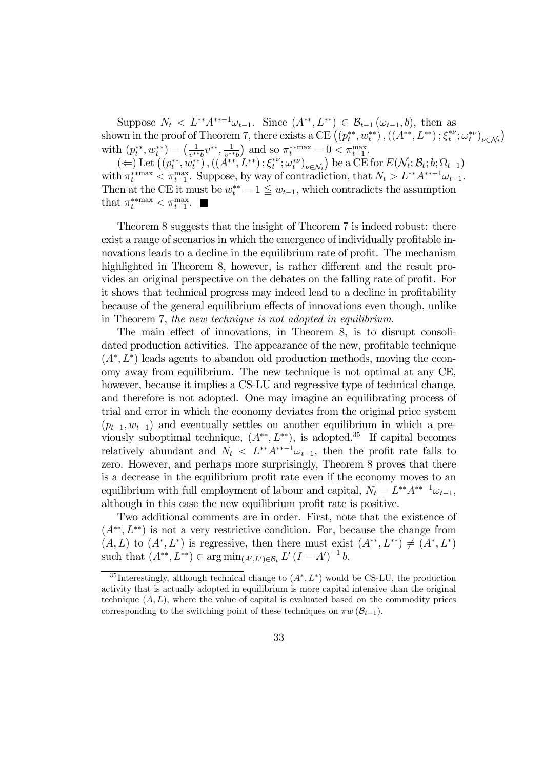Suppose  $N_t < L^{**}A^{**-1}\omega_{t-1}$ . Since  $(A^{**}, L^{**}) \in \mathcal{B}_{t-1}(\omega_{t-1}, b)$ , then as shown in the proof of Theorem 7, there exists a CE  $((p_t^{**}, w_t^{**}), ((A^{**}, L^{**}); \xi_t^{**}; \omega_t^{**})_{\nu \in \mathcal{N}_t})$ with  $(p_t^{**}, w_t^{**}) = \left(\frac{1}{v^{**}b}v^{**}, \frac{1}{v^{**}b}\right)$  and so  $\pi_t^{**max} = 0 < \pi_{t-1}^{max}$ .

 $(\Leftarrow)$  Let  $((p_t^{**}, w_t^{**}), ((A^{**}, L^{**}); \xi_t^{*\nu}; \omega_t^{*\nu})_{\nu \in \mathcal{N}_t})$  be a CE for  $E(\mathcal{N}_t; \mathcal{B}_t; b; \Omega_{t-1})$ with  $\pi_t^{**max} < \pi_{t-1}^{max}$ . Suppose, by way of contradiction, that  $N_t > L^{**}A^{**-1}\omega_{t-1}$ . Then at the CE it must be  $w_t^{**} = 1 \leq w_{t-1}$ , which contradicts the assumption that  $\pi_t^{*max} < \pi_{t-1}^{max}$ .

Theorem 8 suggests that the insight of Theorem 7 is indeed robust: there exist a range of scenarios in which the emergence of individually profitable innovations leads to a decline in the equilibrium rate of profit. The mechanism highlighted in Theorem 8, however, is rather different and the result provides an original perspective on the debates on the falling rate of profit. For it shows that technical progress may indeed lead to a decline in profitability because of the general equilibrium effects of innovations even though, unlike in Theorem 7, the new technique is not adopted in equilibrium.

The main effect of innovations, in Theorem 8, is to disrupt consolidated production activities. The appearance of the new, profitable technique  $(A^*, L^*)$  leads agents to abandon old production methods, moving the economy away from equilibrium. The new technique is not optimal at any CE, however, because it implies a CS-LU and regressive type of technical change, and therefore is not adopted. One may imagine an equilibrating process of trial and error in which the economy deviates from the original price system  $(p_{t-1}, w_{t-1})$  and eventually settles on another equilibrium in which a previously suboptimal technique,  $(A^{**}, L^{**})$ , is adopted.<sup>35</sup> If capital becomes relatively abundant and  $N_t < L^{**}A^{**-1}\omega_{t-1}$ , then the profit rate falls to zero. However, and perhaps more surprisingly, Theorem 8 proves that there is a decrease in the equilibrium profit rate even if the economy moves to an equilibrium with full employment of labour and capital,  $N_t = L^{**}A^{**-1}\omega_{t-1}$ , although in this case the new equilibrium profit rate is positive.

Two additional comments are in order. First, note that the existence of  $(A^{**}, L^{**})$  is not a very restrictive condition. For, because the change from  $(A, L)$  to  $(A^*, L^*)$  is regressive, then there must exist  $(A^{**}, L^{**}) \neq (A^*, L^*)$ such that  $(A^{**}, L^{**}) \in \arg \min_{(A', L') \in \mathcal{B}_t} L'(I - A')^{-1} b$ .

<sup>&</sup>lt;sup>35</sup>Interestingly, although technical change to  $(A^*, L^*)$  would be CS-LU, the production activity that is actually adopted in equilibrium is more capital intensive than the original technique  $(A, L)$ , where the value of capital is evaluated based on the commodity prices corresponding to the switching point of these techniques on  $\pi w (\mathcal{B}_{t-1})$ .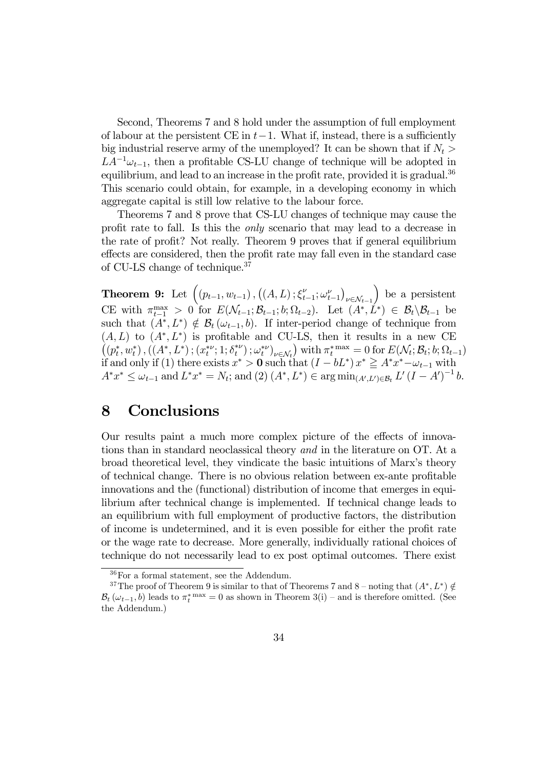Second, Theorems 7 and 8 hold under the assumption of full employment of labour at the persistent CE in  $t-1$ . What if, instead, there is a sufficiently big industrial reserve army of the unemployed? It can be shown that if  $N_t >$  $LA^{-1}\omega_{t-1}$ , then a profitable CS-LU change of technique will be adopted in equilibrium, and lead to an increase in the profit rate, provided it is gradual.<sup>36</sup> This scenario could obtain, for example, in a developing economy in which aggregate capital is still low relative to the labour force.

Theorems 7 and 8 prove that CS-LU changes of technique may cause the profit rate to fall. Is this the only scenario that may lead to a decrease in the rate of profit? Not really. Theorem 9 proves that if general equilibrium effects are considered, then the profit rate may fall even in the standard case of CU-LS change of technique.37

**Theorem 9:** Let  $((p_{t-1}, w_{t-1}), ((A, L); \xi_{t-1}^{\nu}; \omega_{t-1}^{\nu}))$  $\nu \in \mathcal{N}_{t-1}$ ) be a persistent CE with  $\pi_{t-1}^{\max} > 0$  for  $E(\mathcal{N}_{t-1}; \mathcal{B}_{t-1}; b; \Omega_{t-2})$ . Let  $(A^*, L^*) \in \mathcal{B}_t \setminus \mathcal{B}_{t-1}$  be such that  $(A^*, L^*) \notin \mathcal{B}_t (\omega_{t-1}, b)$ . If inter-period change of technique from  $(A, L)$  to  $(A^*, L^*)$  is profitable and CU-LS, then it results in a new CE  $((p_t^*, w_t^*), ((A^*, L^*); (x_t^{*\nu}; 1; \delta_t^{*\nu}); \omega_t^{*\nu})_{\nu \in \mathcal{N}_t})$  with  $\pi_t^{*\max} = 0$  for  $E(\mathcal{N}_t; \mathcal{B}_t; b; \Omega_{t-1})$ if and only if (1) there exists  $x^* > 0$  such that  $(I - bL^*) x^* \geq A^* x^* - \omega_{t-1}$  with  $A^*x^* \le \omega_{t-1}$  and  $L^*x^* = N_t$ ; and  $(2)$   $(A^*, L^*) \in \arg \min_{(A', L') \in \mathcal{B}_t} L'(I - A')^{-1}$  b.

# 8 Conclusions

Our results paint a much more complex picture of the effects of innovations than in standard neoclassical theory and in the literature on OT. At a broad theoretical level, they vindicate the basic intuitions of Marx's theory of technical change. There is no obvious relation between ex-ante profitable innovations and the (functional) distribution of income that emerges in equilibrium after technical change is implemented. If technical change leads to an equilibrium with full employment of productive factors, the distribution of income is undetermined, and it is even possible for either the profit rate or the wage rate to decrease. More generally, individually rational choices of technique do not necessarily lead to ex post optimal outcomes. There exist

<sup>36</sup>For a formal statement, see the Addendum.

<sup>&</sup>lt;sup>37</sup>The proof of Theorem 9 is similar to that of Theorems 7 and 8 – noting that  $(A^*, L^*) \notin$  $B_t(\omega_{t-1}, b)$  leads to  $\pi_t^*$ <sup>max</sup> = 0 as shown in Theorem 3(i) – and is therefore omitted. (See the Addendum.)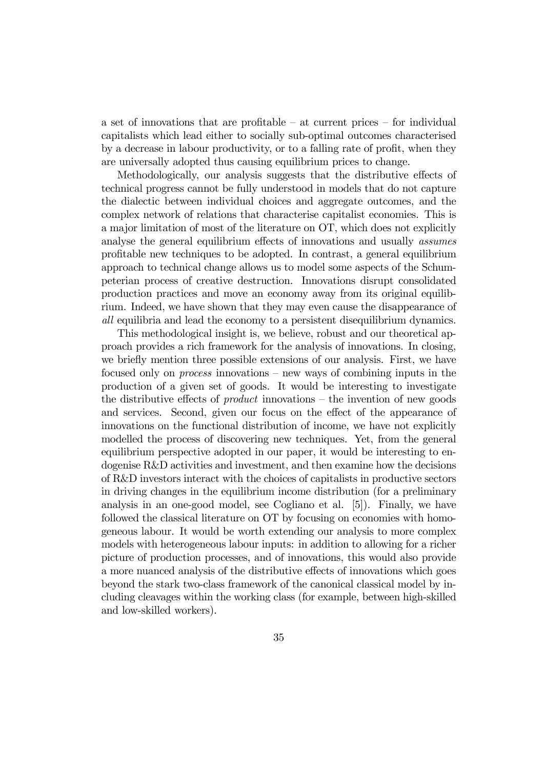a set of innovations that are profitable — at current prices — for individual capitalists which lead either to socially sub-optimal outcomes characterised by a decrease in labour productivity, or to a falling rate of profit, when they are universally adopted thus causing equilibrium prices to change.

Methodologically, our analysis suggests that the distributive effects of technical progress cannot be fully understood in models that do not capture the dialectic between individual choices and aggregate outcomes, and the complex network of relations that characterise capitalist economies. This is a major limitation of most of the literature on OT, which does not explicitly analyse the general equilibrium effects of innovations and usually assumes profitable new techniques to be adopted. In contrast, a general equilibrium approach to technical change allows us to model some aspects of the Schumpeterian process of creative destruction. Innovations disrupt consolidated production practices and move an economy away from its original equilibrium. Indeed, we have shown that they may even cause the disappearance of all equilibria and lead the economy to a persistent disequilibrium dynamics.

This methodological insight is, we believe, robust and our theoretical approach provides a rich framework for the analysis of innovations. In closing, we briefly mention three possible extensions of our analysis. First, we have focused only on process innovations — new ways of combining inputs in the production of a given set of goods. It would be interesting to investigate the distributive effects of *product* innovations  $-$  the invention of new goods and services. Second, given our focus on the effect of the appearance of innovations on the functional distribution of income, we have not explicitly modelled the process of discovering new techniques. Yet, from the general equilibrium perspective adopted in our paper, it would be interesting to endogenise R&D activities and investment, and then examine how the decisions of R&D investors interact with the choices of capitalists in productive sectors in driving changes in the equilibrium income distribution (for a preliminary analysis in an one-good model, see Cogliano et al. [5]). Finally, we have followed the classical literature on OT by focusing on economies with homogeneous labour. It would be worth extending our analysis to more complex models with heterogeneous labour inputs: in addition to allowing for a richer picture of production processes, and of innovations, this would also provide a more nuanced analysis of the distributive effects of innovations which goes beyond the stark two-class framework of the canonical classical model by including cleavages within the working class (for example, between high-skilled and low-skilled workers).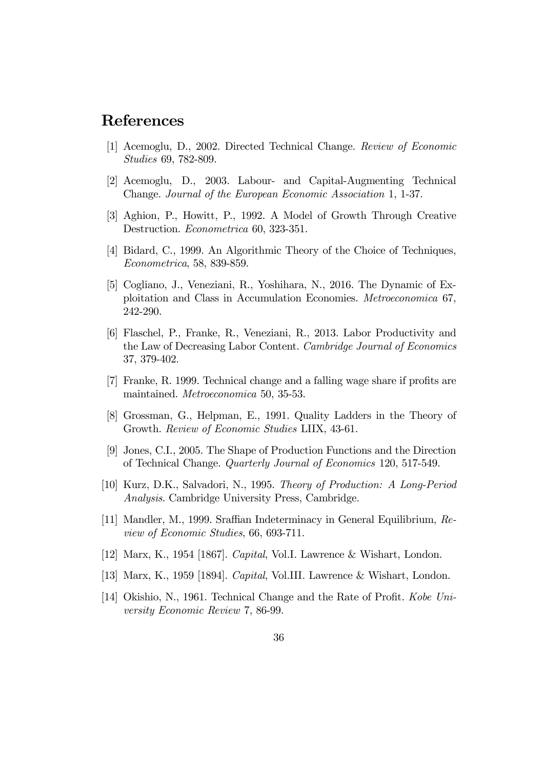# References

- [1] Acemoglu, D., 2002. Directed Technical Change. Review of Economic Studies 69, 782-809.
- [2] Acemoglu, D., 2003. Labour- and Capital-Augmenting Technical Change. Journal of the European Economic Association 1, 1-37.
- [3] Aghion, P., Howitt, P., 1992. A Model of Growth Through Creative Destruction. Econometrica 60, 323-351.
- [4] Bidard, C., 1999. An Algorithmic Theory of the Choice of Techniques, Econometrica, 58, 839-859.
- [5] Cogliano, J., Veneziani, R., Yoshihara, N., 2016. The Dynamic of Exploitation and Class in Accumulation Economies. Metroeconomica 67, 242-290.
- [6] Flaschel, P., Franke, R., Veneziani, R., 2013. Labor Productivity and the Law of Decreasing Labor Content. Cambridge Journal of Economics 37, 379-402.
- [7] Franke, R. 1999. Technical change and a falling wage share if profits are maintained. Metroeconomica 50, 35-53.
- [8] Grossman, G., Helpman, E., 1991. Quality Ladders in the Theory of Growth. Review of Economic Studies LIIX, 43-61.
- [9] Jones, C.I., 2005. The Shape of Production Functions and the Direction of Technical Change. Quarterly Journal of Economics 120, 517-549.
- [10] Kurz, D.K., Salvadori, N., 1995. Theory of Production: A Long-Period Analysis. Cambridge University Press, Cambridge.
- [11] Mandler, M., 1999. Sraffian Indeterminacy in General Equilibrium, Review of Economic Studies, 66, 693-711.
- [12] Marx, K., 1954 [1867]. Capital, Vol.I. Lawrence & Wishart, London.
- [13] Marx, K., 1959 [1894]. Capital, Vol.III. Lawrence & Wishart, London.
- [14] Okishio, N., 1961. Technical Change and the Rate of Profit. Kobe University Economic Review 7, 86-99.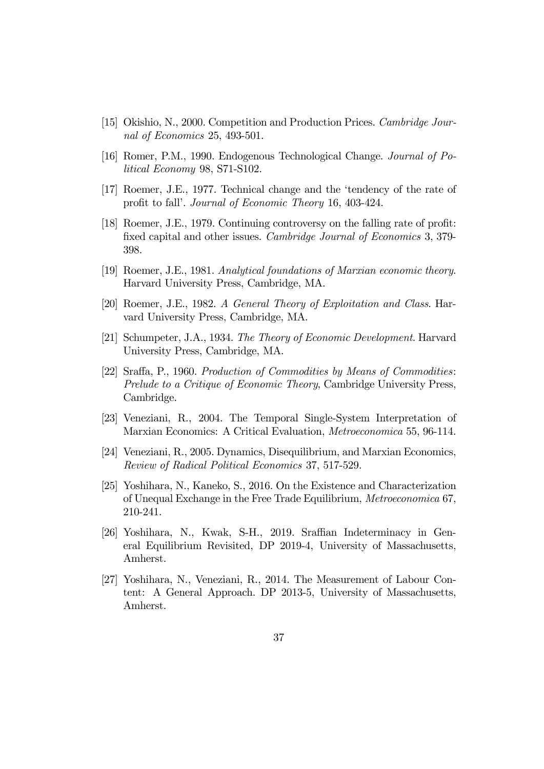- [15] Okishio, N., 2000. Competition and Production Prices. Cambridge Journal of Economics 25, 493-501.
- [16] Romer, P.M., 1990. Endogenous Technological Change. Journal of Political Economy 98, S71-S102.
- [17] Roemer, J.E., 1977. Technical change and the 'tendency of the rate of profit to fall'. Journal of Economic Theory 16, 403-424.
- [18] Roemer, J.E., 1979. Continuing controversy on the falling rate of profit: fixed capital and other issues. Cambridge Journal of Economics 3, 379- 398.
- [19] Roemer, J.E., 1981. Analytical foundations of Marxian economic theory. Harvard University Press, Cambridge, MA.
- [20] Roemer, J.E., 1982. A General Theory of Exploitation and Class. Harvard University Press, Cambridge, MA.
- [21] Schumpeter, J.A., 1934. The Theory of Economic Development. Harvard University Press, Cambridge, MA.
- [22] Sraffa, P., 1960. Production of Commodities by Means of Commodities: Prelude to a Critique of Economic Theory, Cambridge University Press, Cambridge.
- [23] Veneziani, R., 2004. The Temporal Single-System Interpretation of Marxian Economics: A Critical Evaluation, Metroeconomica 55, 96-114.
- [24] Veneziani, R., 2005. Dynamics, Disequilibrium, and Marxian Economics, Review of Radical Political Economics 37, 517-529.
- [25] Yoshihara, N., Kaneko, S., 2016. On the Existence and Characterization of Unequal Exchange in the Free Trade Equilibrium, Metroeconomica 67, 210-241.
- [26] Yoshihara, N., Kwak, S-H., 2019. Sraffian Indeterminacy in General Equilibrium Revisited, DP 2019-4, University of Massachusetts, Amherst.
- [27] Yoshihara, N., Veneziani, R., 2014. The Measurement of Labour Content: A General Approach. DP 2013-5, University of Massachusetts, Amherst.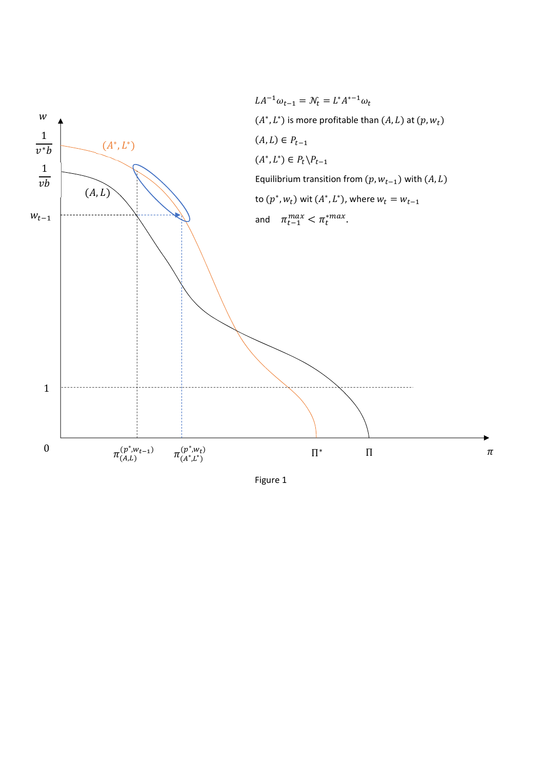

Figure 1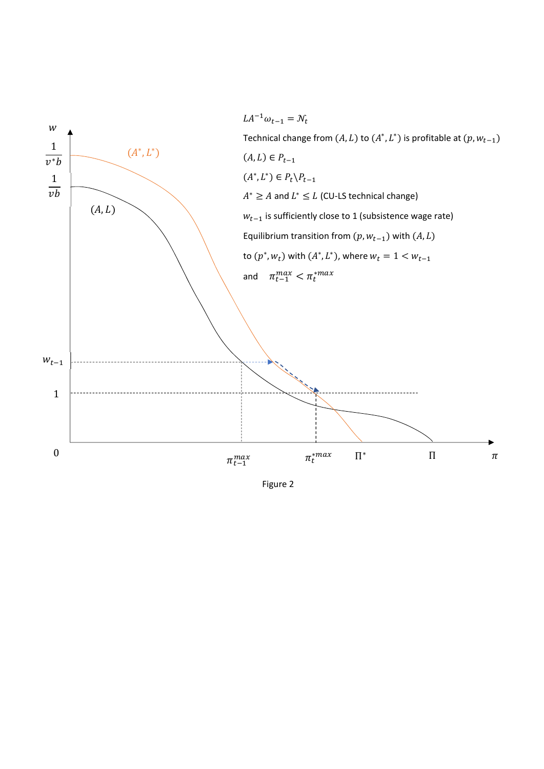

Figure 2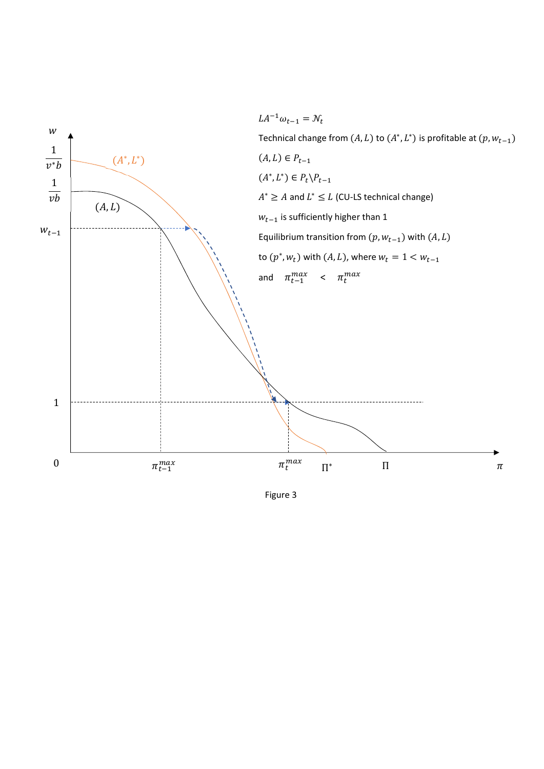

Figure 3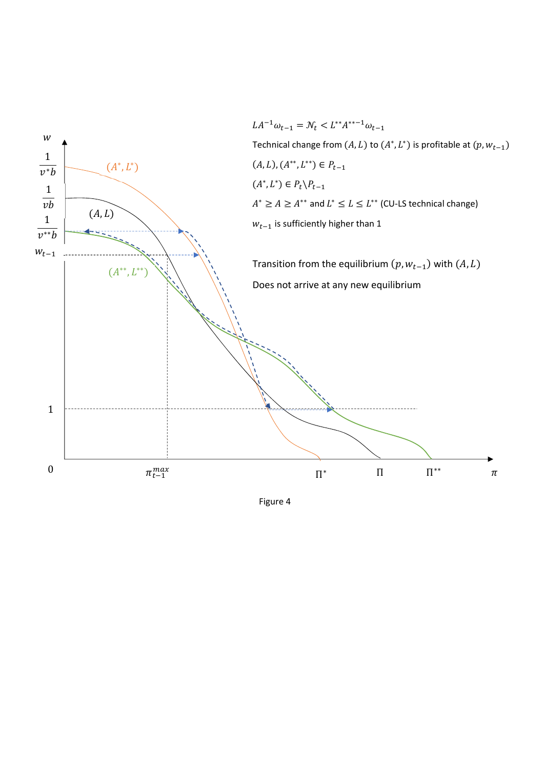

Figure 4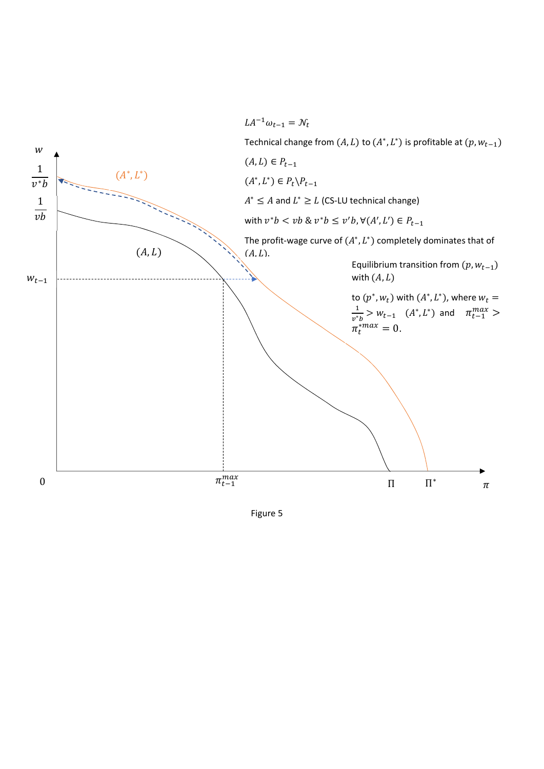

Figure 5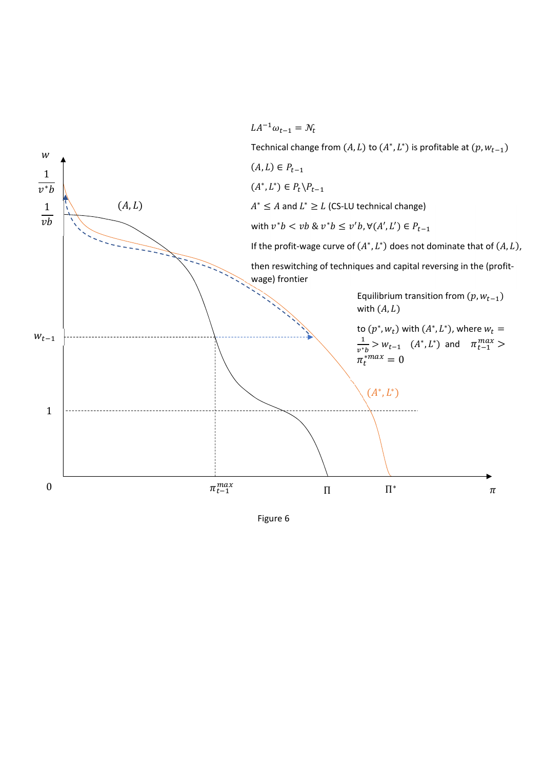

Figure 6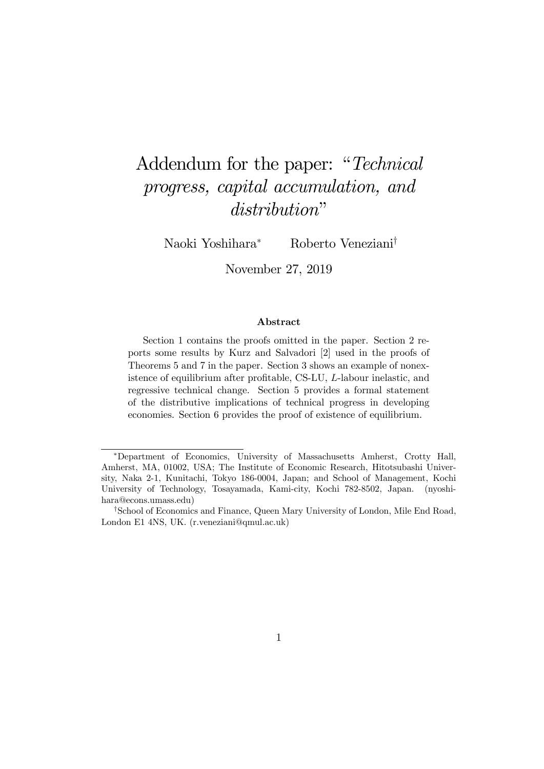# Addendum for the paper: "Technical progress, capital accumulation, and distribution"

Naoki Yoshihara<sup>∗</sup> Roberto Veneziani†

November 27, 2019

#### Abstract

Section 1 contains the proofs omitted in the paper. Section 2 reports some results by Kurz and Salvadori [2] used in the proofs of Theorems 5 and 7 in the paper. Section 3 shows an example of nonexistence of equilibrium after profitable, CS-LU, L-labour inelastic, and regressive technical change. Section 5 provides a formal statement of the distributive implications of technical progress in developing economies. Section 6 provides the proof of existence of equilibrium.

<sup>∗</sup>Department of Economics, University of Massachusetts Amherst, Crotty Hall, Amherst, MA, 01002, USA; The Institute of Economic Research, Hitotsubashi University, Naka 2-1, Kunitachi, Tokyo 186-0004, Japan; and School of Management, Kochi University of Technology, Tosayamada, Kami-city, Kochi 782-8502, Japan. (nyoshihara@econs.umass.edu)

<sup>†</sup>School of Economics and Finance, Queen Mary University of London, Mile End Road, London E1 4NS, UK. (r.veneziani@qmul.ac.uk)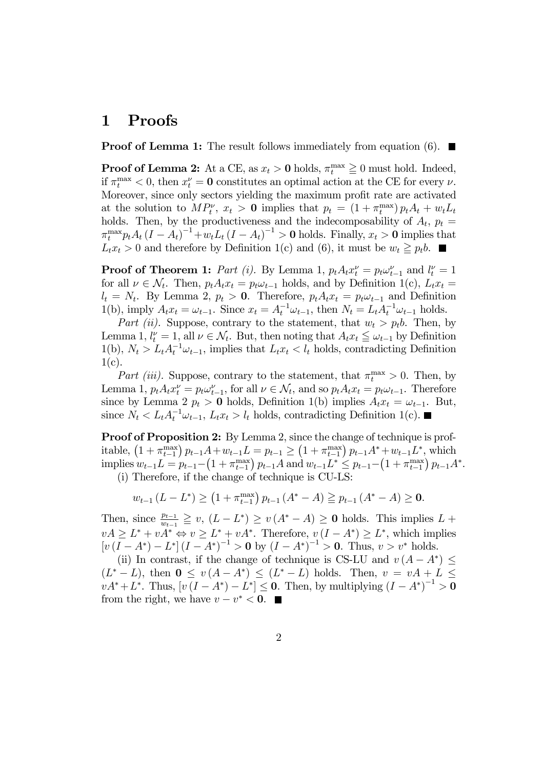# 1 Proofs

**Proof of Lemma 1:** The result follows immediately from equation (6).  $\blacksquare$ 

**Proof of Lemma 2:** At a CE, as  $x_t > 0$  holds,  $\pi_t^{\max} \ge 0$  must hold. Indeed, if  $\pi_t^{\max} < 0$ , then  $x_t^{\nu} = \mathbf{0}$  constitutes an optimal action at the CE for every  $\nu$ . Moreover, since only sectors yielding the maximum profit rate are activated at the solution to  $MP_t^{\nu}$ ,  $x_t > 0$  implies that  $p_t = (1 + \pi_t^{\max}) p_t A_t + w_t L_t$ holds. Then, by the productiveness and the indecomposability of  $A_t$ ,  $p_t =$  $\pi_t^{\max} p_t A_t (I - A_t)^{-1} + w_t L_t (I - A_t)^{-1} > 0$  holds. Finally,  $x_t > 0$  implies that  $L_t^i x_t > 0$  and therefore by Definition 1(c) and (6), it must be  $w_t \geq p_t b$ .

**Proof of Theorem 1:** Part (i). By Lemma 1,  $p_t A_t x_t^{\nu} = p_t \omega_{t-1}^{\nu}$  and  $l_t^{\nu} = 1$ for all  $\nu \in \mathcal{N}_t$ . Then,  $p_t A_t x_t = p_t \omega_{t-1}$  holds, and by Definition 1(c),  $L_t x_t =$  $l_t = N_t$ . By Lemma 2,  $p_t > 0$ . Therefore,  $p_t A_t x_t = p_t \omega_{t-1}$  and Definition 1(b), imply  $A_t x_t = \omega_{t-1}$ . Since  $x_t = A_t^{-1} \omega_{t-1}$ , then  $N_t = L_t A_t^{-1} \omega_{t-1}$  holds.

Part (ii). Suppose, contrary to the statement, that  $w_t > p_t b$ . Then, by Lemma 1,  $l_t^{\nu} = 1$ , all  $\nu \in \mathcal{N}_t$ . But, then noting that  $A_t x_t \leq \omega_{t-1}$  by Definition 1(b),  $N_t > L_t A_t^{-1} \omega_{t-1}$ , implies that  $L_t x_t < l_t$  holds, contradicting Definition  $1(c)$ .

Part (iii). Suppose, contrary to the statement, that  $\pi_t^{\max} > 0$ . Then, by Lemma 1,  $p_t A_t x_t^{\nu} = p_t \omega_{t-1}^{\nu}$ , for all  $\nu \in \mathcal{N}_t$ , and so  $p_t A_t x_t = p_t \omega_{t-1}$ . Therefore since by Lemma 2  $p_t > 0$  holds, Definition 1(b) implies  $A_t x_t = \omega_{t-1}$ . But, since  $N_t < L_t A_t^{-1} \omega_{t-1}$ ,  $L_t x_t > l_t$  holds, contradicting Definition 1(c).

**Proof of Proposition 2:** By Lemma 2, since the change of technique is profitable,  $(1 + \pi_{t-1}^{\max}) p_{t-1}A + w_{t-1}L = p_{t-1} \ge (1 + \pi_{t-1}^{\max}) p_{t-1}A^* + w_{t-1}L^*$ , which  $\text{implies } w_{t-1}L = p_{t-1} - \left(1 + \pi_{t-1}^{\max}\right)p_{t-1}A \text{ and } w_{t-1}L^* \leq p_{t-1} - \left(1 + \pi_{t-1}^{\max}\right)p_{t-1}A^*.$ 

(i) Therefore, if the change of technique is CU-LS:

$$
w_{t-1} (L - L^*) \ge (1 + \pi_{t-1}^{\max}) p_{t-1} (A^* - A) \ge p_{t-1} (A^* - A) \ge 0.
$$

Then, since  $\frac{p_{t-1}}{w_{t-1}} \geq v$ ,  $(L - L^*) \geq v (A^* - A) \geq 0$  holds. This implies  $L +$  $vA \geq L^* + vA^* \Leftrightarrow v \geq L^* + vA^*$ . Therefore,  $v(I - A^*) \geq L^*$ , which implies  $[v (I - A^*) - L^*] (I - A^*)^{-1} > 0$  by  $(I - A^*)^{-1} > 0$ . Thus,  $v > v^*$  holds.

(ii) In contrast, if the change of technique is CS-LU and  $v(A - A^*) \leq$  $(L^* - L)$ , then  $0 \le v(A - A^*) \le (L^* - L)$  holds. Then,  $v = vA + L \le$  $vA^* + L^*$ . Thus,  $[v(I - A^*) - L^*] \leq 0$ . Then, by multiplying  $(I - A^*)^{-1} > 0$ from the right, we have  $v - v^* < 0$ .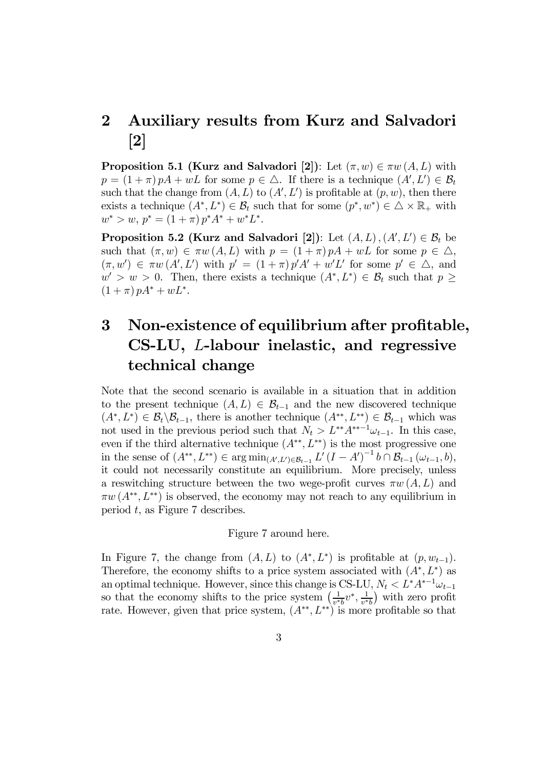# 2 Auxiliary results from Kurz and Salvadori [2]

**Proposition 5.1 (Kurz and Salvadori [2])**: Let  $(\pi, w) \in \pi w(A, L)$  with  $p = (1 + \pi) pA + wL$  for some  $p \in \triangle$ . If there is a technique  $(A', L') \in \mathcal{B}_t$ such that the change from  $(A, L)$  to  $(A', L')$  is profitable at  $(p, w)$ , then there exists a technique  $(A^*, L^*) \in \mathcal{B}_t$  such that for some  $(p^*, w^*) \in \Delta \times \mathbb{R}_+$  with  $w^* > w, p^* = (1 + \pi) p^* A^* + w^* L^*.$ 

**Proposition 5.2 (Kurz and Salvadori** [2]): Let  $(A, L), (A', L') \in \mathcal{B}_t$  be such that  $(\pi, w) \in \pi w(A, L)$  with  $p = (1 + \pi) pA + wL$  for some  $p \in \Delta$ ,  $(\pi, w') \in \pi w(A', L')$  with  $p' = (1 + \pi) p' A' + w'L'$  for some  $p' \in \Delta$ , and  $w' > w > 0$ . Then, there exists a technique  $(A^*, L^*) \in \mathcal{B}_t$  such that  $p \geq$  $(1 + \pi) pA^* + wL^*$ .

# 3 Non-existence of equilibrium after profitable, CS-LU, L-labour inelastic, and regressive technical change

Note that the second scenario is available in a situation that in addition to the present technique  $(A, L) \in \mathcal{B}_{t-1}$  and the new discovered technique  $(A^*, L^*) \in \mathcal{B}_t \backslash \mathcal{B}_{t-1}$ , there is another technique  $(A^{**}, L^{**}) \in \mathcal{B}_{t-1}$  which was not used in the previous period such that  $N_t > L^{**}A^{**-1}\omega_{t-1}$ . In this case, even if the third alternative technique  $(A^{**}, L^{**})$  is the most progressive one in the sense of  $(A^{**}, L^{**}) \in \arg \min_{(A', L') \in \mathcal{B}_{t-1}} L'(I - A')^{-1} b \cap \mathcal{B}_{t-1}(\omega_{t-1}, b),$ it could not necessarily constitute an equilibrium. More precisely, unless a reswitching structure between the two wege-profit curves  $\pi w(A, L)$  and  $\pi w(A^{**}, L^{**})$  is observed, the economy may not reach to any equilibrium in period t, as Figure 7 describes.

Figure 7 around here.

In Figure 7, the change from  $(A, L)$  to  $(A^*, L^*)$  is profitable at  $(p, w_{t-1})$ . Therefore, the economy shifts to a price system associated with  $(A^*, L^*)$  as an optimal technique. However, since this change is CS-LU,  $N_t < L^* A^{*-1} \omega_{t-1}$ so that the economy shifts to the price system  $\left(\frac{1}{v^*b}v^*, \frac{1}{v^*b}\right)$  with zero profit rate. However, given that price system,  $(A^{**}, L^{**})$  is more profitable so that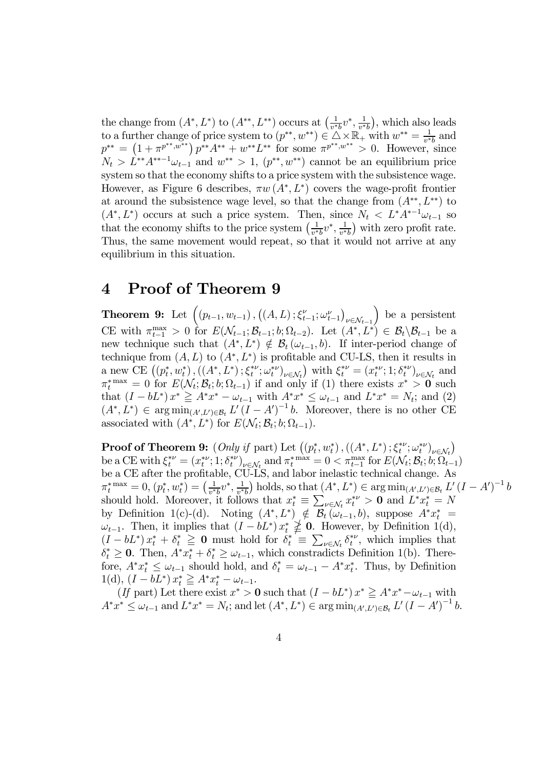the change from  $(A^*, L^*)$  to  $(A^{**}, L^{**})$  occurs at  $\left(\frac{1}{v^*b}v^*, \frac{1}{v^*b}\right)$ , which also leads to a further change of price system to  $(p^{**}, w^{**}) \in \mathbb{Z} \times \mathbb{R}_+$  with  $w^{**} = \frac{1}{v^{*}b}$  and  $p^{**} = (1 + \pi^{p^{**}, w^{**}}) p^{**} A^{**} + w^{**} L^{**}$  for some  $\pi^{p^{**}, w^{**}} > 0$ . However, since  $N_t > L^{**}A^{**-1}\omega_{t-1}$  and  $w^{**} > 1$ ,  $(p^{**}, w^{**})$  cannot be an equilibrium price system so that the economy shifts to a price system with the subsistence wage. However, as Figure 6 describes,  $\pi w(A^*, L^*)$  covers the wage-profit frontier at around the subsistence wage level, so that the change from  $(A^{**}, L^{**})$  to  $(A^*, L^*)$  occurs at such a price system. Then, since  $N_t < L^* A^{*-1} \omega_{t-1}$  so that the economy shifts to the price system  $\left(\frac{1}{v^*b}v^*, \frac{1}{v^*b}\right)$  with zero profit rate. Thus, the same movement would repeat, so that it would not arrive at any equilibrium in this situation.

# 4 Proof of Theorem 9

**Theorem 9:** Let  $((p_{t-1}, w_{t-1}), ((A, L); \xi_{t-1}^{\nu}; \omega_{t-1}^{\nu}))$  $\nu \in \mathcal{N}_{t-1}$ ) be a persistent CE with  $\pi_{t-1}^{\max} > 0$  for  $E(\mathcal{N}_{t-1}; \mathcal{B}_{t-1}; b; \Omega_{t-2})$ . Let  $(A^*, L^*) \in \mathcal{B}_t \setminus \mathcal{B}_{t-1}$  be a new technique such that  $(A^*, L^*) \notin \mathcal{B}_t (\omega_{t-1}, b)$ . If inter-period change of technique from  $(A, L)$  to  $(A^*, L^*)$  is profitable and CU-LS, then it results in a new CE  $((p_t^*, w_t^*), ((A^*, L^*); \xi_t^{*\nu}; \omega_t^{*\nu})_{\nu \in \mathcal{N}_t})$  with  $\xi_t^{*\nu} = (x_t^{*\nu}; 1; \delta_t^{*\nu})_{\nu \in \mathcal{N}_t}$  and  $\pi_t^{*}$ <sup>max</sup> = 0 for  $E(\mathcal{N}_t; \mathcal{B}_t; b; \Omega_{t-1})$  if and only if (1) there exists  $x^* > 0$  such that  $(I - bL^*) x^* \geq A^* x^* - \omega_{t-1}$  with  $A^* x^* \leq \omega_{t-1}$  and  $L^* x^* = N_t$ ; and (2)  $(A^*, L^*) \in \arg\min_{(A', L') \in \mathcal{B}_t} L'(I - A')^{-1} b$ . Moreover, there is no other CE associated with  $(A^*, L^*)$  for  $E(\mathcal{N}_t; \mathcal{B}_t; b; \Omega_{t-1}).$ 

**Proof of Theorem 9:**  $(Only if part) Let ((p_t^*, w_t^*), ((A^*, L^*); \xi_t^{* \nu}; \omega_t^{* \nu}))_{\nu \in \mathcal{N}_t})$ be a CE with  $\xi_t^{\ast \nu} = (x_t^{\ast \nu}; 1; \delta_t^{\ast \nu})_{\nu \in \mathcal{N}_t}$  and  $\pi_t^{\ast \max} = 0 < \pi_{t-1}^{\max}$  for  $E(\mathcal{N}_t; \mathcal{B}_t; b; \Omega_{t-1})$ be a CE after the profitable, CU-LS, and labor inelastic technical change. As  $\pi_t^{* \max} = 0$ ,  $(p_t^*, w_t^*) = \left(\frac{1}{v^* b} v^*, \frac{1}{v^* b}\right)$  holds, so that  $(A^*, L^*) \in \arg \min_{(A', L') \in \mathcal{B}_t} L'(I - A')^{-1} b$ should hold. Moreover, it follows that  $x_t^* \equiv \sum_{\nu \in \mathcal{N}_t} x_t^{*\nu} > 0$  and  $L^* x_t^* = N$ by Definition 1(c)-(d). Noting  $(A^*, L^*) \notin \mathcal{B}_t(\omega_{t-1}, b)$ , suppose  $A^*x_t^* =$  $\omega_{t-1}$ . Then, it implies that  $(I - bL^*) x_t^* \nsubseteqq 0$ . However, by Definition 1(d),  $(I - bL^*) x_t^* + \delta_t^* \geq 0$  must hold for  $\delta_t^* \equiv \sum_{\nu \in \mathcal{N}_t} \delta_t^{*\nu}$ , which implies that  $\delta_t^* \geq 0$ . Then,  $A^* x_t^* + \delta_t^* \geq \omega_{t-1}$ , which constradicts Definition 1(b). Therefore,  $A^*x_t^* \leq \omega_{t-1}$  should hold, and  $\delta_t^* = \omega_{t-1} - A^*x_t^*$ . Thus, by Definition 1(d),  $(I - bL^*) x_t^* \geq A^* x_t^* - \omega_{t-1}.$ 

(If part) Let there exist  $x^* > 0$  such that  $(I - bL^*) x^* \geq A^* x^* - \omega_{t-1}$  with  $A^*x^* \le \omega_{t-1}$  and  $L^*x^* = N_t$ ; and let  $(A^*, L^*) \in \arg \min_{(A', L') \in \mathcal{B}_t} L'(I - A')^{-1} b$ .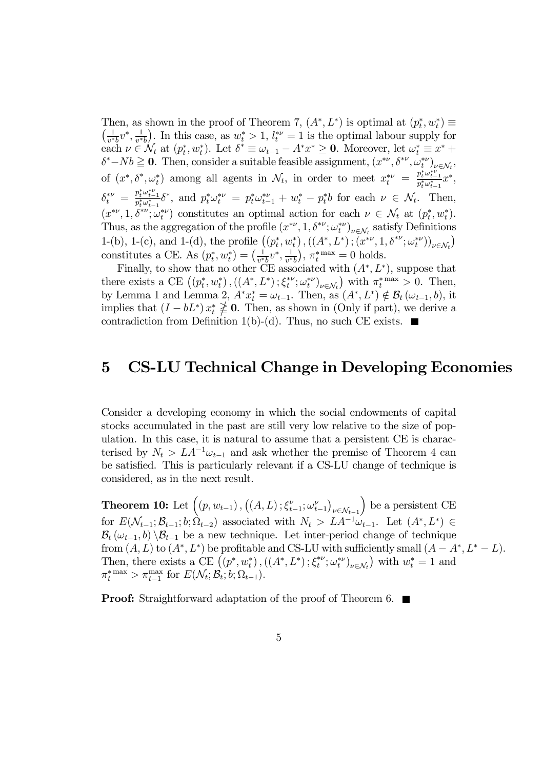Then, as shown in the proof of Theorem 7,  $(A^*, L^*)$  is optimal at  $(p_t^*, w_t^*) \equiv$  $\left(\frac{1}{v^*b}v^*, \frac{1}{v^*b}\right)$ . In this case, as  $w_t^* > 1$ ,  $l_t^{*\nu} = 1$  is the optimal labour supply for each  $\nu \in \mathcal{N}_t$  at  $(p_t^*, w_t^*)$ . Let  $\delta^* \equiv \omega_{t-1} - A^* x^* \geq \mathbf{0}$ . Moreover, let  $\omega_t^* \equiv x^* +$  $\delta^* - Nb \geq 0$ . Then, consider a suitable feasible assignment,  $(x^{*\nu}, \delta^{*\nu}, \omega_t^{*\nu})_{\nu \in \mathcal{N}_t}$ of  $(x^*, \delta^*, \omega_t^*)$  among all agents in  $\mathcal{N}_t$ , in order to meet  $x_t^{*\nu} = \frac{p_t^* \omega_{t-1}^{*\nu}}{p_t^* \omega_{t-1}^*} x^*,$  $\delta_t^{*\nu} = \frac{p_t^* \omega_{t-1}^{*\nu}}{p_t^* \omega_{t-1}^{*\nu}} \delta^*,$  and  $p_t^* \omega_t^{*\nu} = p_t^* \omega_{t-1}^{*\nu} + w_t^* - p_t^* b$  for each  $\nu \in \mathcal{N}_t$ . Then,  $(x^{*\nu}, 1, \delta^{*\nu}; \omega_t^{*\nu})$  constitutes an optimal action for each  $\nu \in \mathcal{N}_t$  at  $(p_t^*, w_t^*)$ . Thus, as the aggregation of the profile  $(x^{*\nu}, 1, \delta^{*\nu}; \omega_t^{*\nu})_{\nu \in \mathcal{N}_t}$  satisfy Definitions 1-(b), 1-(c), and 1-(d), the profile  $((p_t^*, w_t^*), ((A^*, L^*), (x^{*\nu}, 1, \delta^{*\nu}; \omega_t^{*\nu}))_{\nu \in \mathcal{N}_t})$ constitutes a CE. As  $(p_t^*, w_t^*) = (\frac{1}{v^*b}v^*, \frac{1}{v^*b})$ ,  $\pi_t^{*max} = 0$  holds.

Finally, to show that no other CE associated with  $(A^*, L^*)$ , suppose that there exists a CE  $((p_t^*, w_t^*), ((A^*, L^*); \xi_t^{*\nu}; \omega_t^{*\nu})_{\nu \in \mathcal{N}_t})$  with  $\pi_t^{*\max} > 0$ . Then, by Lemma 1 and Lemma 2,  $A^*x_t^* = \omega_{t-1}$ . Then, as  $(A^*, L^*) \notin \mathcal{B}_t(\omega_{t-1}, b)$ , it implies that  $(I - bL^*)$   $x_t^* \not\geq 0$ . Then, as shown in (Only if part), we derive a contradiction from Definition 1(b)-(d). Thus, no such CE exists.  $\blacksquare$ 

## 5 CS-LU Technical Change in Developing Economies

Consider a developing economy in which the social endowments of capital stocks accumulated in the past are still very low relative to the size of population. In this case, it is natural to assume that a persistent CE is characterised by  $N_t > LA^{-1}\omega_{t-1}$  and ask whether the premise of Theorem 4 can be satisfied. This is particularly relevant if a CS-LU change of technique is considered, as in the next result.

**Theorem 10:** Let  $((p, w_{t-1}), ((A, L); \xi_{t-1}^{\nu}; \omega_{t-1}^{\nu}))$  $\nu \in \mathcal{N}_{t-1}$ ) be a persistent CE for  $E(\mathcal{N}_{t-1}; \mathcal{B}_{t-1}; b; \hat{\Omega}_{t-2})$  associated with  $N_t > LA^{-1}\omega_{t-1}$ . Let  $(A^*, L^*) \in$  $B_t(\omega_{t-1}, b) \setminus B_{t-1}$  be a new technique. Let inter-period change of technique from  $(A, L)$  to  $(A^*, L^*)$  be profitable and CS-LU with sufficiently small  $(A - A^*, L^* - L)$ . Then, there exists a CE  $((p^*, w_t^*), ((A^*, L^*); \xi_t^{*\nu}; \omega_t^{*\nu})_{\nu \in \mathcal{N}_t})$  with  $w_t^* = 1$  and  $\pi_t^{* \max} > \pi_{t-1}^{\max}$  for  $E(\mathcal{N}_t; \mathcal{B}_t; b; \Omega_{t-1}).$ 

**Proof:** Straightforward adaptation of the proof of Theorem 6. ■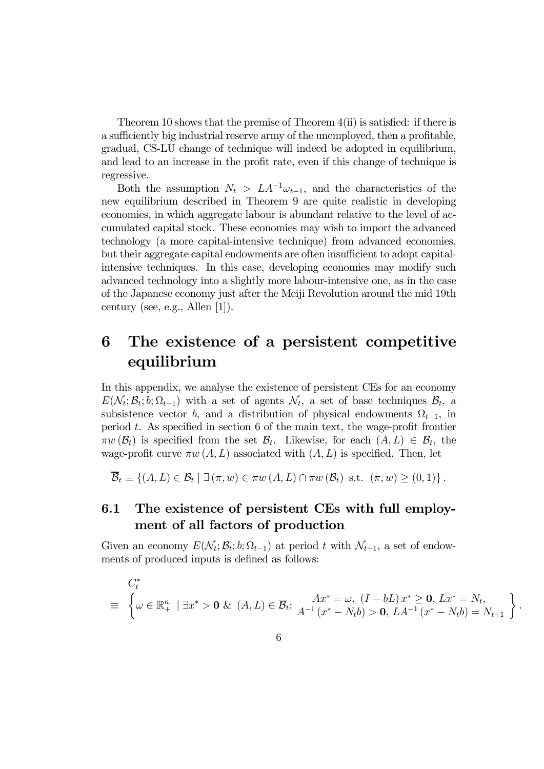Theorem 10 shows that the premise of Theorem 4(ii) is satisfied: if there is a sufficiently big industrial reserve army of the unemployed, then a profitable, gradual, CS-LU change of technique will indeed be adopted in equilibrium, and lead to an increase in the profit rate, even if this change of technique is regressive.

Both the assumption  $N_t > LA^{-1}\omega_{t-1}$ , and the characteristics of the new equilibrium described in Theorem 9 are quite realistic in developing economies, in which aggregate labour is abundant relative to the level of accumulated capital stock. These economies may wish to import the advanced technology (a more capital-intensive technique) from advanced economies, but their aggregate capital endowments are often insufficient to adopt capitalintensive techniques. In this case, developing economies may modify such advanced technology into a slightly more labour-intensive one, as in the case of the Japanese economy just after the Meiji Revolution around the mid 19th century (see, e.g., Allen [1]).

# 6 The existence of a persistent competitive equilibrium

In this appendix, we analyse the existence of persistent CEs for an economy  $E(\mathcal{N}_t; \mathcal{B}_t; b; \Omega_{t-1})$  with a set of agents  $\mathcal{N}_t$ , a set of base techniques  $\mathcal{B}_t$ , a subsistence vector b, and a distribution of physical endowments  $\Omega_{t-1}$ , in period  $t$ . As specified in section 6 of the main text, the wage-profit frontier  $\pi w(\mathcal{B}_t)$  is specified from the set  $\mathcal{B}_t$ . Likewise, for each  $(A, L) \in \mathcal{B}_t$ , the wage-profit curve  $\pi w(A, L)$  associated with  $(A, L)$  is specified. Then, let

 $\overline{\mathcal{B}}_t \equiv \{(A, L) \in \mathcal{B}_t \mid \exists (\pi, w) \in \pi w (A, L) \cap \pi w (\mathcal{B}_t) \text{ s.t. } (\pi, w) \geq (0, 1) \}.$ 

# 6.1 The existence of persistent CEs with full employment of all factors of production

Given an economy  $E(\mathcal{N}_t; \mathcal{B}_t; b; \Omega_{t-1})$  at period t with  $\mathcal{N}_{t+1}$ , a set of endowments of produced inputs is defined as follows:

$$
C_t^*
$$
  
\n
$$
\equiv \left\{ \omega \in \mathbb{R}_+^n \mid \exists x^* > \mathbf{0} \& (A, L) \in \overline{\mathcal{B}}_t : \begin{matrix} Ax^* = \omega, (I - bL) x^* \ge \mathbf{0}, Lx^* = N_t, \\ A^{-1} (x^* - N_t b) > \mathbf{0}, L A^{-1} (x^* - N_t b) = N_{t+1} \end{matrix} \right\}
$$

.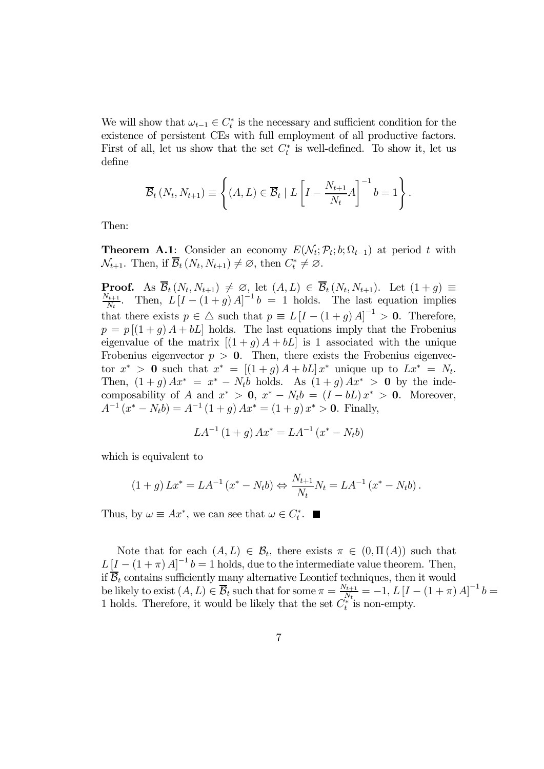We will show that  $\omega_{t-1} \in C_t^*$  is the necessary and sufficient condition for the existence of persistent CEs with full employment of all productive factors. First of all, let us show that the set  $C_t^*$  is well-defined. To show it, let us define

$$
\overline{\mathcal{B}}_t\left(N_t, N_{t+1}\right) \equiv \left\{ \left(A, L\right) \in \overline{\mathcal{B}}_t \mid L\left[I - \frac{N_{t+1}}{N_t} A\right]^{-1} b = 1 \right\}.
$$

Then:

**Theorem A.1:** Consider an economy  $E(\mathcal{N}_t; \mathcal{P}_t; b; \Omega_{t-1})$  at period t with  $\mathcal{N}_{t+1}$ . Then, if  $\mathcal{B}_t(N_t, N_{t+1}) \neq \emptyset$ , then  $C_t^* \neq \emptyset$ .

**Proof.** As  $\mathcal{B}_t(N_t, N_{t+1}) \neq \emptyset$ , let  $(A, L) \in \mathcal{B}_t(N_t, N_{t+1})$ . Let  $(1 + g) \equiv \frac{N_{t+1}}{N_t}$ . Then,  $L[I - (1 + g)A]^{-1}b = 1$  holds. The last equation implies that there exists  $p \in \triangle$  such that  $p \equiv L[I - (1 + g)A]^{-1} > 0$ . Therefore,  $p = p [(1 + q) A + bL]$  holds. The last equations imply that the Frobenius eigenvalue of the matrix  $[(1+g)A+bL]$  is 1 associated with the unique Frobenius eigenvector  $p > 0$ . Then, there exists the Frobenius eigenvector  $x^* > 0$  such that  $x^* = [(1+g)A+bL] x^*$  unique up to  $Lx^* = N_t$ . Then,  $(1+g) Ax^* = x^* - N_t b$  holds. As  $(1+g) Ax^* > 0$  by the indecomposability of A and  $x^* > 0$ ,  $x^* - N_t b = (I - bL)x^* > 0$ . Moreover,  $A^{-1}(x^* - N_t b) = A^{-1}(1 + g) A x^* = (1 + g) x^* > 0.$  Finally,

$$
LA^{-1}(1+g)Ax^* = LA^{-1}(x^* - N_t b)
$$

which is equivalent to

$$
(1+g) Lx^* = LA^{-1} (x^* - N_t b) \Leftrightarrow \frac{N_{t+1}}{N_t} N_t = LA^{-1} (x^* - N_t b).
$$

Thus, by  $\omega \equiv Ax^*$ , we can see that  $\omega \in C_t^*$ .

Note that for each  $(A, L) \in \mathcal{B}_t$ , there exists  $\pi \in (0, \Pi(A))$  such that  $L\left[I - (1 + \pi)A\right]^{-1}b = 1$  holds, due to the intermediate value theorem. Then, if  $\overline{B}_t$  contains sufficiently many alternative Leontief techniques, then it would be likely to exist  $(A, L) \in \overline{\mathcal{B}}_t$  such that for some  $\pi = \frac{N_{t+1}}{N_t} = -1$ ,  $L[I - (1 + \pi)A]^{-1}b =$ 1 holds. Therefore, it would be likely that the set  $C_t^*$  is non-empty.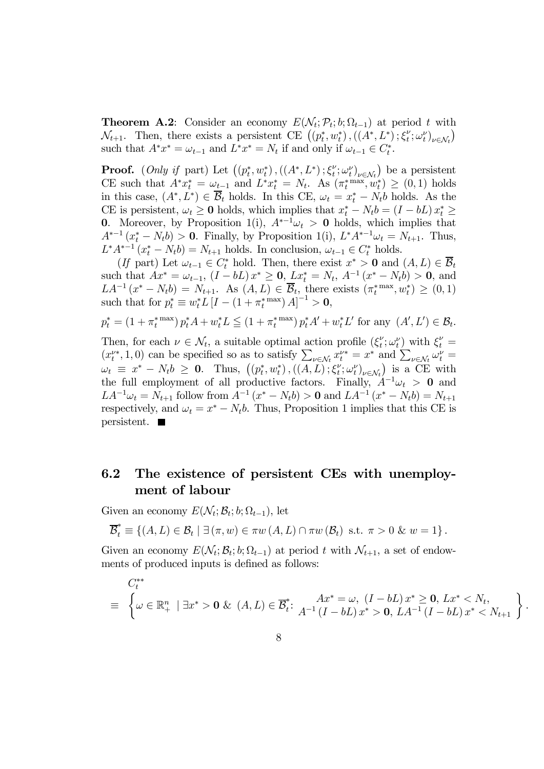**Theorem A.2:** Consider an economy  $E(N_t; \mathcal{P}_t; b; \Omega_{t-1})$  at period t with  $\mathcal{N}_{t+1}$ . Then, there exists a persistent CE  $((p_t^*, w_t^*), ((A^*, L^*), \xi_t^{\nu}; \omega_t^{\nu})_{\nu \in \mathcal{N}_t})$ such that  $A^*x^* = \omega_{t-1}$  and  $L^*x^* = N_t$  if and only if  $\omega_{t-1} \in C_t^*$ .

**Proof.** (*Only if* part) Let  $((p_t^*, w_t^*), ((A^*, L^*); \xi_t^{\nu}; \omega_t^{\nu})_{\nu \in \mathcal{N}_t})$  be a persistent CE such that  $A^*x_t^* = \omega_{t-1}$  and  $L^*x_t^* = N_t$ . As  $(\pi_t^{*} \text{max}, w_t^*) \geq (0, 1)$  holds in this case,  $(A^*, L^*) \in \overline{\mathcal{B}}_t$  holds. In this CE,  $\omega_t = x_t^* - N_t b$  holds. As the CE is persistent,  $\omega_t \geq 0$  holds, which implies that  $x_t^* - N_t b = (I - bL) x_t^* \geq$ 0. Moreover, by Proposition 1(i),  $A^{*-1}\omega_t > 0$  holds, which implies that  $A^{*-1}(x_t^* - N_t b) > 0$ . Finally, by Proposition 1(i),  $L^* A^{*-1} \omega_t = N_{t+1}$ . Thus,  $L^*A^{*-1}(x_t^* - N_t b) = N_{t+1}$  holds. In conclusion,  $\omega_{t-1} \in C_t^*$  holds.

(If part) Let  $\omega_{t-1} \in C_t^*$  hold. Then, there exist  $x^* > 0$  and  $(A, L) \in \mathcal{B}_t$ such that  $Ax^* = \omega_{t-1}$ ,  $(I - bL)x^* \ge 0$ ,  $Lx_t^* = N_t$ ,  $A^{-1}(x^* - N_t b) > 0$ , and  $LA^{-1}(x^* - N_t b) = N_{t+1}$ . As  $(A, L) \in \overline{\mathcal{B}}_t$ , there exists  $(\pi_t^{*} \text{max}, w_t^*) \geq (0, 1)$ such that for  $p_t^* \equiv w_t^* L [I - (1 + \pi_t^{*}^{\max}) A]^{-1} > 0$ ,

$$
p_t^* = (1 + \pi_t^{* \max}) p_t^* A + w_t^* L \le (1 + \pi_t^{* \max}) p_t^* A' + w_t^* L' \text{ for any } (A', L') \in \mathcal{B}_t.
$$

Then, for each  $\nu \in \mathcal{N}_t$ , a suitable optimal action profile  $(\xi_t^{\nu}; \omega_t^{\nu})$  with  $\xi_t^{\nu} =$  $(x_t^{\nu*}, 1, 0)$  can be specified so as to satisfy  $\sum_{\nu \in \mathcal{N}_t} x_t^{\nu*} = x^*$  and  $\sum_{\nu \in \mathcal{N}_t} \omega_t^{\nu} =$  $\omega_t \equiv x^* - N_t b \geq 0$ . Thus,  $((p_t^*, w_t^*), ((A, L); \xi_t^{\nu}; \omega_t^{\nu})_{\nu \in \mathcal{N}_t})$  is a CE with the full employment of all productive factors. Finally,  $A^{-1}\omega_t > 0$  and  $LA^{-1}\omega_t = N_{t+1}$  follow from  $A^{-1}(x^* - N_t b) > 0$  and  $LA^{-1}(x^* - N_t b) = N_{t+1}$ respectively, and  $\omega_t = x^* - N_t b$ . Thus, Proposition 1 implies that this CE is persistent.

## 6.2 The existence of persistent CEs with unemployment of labour

Given an economy  $E(\mathcal{N}_t; \mathcal{B}_t; b; \Omega_{t-1}),$  let

$$
\overline{\mathcal{B}}_t^* \equiv \left\{ (A, L) \in \mathcal{B}_t \mid \exists (\pi, w) \in \pi w \left( A, L \right) \cap \pi w \left( \mathcal{B}_t \right) \text{ s.t. } \pi > 0 \& w = 1 \right\}.
$$

Given an economy  $E(\mathcal{N}_t; \mathcal{B}_t; b; \Omega_{t-1})$  at period t with  $\mathcal{N}_{t+1}$ , a set of endowments of produced inputs is defined as follows:

$$
C_t^{**}
$$
\n
$$
\equiv \left\{ \omega \in \mathbb{R}_+^n \mid \exists x^* > 0 \ \& \ (A, L) \in \overline{\mathcal{B}}_t^* \colon \begin{array}{c} Ax^* = \omega, \ (I - bL) \, x^* \geq 0, \ Lx^* < N_t, \\ A^{-1} \, (I - bL) \, x^* > 0, \ L A^{-1} \, (I - bL) \, x^* < N_{t+1} \end{array} \right\}
$$

.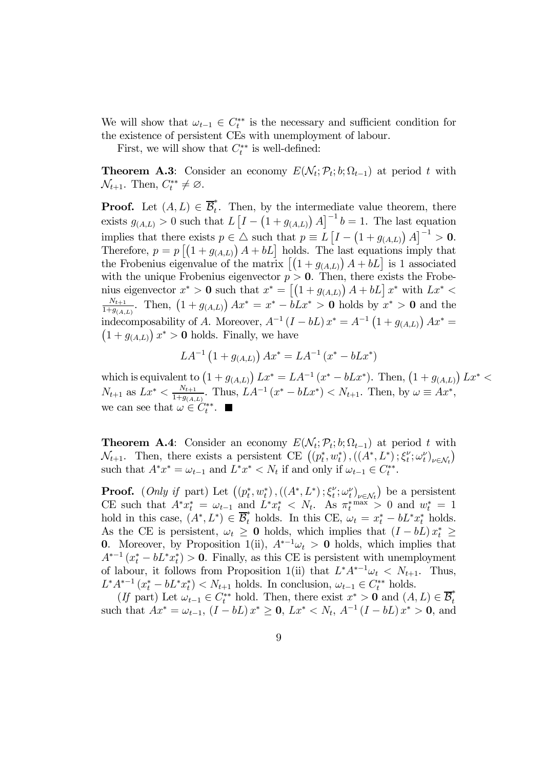We will show that  $\omega_{t-1} \in C_t^{**}$  is the necessary and sufficient condition for the existence of persistent CEs with unemployment of labour.

First, we will show that  $C_t^{**}$  is well-defined:

**Theorem A.3:** Consider an economy  $E(\mathcal{N}_t; \mathcal{P}_t; b; \Omega_{t-1})$  at period t with  $\mathcal{N}_{t+1}$ . Then,  $C_t^{**} \neq \emptyset$ .

**Proof.** Let  $(A, L) \in \overline{\mathcal{B}}_t^*$ . Then, by the intermediate value theorem, there exists  $g_{(A,L)} > 0$  such that  $L \left[ I - \left( 1 + g_{(A,L)} \right) A \right]^{-1} b = 1$ . The last equation implies that there exists  $p \in \Delta$  such that  $p \equiv L \left[ I - (1 + g_{(A,L)}) A \right]^{-1} > 0$ . Therefore,  $p = p [(1 + g_{(A,L)}) A + bL]$  holds. The last equations imply that the Frobenius eigenvalue of the matrix  $\left[ (1 + g_{(A,L)}) A + bL \right]$  is 1 associated with the unique Frobenius eigenvector  $p > 0$ . Then, there exists the Frobenius eigenvector  $x^* > 0$  such that  $x^* = \left[ \left(1 + g_{(A,L)}\right) A + bL \right] x^*$  with  $Lx^* <$  $N_{t+1}$  $\frac{N_{t+1}}{1+g_{(A,L)}}$ . Then,  $(1+g_{(A,L)}) Ax^* = x^* - bLx^* > 0$  holds by  $x^* > 0$  and the indecomposability of A. Moreover,  $A^{-1} (I - bL) x^* = A^{-1} (1 + g_{(A,L)}) Ax^* =$ <br> $(1 + g_{(A,L)}) x^* > 0$  holds. Finally, we have  $1 + g_{(A,L)}$ )  $x^* > 0$  holds. Finally, we have

$$
LA^{-1} (1 + g_{(A,L)}) Ax^* = LA^{-1} (x^* - bLx^*)
$$

which is equivalent to  $(1 + g_{(A,L)}) Lx^* = LA^{-1} (x^* - bLx^*)$ . Then,  $(1 + g_{(A,L)}) Lx^* <$  $N_{t+1}$  as  $Lx^* < \frac{N_{t+1}}{1+g_{(A,L)}}$ . Thus,  $LA^{-1}(x^* - bLx^*) < N_{t+1}$ . Then, by  $\omega \equiv Ax^*$ , we can see that  $\omega \in C_t^{**}$ .

**Theorem A.4:** Consider an economy  $E(\mathcal{N}_t; \mathcal{P}_t; b; \Omega_{t-1})$  at period t with  $\mathcal{N}_{t+1}$ . Then, there exists a persistent CE  $((p_t^*, w_t^*), ((A^*, L^*)^*; \xi_t^{\nu}; \omega_t^{\nu})_{\nu \in \mathcal{N}_t})$ such that  $A^*x^* = \omega_{t-1}$  and  $L^*x^* < N_t$  if and only if  $\omega_{t-1} \in C_t^{**}$ .

**Proof.** (*Only if* part) Let  $((p_t^*, w_t^*), ((A^*, L^*); \xi_t^{\nu}; \omega_t^{\nu})_{\nu \in \mathcal{N}_t})$  be a persistent CE such that  $A^*x_t^* = \omega_{t-1}$  and  $L^*x_t^* < N_t$ . As  $\pi_t^{* \max} > 0$  and  $w_t^* = 1$ hold in this case,  $(A^*, L^*) \in \overline{\mathcal{B}}_t^*$  holds. In this CE,  $\omega_t = x_t^* - bL^*x_t^*$  holds. As the CE is persistent,  $\omega_t \geq 0$  holds, which implies that  $(I - bL)x_t^* \geq 0$ 0. Moreover, by Proposition 1(ii),  $A^{*-1}\omega_t > 0$  holds, which implies that  $A^{*-1}(x_t^* - bL^*x_t^*) > 0$ . Finally, as this CE is persistent with unemployment of labour, it follows from Proposition 1(ii) that  $L^* A^{*-1} \omega_t < N_{t+1}$ . Thus,  $L^* A^{*-1} (x_t^* - bL^* x_t^*) < N_{t+1}$  holds. In conclusion,  $\omega_{t-1} \in C_t^{**}$  holds.

(If part) Let  $\omega_{t-1} \in C_t^{**}$  hold. Then, there exist  $x^* > 0$  and  $(A, L) \in \overline{\mathcal{B}}_t^*$ such that  $Ax^* = \omega_{t-1}$ ,  $(I - bL)x^* \geq 0$ ,  $Lx^* < N_t$ ,  $A^{-1}(I - bL)x^* > 0$ , and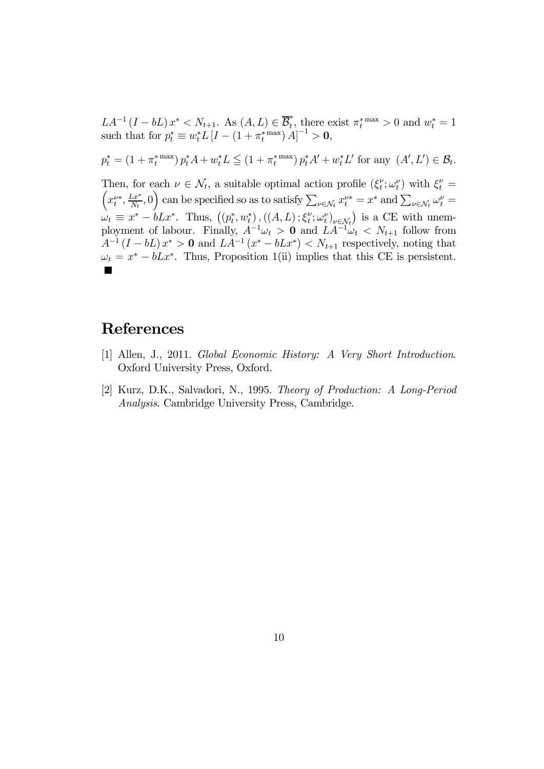$LA^{-1}(I - bI)x^* < N_{t+1}$ . As  $(A, L) \in \overline{\mathcal{B}}_t^*$ , there exist  $\pi_t^{*}$  max  $> 0$  and  $w_t^* = 1$ such that for  $p_t^* \equiv w_t^* L [I - (1 + \pi_t^{*} \max) A]^{-1} > 0$ ,  $p_t^* = (1 + \pi_t^{* \max}) p_t^* A + w_t^* L \leq (1 + \pi_t^{* \max}) p_t^* A' + w_t^* L'$  for any  $(A', L') \in \mathcal{B}_t$ . Then, for each  $\nu \in \mathcal{N}_t$ , a suitable optimal action profile  $(\xi_t^{\nu}; \omega_t^{\nu})$  with  $\xi_t^{\nu} =$  $\left(x_t^{\nu*}, \frac{Lx^*}{N_t}, 0\right)$  can be specified so as to satisfy  $\sum_{\nu \in \mathcal{N}_t} x_t^{\nu*} = x^*$  and  $\sum_{\nu \in \mathcal{N}_t} \omega_t^{\nu} =$  $\omega_t \equiv x^* - bLx^*$ . Thus,  $((p_t^*, w_t^*), ((A, L); \xi_t^{\nu}; \omega_t^{\nu})_{\nu \in \mathcal{N}_t})$  is a CE with unemployment of labour. Finally,  $A^{-1}\omega_t > 0$  and  $LA^{-1}\omega_t < N_{t+1}$  follow from  $A^{-1} (I - bL) x^* > 0$  and  $L(A^{-1}(x^* - bLx^*) < N_{t+1}$  respectively, noting that  $\omega_t = x^* - bLx^*$ . Thus, Proposition 1(ii) implies that this CE is persistent.

# References

- [1] Allen, J., 2011. Global Economic History: A Very Short Introduction. Oxford University Press, Oxford.
- [2] Kurz, D.K., Salvadori, N., 1995. Theory of Production: A Long-Period Analysis. Cambridge University Press, Cambridge.